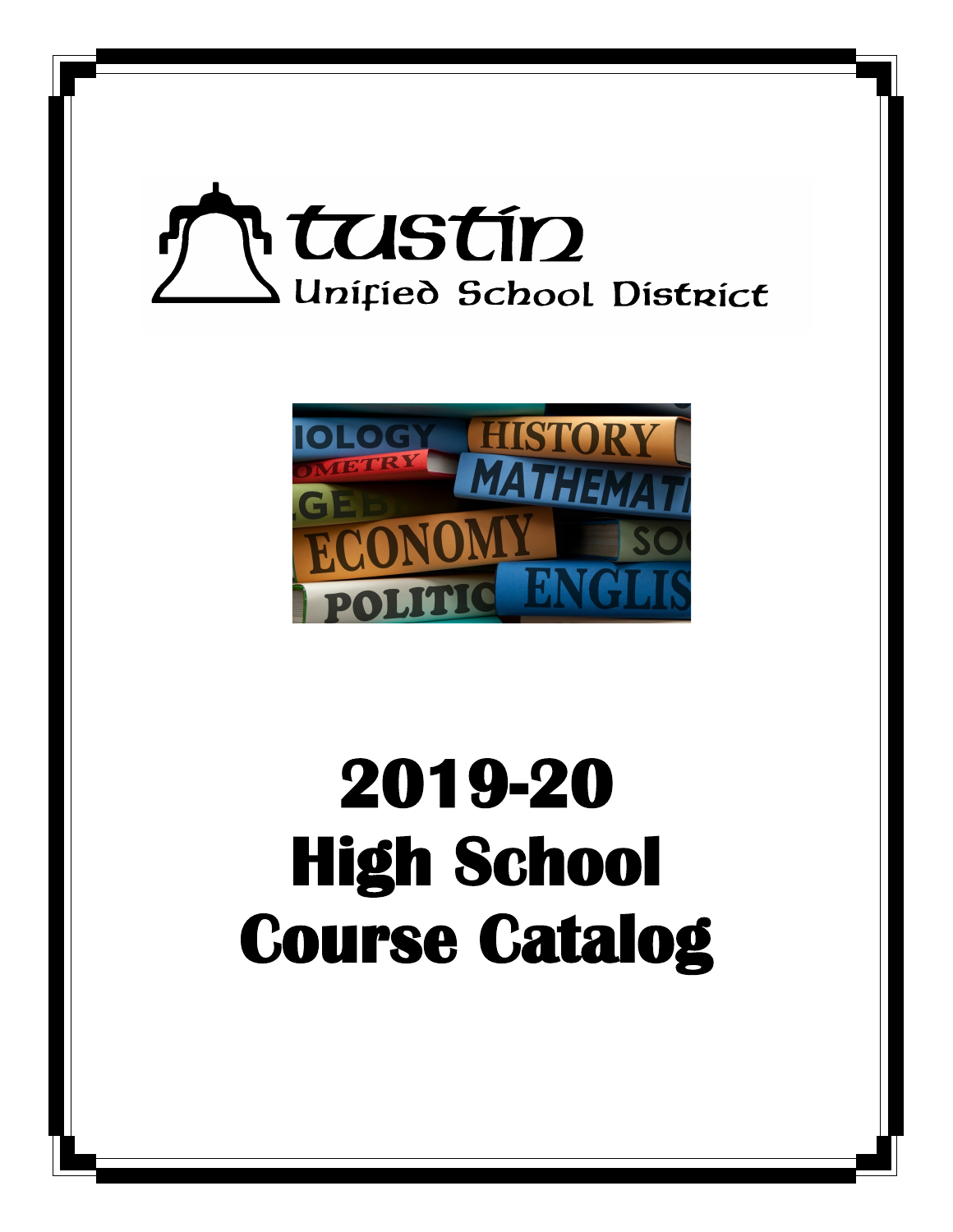



# **2019-20 High School Course Catalog**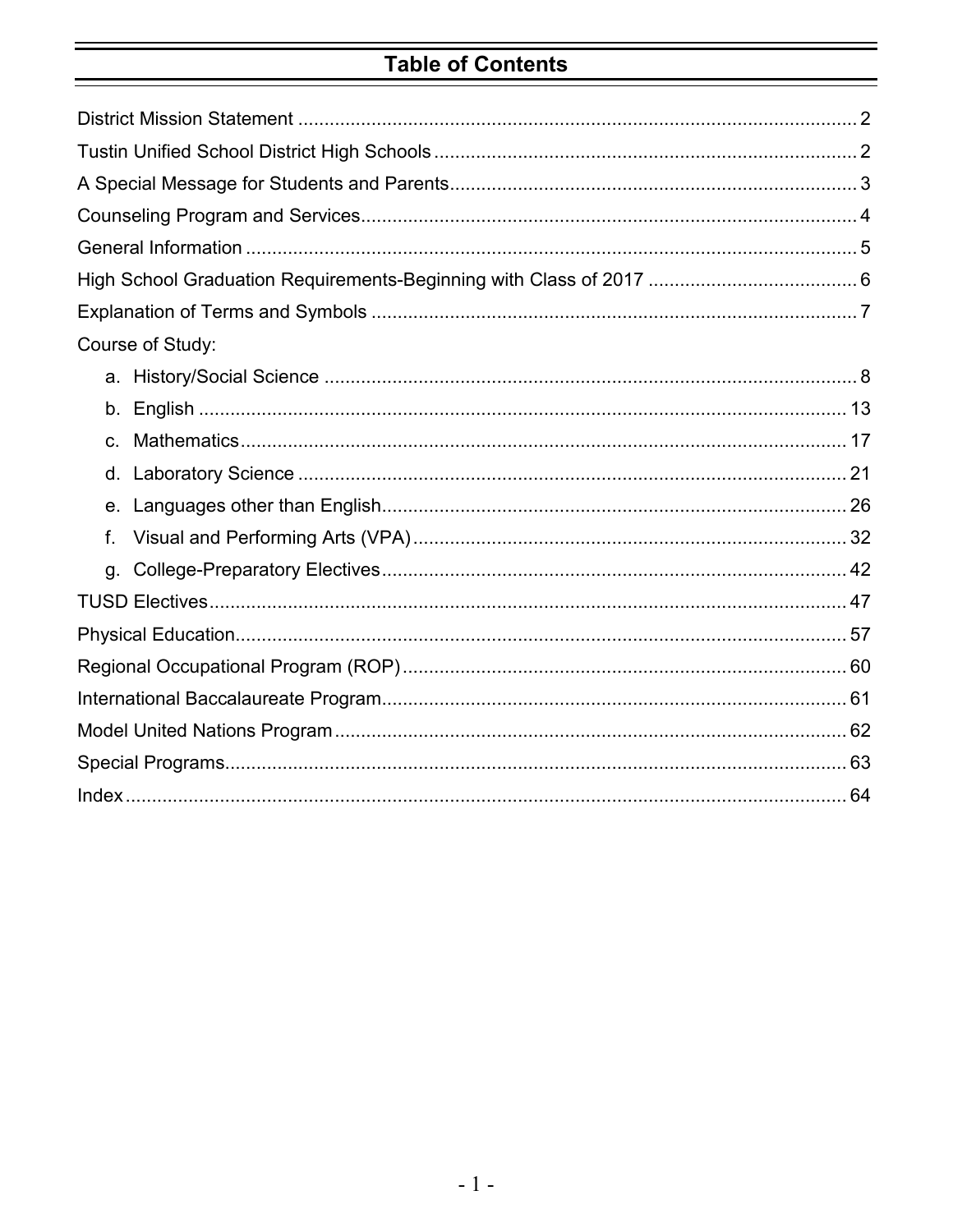# **Table of Contents**

| Course of Study: |
|------------------|
|                  |
|                  |
| $C_{1}$          |
|                  |
|                  |
| f.               |
| g.               |
|                  |
|                  |
|                  |
|                  |
|                  |
|                  |
|                  |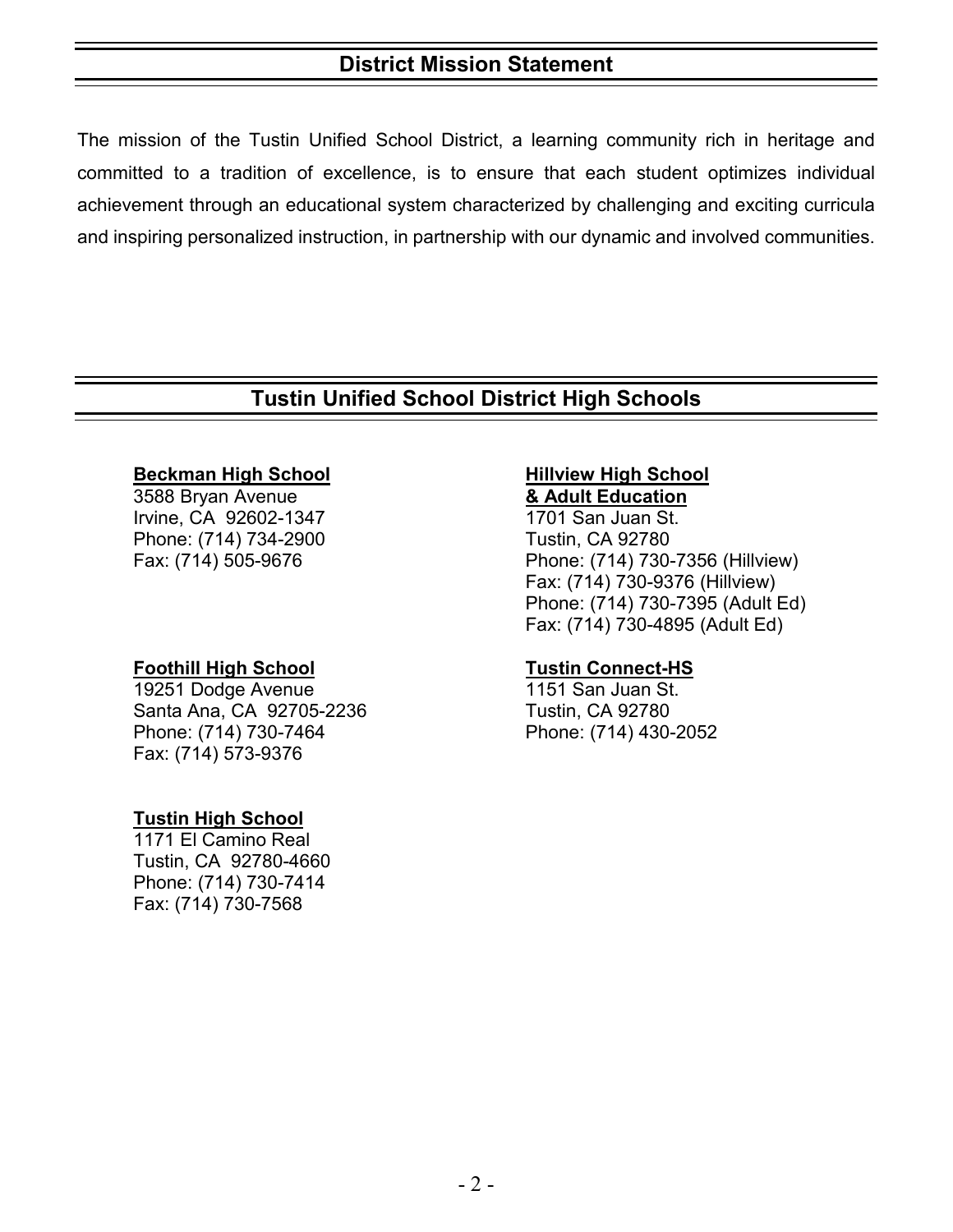# **District Mission Statement**

The mission of the Tustin Unified School District, a learning community rich in heritage and committed to a tradition of excellence, is to ensure that each student optimizes individual achievement through an educational system characterized by challenging and exciting curricula and inspiring personalized instruction, in partnership with our dynamic and involved communities.

# **Tustin Unified School District High Schools**

#### **Beckman High School Hillview High School**

3588 Bryan Avenue **& Adult Education**  Irvine, CA 92602-1347 Phone: (714) 734-2900 Tustin, CA 92780

**Foothill High School Tustin Connect-HS** 19251 Dodge Avenue Santa Ana, CA 92705-2236 Tustin, CA 92780 Phone: (714) 730-7464 Phone: (714) 430-2052 Fax: (714) 573-9376

#### **Tustin High School**

1171 El Camino Real Tustin, CA 92780-4660 Phone: (714) 730-7414 Fax: (714) 730-7568

Fax: (714) 505-9676 Phone: (714) 730-7356 (Hillview) Fax: (714) 730-9376 (Hillview) Phone: (714) 730-7395 (Adult Ed) Fax: (714) 730-4895 (Adult Ed)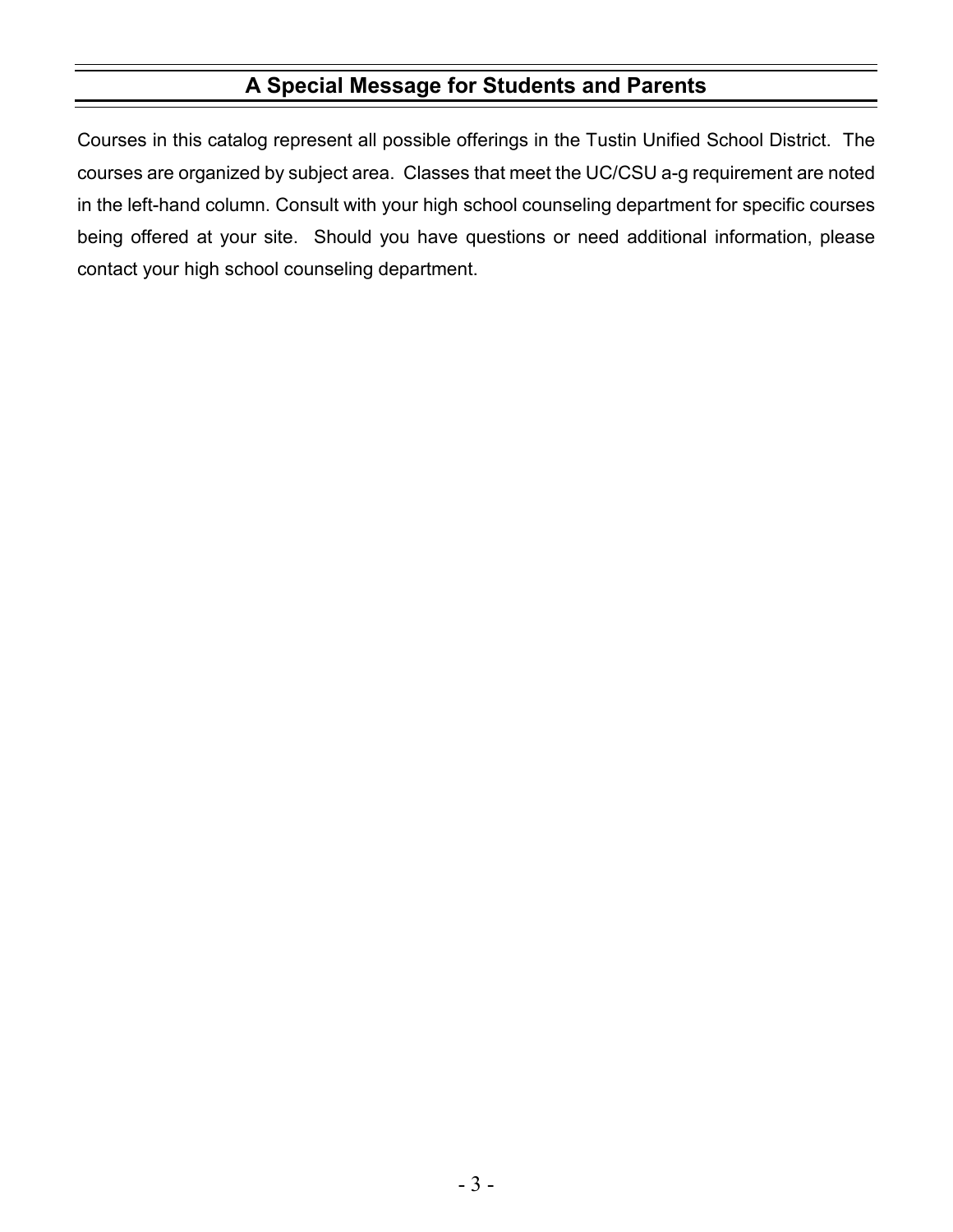# **A Special Message for Students and Parents**

Courses in this catalog represent all possible offerings in the Tustin Unified School District. The courses are organized by subject area. Classes that meet the UC/CSU a-g requirement are noted in the left-hand column. Consult with your high school counseling department for specific courses being offered at your site. Should you have questions or need additional information, please contact your high school counseling department.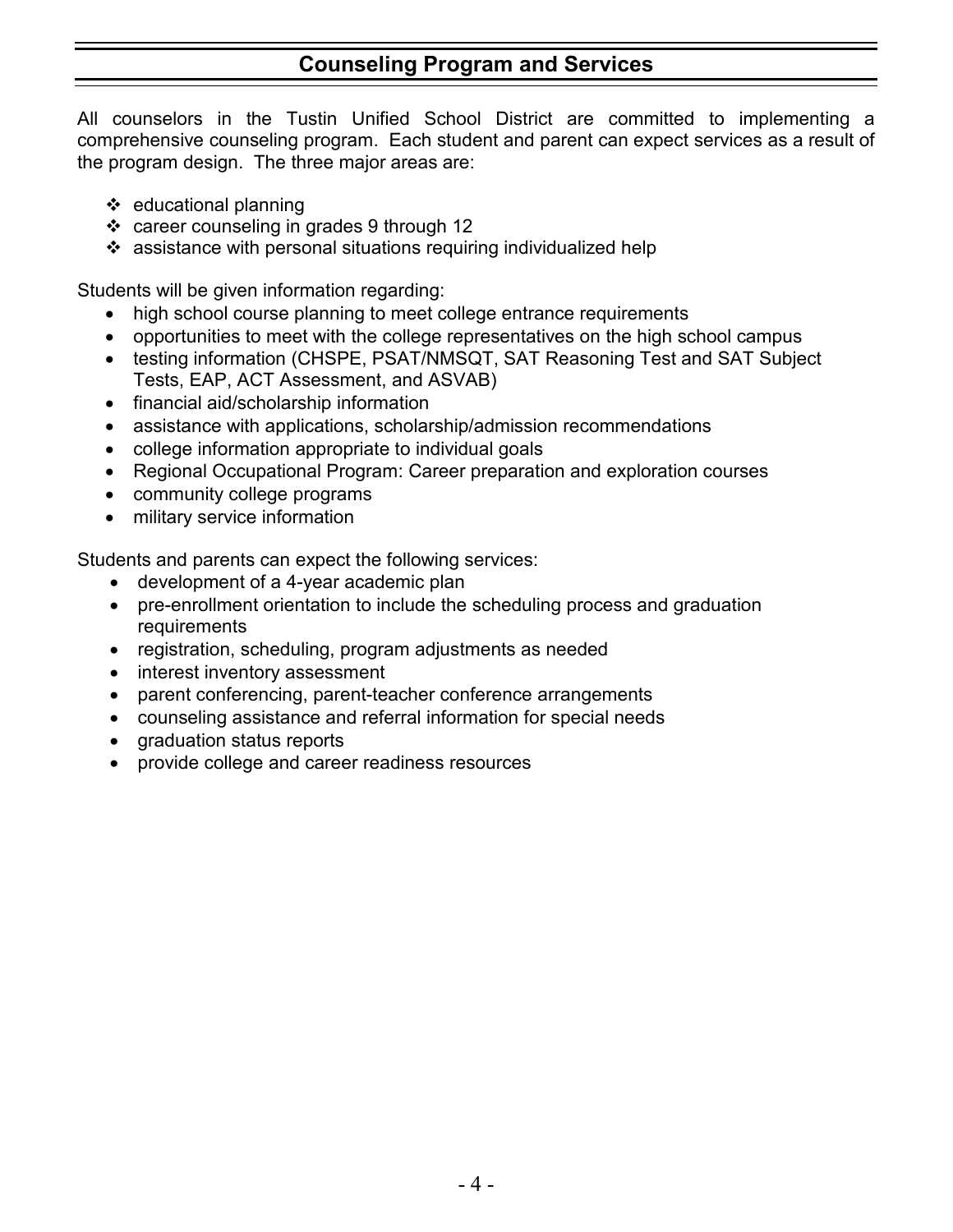# **Counseling Program and Services**

All counselors in the Tustin Unified School District are committed to implementing a comprehensive counseling program. Each student and parent can expect services as a result of the program design. The three major areas are:

- educational planning
- career counseling in grades 9 through 12
- assistance with personal situations requiring individualized help

Students will be given information regarding:

- high school course planning to meet college entrance requirements
- opportunities to meet with the college representatives on the high school campus
- testing information (CHSPE, PSAT/NMSQT, SAT Reasoning Test and SAT Subject Tests, EAP, ACT Assessment, and ASVAB)
- financial aid/scholarship information
- assistance with applications, scholarship/admission recommendations
- college information appropriate to individual goals
- Regional Occupational Program: Career preparation and exploration courses
- community college programs
- military service information

Students and parents can expect the following services:

- development of a 4-year academic plan
- pre-enrollment orientation to include the scheduling process and graduation requirements
- registration, scheduling, program adjustments as needed
- interest inventory assessment
- parent conferencing, parent-teacher conference arrangements
- counseling assistance and referral information for special needs
- graduation status reports
- provide college and career readiness resources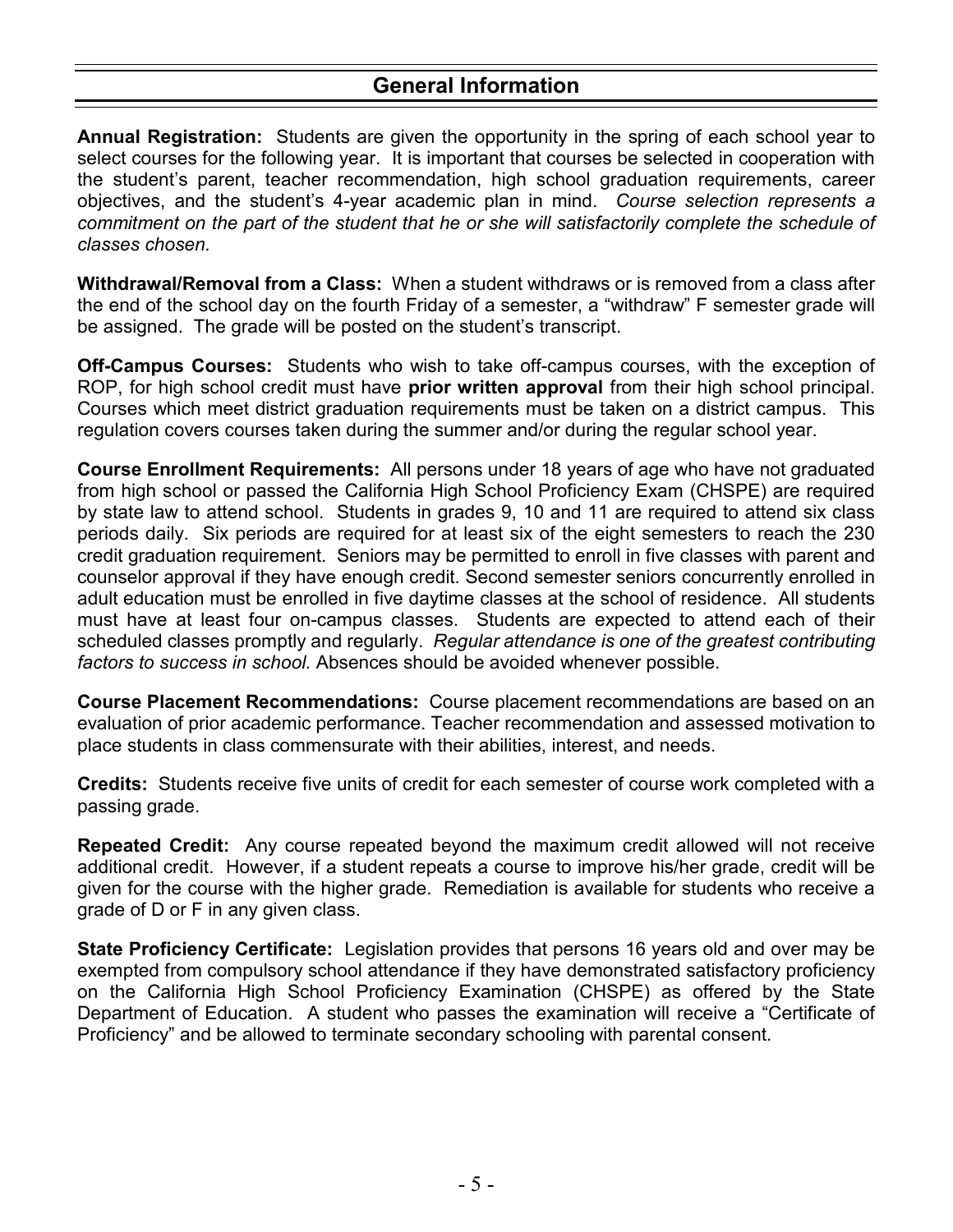# **General Information**

**Annual Registration:** Students are given the opportunity in the spring of each school year to select courses for the following year. It is important that courses be selected in cooperation with the student's parent, teacher recommendation, high school graduation requirements, career objectives, and the student's 4-year academic plan in mind. *Course selection represents a commitment on the part of the student that he or she will satisfactorily complete the schedule of classes chosen.*

**Withdrawal/Removal from a Class:** When a student withdraws or is removed from a class after the end of the school day on the fourth Friday of a semester, a "withdraw" F semester grade will be assigned. The grade will be posted on the student's transcript.

**Off-Campus Courses:** Students who wish to take off-campus courses, with the exception of ROP, for high school credit must have **prior written approval** from their high school principal. Courses which meet district graduation requirements must be taken on a district campus. This regulation covers courses taken during the summer and/or during the regular school year.

**Course Enrollment Requirements:** All persons under 18 years of age who have not graduated from high school or passed the California High School Proficiency Exam (CHSPE) are required by state law to attend school. Students in grades 9, 10 and 11 are required to attend six class periods daily. Six periods are required for at least six of the eight semesters to reach the 230 credit graduation requirement. Seniors may be permitted to enroll in five classes with parent and counselor approval if they have enough credit. Second semester seniors concurrently enrolled in adult education must be enrolled in five daytime classes at the school of residence. All students must have at least four on-campus classes. Students are expected to attend each of their scheduled classes promptly and regularly. *Regular attendance is one of the greatest contributing factors to success in school.* Absences should be avoided whenever possible.

**Course Placement Recommendations:** Course placement recommendations are based on an evaluation of prior academic performance. Teacher recommendation and assessed motivation to place students in class commensurate with their abilities, interest, and needs.

**Credits:** Students receive five units of credit for each semester of course work completed with a passing grade.

**Repeated Credit:** Any course repeated beyond the maximum credit allowed will not receive additional credit. However, if a student repeats a course to improve his/her grade, credit will be given for the course with the higher grade. Remediation is available for students who receive a grade of D or F in any given class.

**State Proficiency Certificate:** Legislation provides that persons 16 years old and over may be exempted from compulsory school attendance if they have demonstrated satisfactory proficiency on the California High School Proficiency Examination (CHSPE) as offered by the State Department of Education. A student who passes the examination will receive a "Certificate of Proficiency" and be allowed to terminate secondary schooling with parental consent.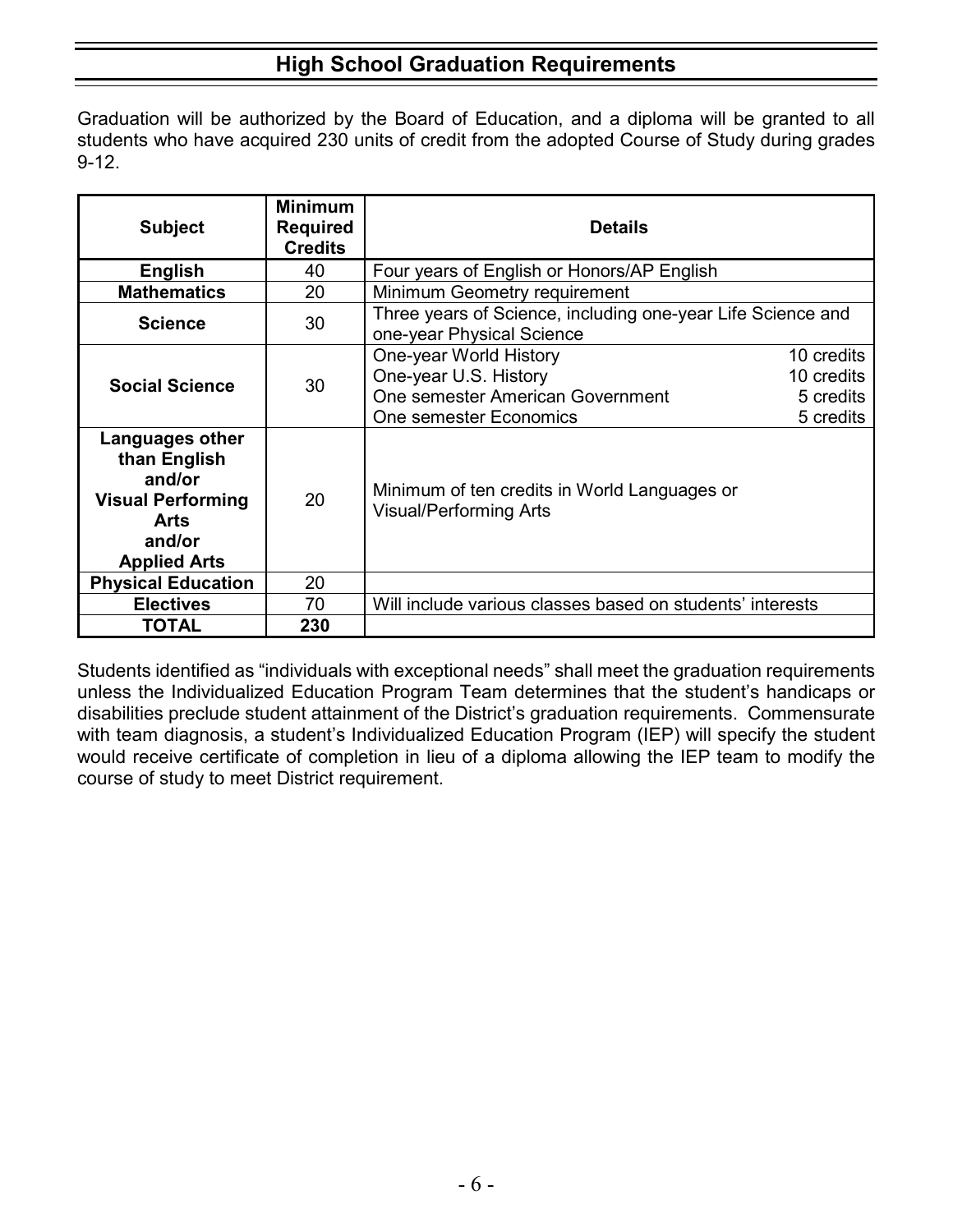# **High School Graduation Requirements**

Graduation will be authorized by the Board of Education, and a diploma will be granted to all students who have acquired 230 units of credit from the adopted Course of Study during grades 9-12.

| <b>Subject</b>                                                                                                        | <b>Minimum</b><br><b>Required</b><br><b>Credits</b> | <b>Details</b>                                                                                                                                                      |  |
|-----------------------------------------------------------------------------------------------------------------------|-----------------------------------------------------|---------------------------------------------------------------------------------------------------------------------------------------------------------------------|--|
| <b>English</b>                                                                                                        | 40                                                  | Four years of English or Honors/AP English                                                                                                                          |  |
| <b>Mathematics</b>                                                                                                    | 20                                                  | Minimum Geometry requirement                                                                                                                                        |  |
| <b>Science</b>                                                                                                        | 30                                                  | Three years of Science, including one-year Life Science and<br>one-year Physical Science                                                                            |  |
| <b>Social Science</b>                                                                                                 | 30                                                  | One-year World History<br>10 credits<br>One-year U.S. History<br>10 credits<br>One semester American Government<br>5 credits<br>One semester Economics<br>5 credits |  |
| Languages other<br>than English<br>and/or<br><b>Visual Performing</b><br><b>Arts</b><br>and/or<br><b>Applied Arts</b> | 20                                                  | Minimum of ten credits in World Languages or<br><b>Visual/Performing Arts</b>                                                                                       |  |
| <b>Physical Education</b>                                                                                             | 20                                                  |                                                                                                                                                                     |  |
| <b>Electives</b>                                                                                                      | 70                                                  | Will include various classes based on students' interests                                                                                                           |  |
| <b>TOTAL</b>                                                                                                          | 230                                                 |                                                                                                                                                                     |  |

Students identified as "individuals with exceptional needs" shall meet the graduation requirements unless the Individualized Education Program Team determines that the student's handicaps or disabilities preclude student attainment of the District's graduation requirements. Commensurate with team diagnosis, a student's Individualized Education Program (IEP) will specify the student would receive certificate of completion in lieu of a diploma allowing the IEP team to modify the course of study to meet District requirement.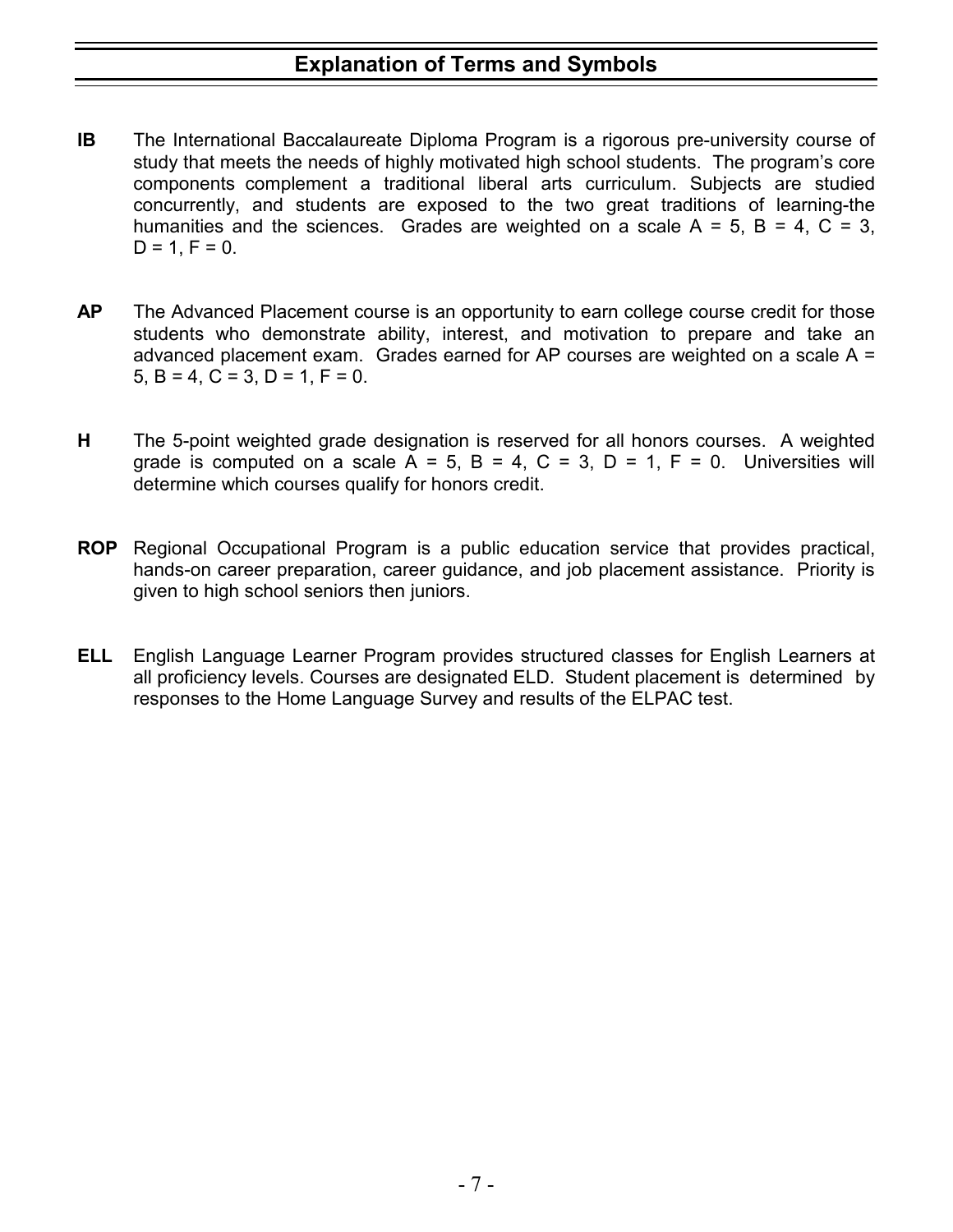- **IB** The International Baccalaureate Diploma Program is a rigorous pre-university course of study that meets the needs of highly motivated high school students. The program's core components complement a traditional liberal arts curriculum. Subjects are studied concurrently, and students are exposed to the two great traditions of learning-the humanities and the sciences. Grades are weighted on a scale  $A = 5$ ,  $B = 4$ ,  $C = 3$ ,  $D = 1, F = 0.$
- **AP** The Advanced Placement course is an opportunity to earn college course credit for those students who demonstrate ability, interest, and motivation to prepare and take an advanced placement exam. Grades earned for AP courses are weighted on a scale A = 5, B = 4, C = 3, D = 1, F = 0.
- **H** The 5-point weighted grade designation is reserved for all honors courses. A weighted grade is computed on a scale  $A = 5$ ,  $B = 4$ ,  $C = 3$ ,  $D = 1$ ,  $F = 0$ . Universities will determine which courses qualify for honors credit.
- **ROP** Regional Occupational Program is a public education service that provides practical, hands-on career preparation, career guidance, and job placement assistance. Priority is given to high school seniors then juniors.
- **ELL** English Language Learner Program provides structured classes for English Learners at all proficiency levels. Courses are designated ELD. Student placement is determined by responses to the Home Language Survey and results of the ELPAC test.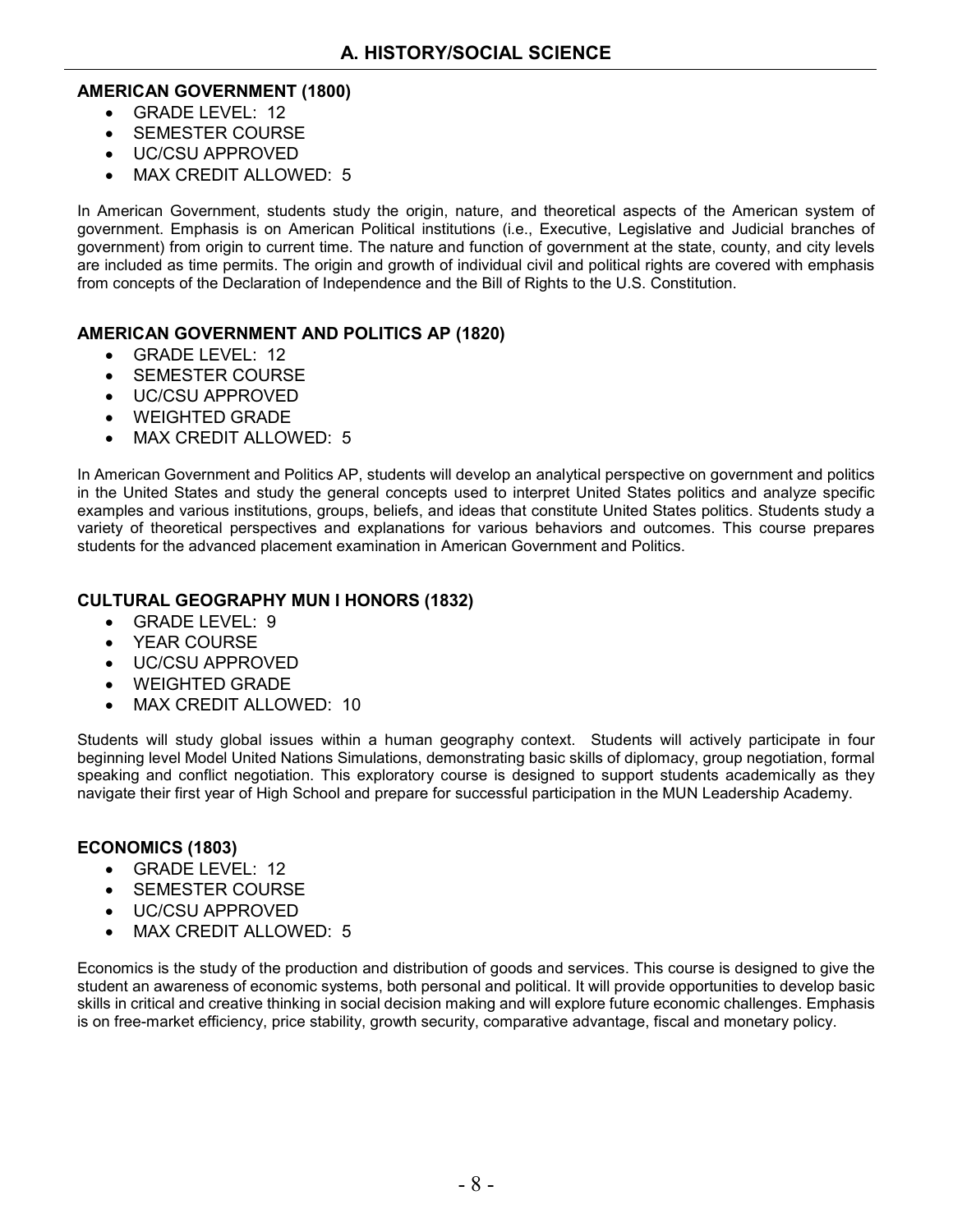#### **AMERICAN GOVERNMENT (1800)**

- GRADE LEVEL: 12
- **SEMESTER COURSE**
- UC/CSU APPROVED
- MAX CREDIT ALLOWED: 5

In American Government, students study the origin, nature, and theoretical aspects of the American system of government. Emphasis is on American Political institutions (i.e., Executive, Legislative and Judicial branches of government) from origin to current time. The nature and function of government at the state, county, and city levels are included as time permits. The origin and growth of individual civil and political rights are covered with emphasis from concepts of the Declaration of Independence and the Bill of Rights to the U.S. Constitution.

#### **AMERICAN GOVERNMENT AND POLITICS AP (1820)**

- GRADE LEVEL: 12
- SEMESTER COURSE
- UC/CSU APPROVED
- WEIGHTED GRADE
- MAX CREDIT ALLOWED: 5

In American Government and Politics AP, students will develop an analytical perspective on government and politics in the United States and study the general concepts used to interpret United States politics and analyze specific examples and various institutions, groups, beliefs, and ideas that constitute United States politics. Students study a variety of theoretical perspectives and explanations for various behaviors and outcomes. This course prepares students for the advanced placement examination in American Government and Politics.

#### **CULTURAL GEOGRAPHY MUN I HONORS (1832)**

- GRADE LEVEL: 9
- YEAR COURSE
- UC/CSU APPROVED
- WEIGHTED GRADE
- MAX CREDIT ALLOWED: 10

Students will study global issues within a human geography context. Students will actively participate in four beginning level Model United Nations Simulations, demonstrating basic skills of diplomacy, group negotiation, formal speaking and conflict negotiation. This exploratory course is designed to support students academically as they navigate their first year of High School and prepare for successful participation in the MUN Leadership Academy.

#### **ECONOMICS (1803)**

- GRADE LEVEL: 12
- SEMESTER COURSE
- UC/CSU APPROVED
- MAX CREDIT ALLOWED: 5

Economics is the study of the production and distribution of goods and services. This course is designed to give the student an awareness of economic systems, both personal and political. It will provide opportunities to develop basic skills in critical and creative thinking in social decision making and will explore future economic challenges. Emphasis is on free-market efficiency, price stability, growth security, comparative advantage, fiscal and monetary policy.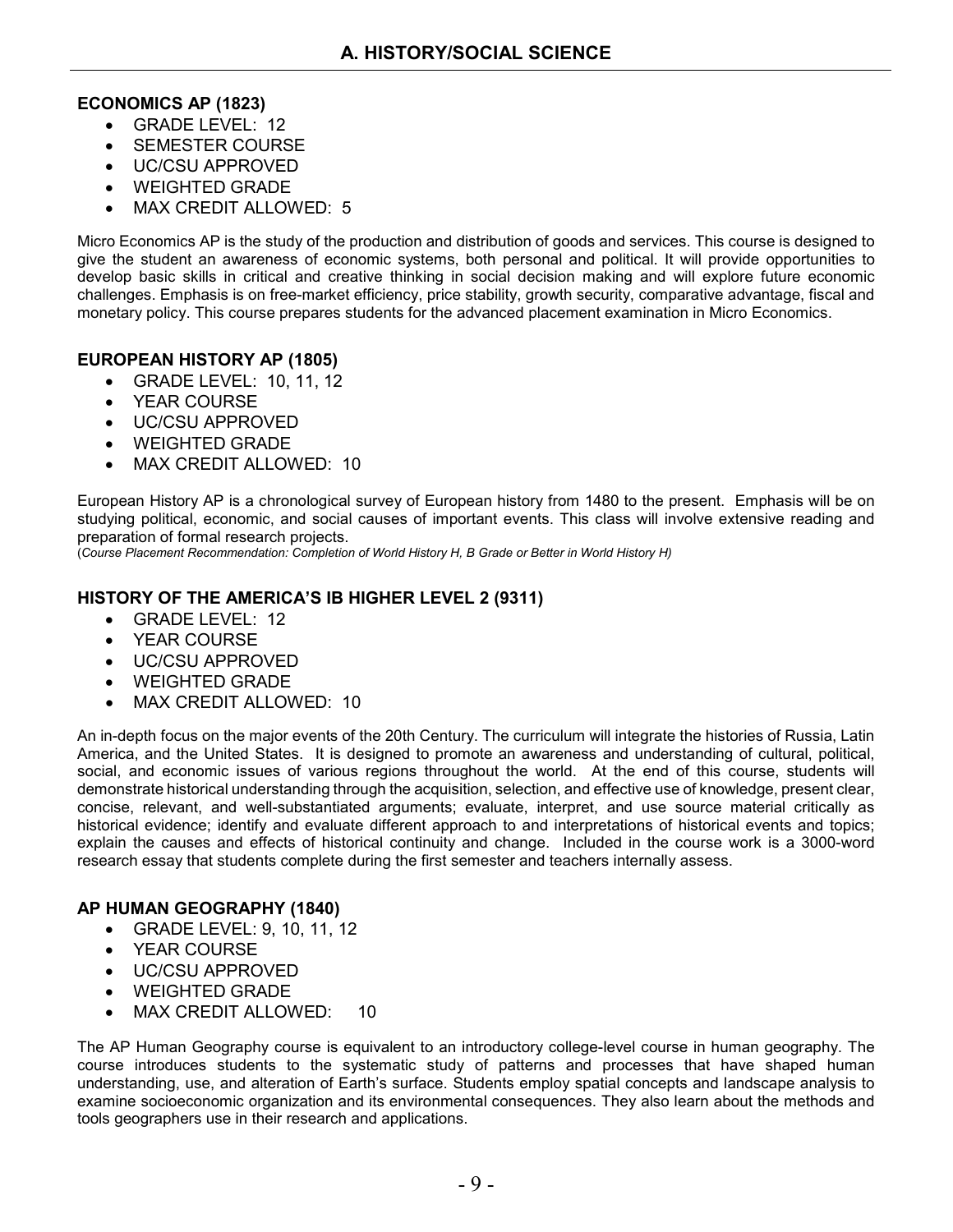#### **ECONOMICS AP (1823)**

- GRADE LEVEL: 12
- SEMESTER COURSE
- UC/CSU APPROVED
- WEIGHTED GRADE
- MAX CREDIT ALLOWED: 5

Micro Economics AP is the study of the production and distribution of goods and services. This course is designed to give the student an awareness of economic systems, both personal and political. It will provide opportunities to develop basic skills in critical and creative thinking in social decision making and will explore future economic challenges. Emphasis is on free-market efficiency, price stability, growth security, comparative advantage, fiscal and monetary policy. This course prepares students for the advanced placement examination in Micro Economics.

#### **EUROPEAN HISTORY AP (1805)**

- GRADE LEVEL: 10, 11, 12
- YEAR COURSE
- UC/CSU APPROVED
- WEIGHTED GRADE
- MAX CREDIT ALLOWED: 10

European History AP is a chronological survey of European history from 1480 to the present. Emphasis will be on studying political, economic, and social causes of important events. This class will involve extensive reading and preparation of formal research projects.

(*Course Placement Recommendation: Completion of World History H, B Grade or Better in World History H)*

#### **HISTORY OF THE AMERICA'S IB HIGHER LEVEL 2 (9311)**

- GRADE LEVEL: 12
- YEAR COURSE
- UC/CSU APPROVED
- WEIGHTED GRADE
- MAX CREDIT ALLOWED: 10

An in-depth focus on the major events of the 20th Century. The curriculum will integrate the histories of Russia, Latin America, and the United States. It is designed to promote an awareness and understanding of cultural, political, social, and economic issues of various regions throughout the world. At the end of this course, students will demonstrate historical understanding through the acquisition, selection, and effective use of knowledge, present clear, concise, relevant, and well-substantiated arguments; evaluate, interpret, and use source material critically as historical evidence; identify and evaluate different approach to and interpretations of historical events and topics; explain the causes and effects of historical continuity and change. Included in the course work is a 3000-word research essay that students complete during the first semester and teachers internally assess.

#### **AP HUMAN GEOGRAPHY (1840)**

- GRADE LEVEL: 9, 10, 11, 12
- YEAR COURSE
- UC/CSU APPROVED
- WEIGHTED GRADE
- MAX CREDIT ALLOWED: 10

The AP Human Geography course is equivalent to an introductory college-level course in human geography. The course introduces students to the systematic study of patterns and processes that have shaped human understanding, use, and alteration of Earth's surface. Students employ spatial concepts and landscape analysis to examine socioeconomic organization and its environmental consequences. They also learn about the methods and tools geographers use in their research and applications.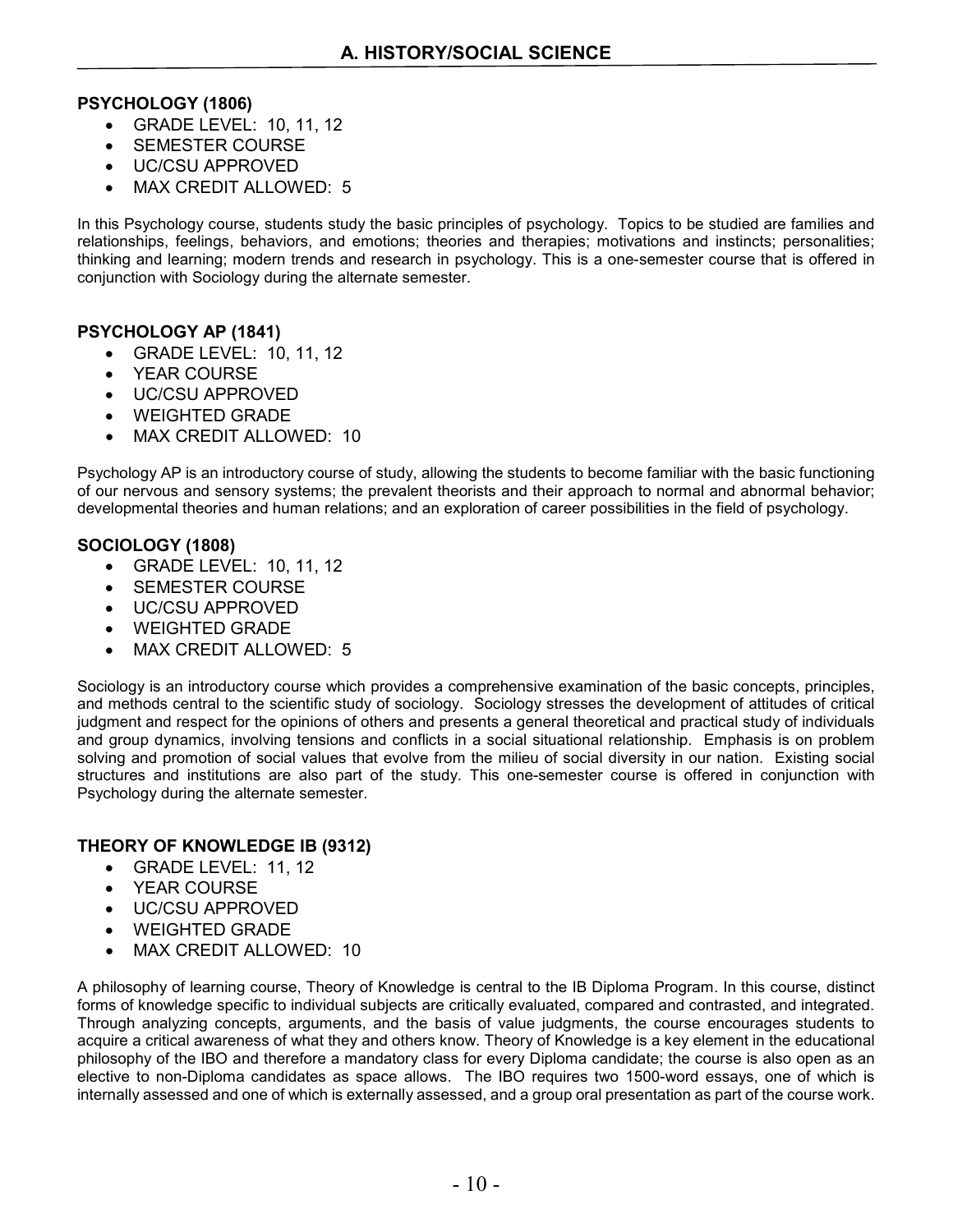#### **PSYCHOLOGY (1806)**

- GRADE LEVEL: 10, 11, 12
- SEMESTER COURSE
- UC/CSU APPROVED
- MAX CREDIT ALLOWED: 5

In this Psychology course, students study the basic principles of psychology. Topics to be studied are families and relationships, feelings, behaviors, and emotions; theories and therapies; motivations and instincts; personalities; thinking and learning; modern trends and research in psychology. This is a one-semester course that is offered in conjunction with Sociology during the alternate semester.

#### **PSYCHOLOGY AP (1841)**

- GRADE LEVEL: 10, 11, 12
- YEAR COURSE
- UC/CSU APPROVED
- WEIGHTED GRADE
- MAX CREDIT ALLOWED: 10

Psychology AP is an introductory course of study, allowing the students to become familiar with the basic functioning of our nervous and sensory systems; the prevalent theorists and their approach to normal and abnormal behavior; developmental theories and human relations; and an exploration of career possibilities in the field of psychology.

#### **SOCIOLOGY (1808)**

- GRADE LEVEL: 10, 11, 12
- SEMESTER COURSE
- UC/CSU APPROVED
- WEIGHTED GRADE
- MAX CREDIT ALLOWED: 5

Sociology is an introductory course which provides a comprehensive examination of the basic concepts, principles, and methods central to the scientific study of sociology. Sociology stresses the development of attitudes of critical judgment and respect for the opinions of others and presents a general theoretical and practical study of individuals and group dynamics, involving tensions and conflicts in a social situational relationship. Emphasis is on problem solving and promotion of social values that evolve from the milieu of social diversity in our nation. Existing social structures and institutions are also part of the study. This one-semester course is offered in conjunction with Psychology during the alternate semester.

#### **THEORY OF KNOWLEDGE IB (9312)**

- GRADE LEVEL: 11, 12
- YEAR COURSE
- UC/CSU APPROVED
- WEIGHTED GRADE
- MAX CREDIT ALLOWED: 10

A philosophy of learning course, Theory of Knowledge is central to the IB Diploma Program. In this course, distinct forms of knowledge specific to individual subjects are critically evaluated, compared and contrasted, and integrated. Through analyzing concepts, arguments, and the basis of value judgments, the course encourages students to acquire a critical awareness of what they and others know. Theory of Knowledge is a key element in the educational philosophy of the IBO and therefore a mandatory class for every Diploma candidate; the course is also open as an elective to non-Diploma candidates as space allows. The IBO requires two 1500-word essays, one of which is internally assessed and one of which is externally assessed, and a group oral presentation as part of the course work.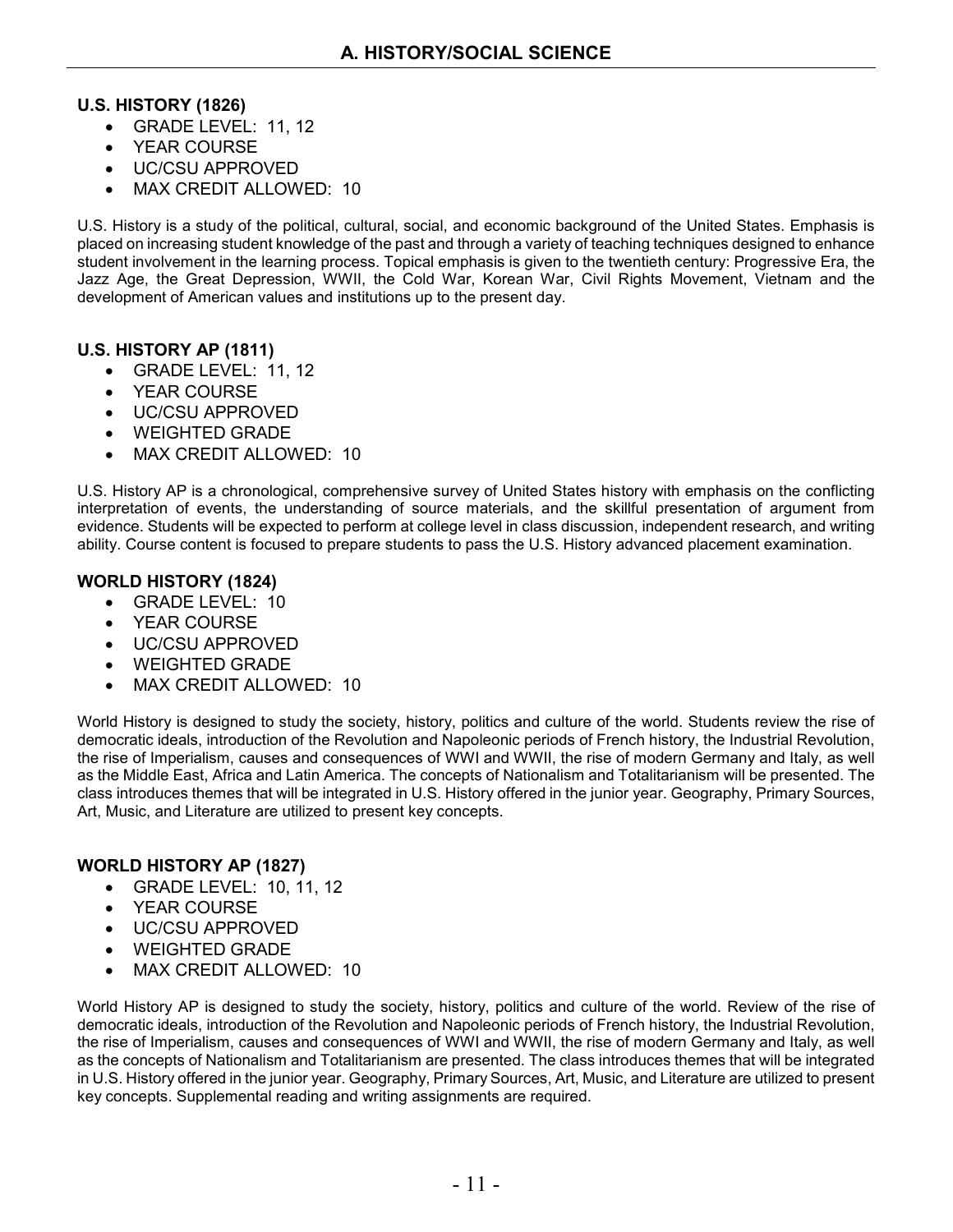#### **U.S. HISTORY (1826)**

- GRADE LEVEL: 11, 12
- YEAR COURSE
- UC/CSU APPROVED
- MAX CREDIT ALLOWED: 10

U.S. History is a study of the political, cultural, social, and economic background of the United States. Emphasis is placed on increasing student knowledge of the past and through a variety of teaching techniques designed to enhance student involvement in the learning process. Topical emphasis is given to the twentieth century: Progressive Era, the Jazz Age, the Great Depression, WWII, the Cold War, Korean War, Civil Rights Movement, Vietnam and the development of American values and institutions up to the present day.

#### **U.S. HISTORY AP (1811)**

- GRADE LEVEL: 11, 12
- YEAR COURSE
- UC/CSU APPROVED
- WEIGHTED GRADE
- MAX CREDIT ALLOWED: 10

U.S. History AP is a chronological, comprehensive survey of United States history with emphasis on the conflicting interpretation of events, the understanding of source materials, and the skillful presentation of argument from evidence. Students will be expected to perform at college level in class discussion, independent research, and writing ability. Course content is focused to prepare students to pass the U.S. History advanced placement examination.

#### **WORLD HISTORY (1824)**

- GRADE LEVEL: 10
- YEAR COURSE
- UC/CSU APPROVED
- WEIGHTED GRADE
- MAX CREDIT ALLOWED: 10

World History is designed to study the society, history, politics and culture of the world. Students review the rise of democratic ideals, introduction of the Revolution and Napoleonic periods of French history, the Industrial Revolution, the rise of Imperialism, causes and consequences of WWI and WWII, the rise of modern Germany and Italy, as well as the Middle East, Africa and Latin America. The concepts of Nationalism and Totalitarianism will be presented. The class introduces themes that will be integrated in U.S. History offered in the junior year. Geography, Primary Sources, Art, Music, and Literature are utilized to present key concepts.

#### **WORLD HISTORY AP (1827)**

- GRADE LEVEL: 10, 11, 12
- YEAR COURSE
- UC/CSU APPROVED
- WEIGHTED GRADE
- MAX CREDIT ALLOWED: 10

World History AP is designed to study the society, history, politics and culture of the world. Review of the rise of democratic ideals, introduction of the Revolution and Napoleonic periods of French history, the Industrial Revolution, the rise of Imperialism, causes and consequences of WWI and WWII, the rise of modern Germany and Italy, as well as the concepts of Nationalism and Totalitarianism are presented. The class introduces themes that will be integrated in U.S. History offered in the junior year. Geography, Primary Sources, Art, Music, and Literature are utilized to present key concepts. Supplemental reading and writing assignments are required.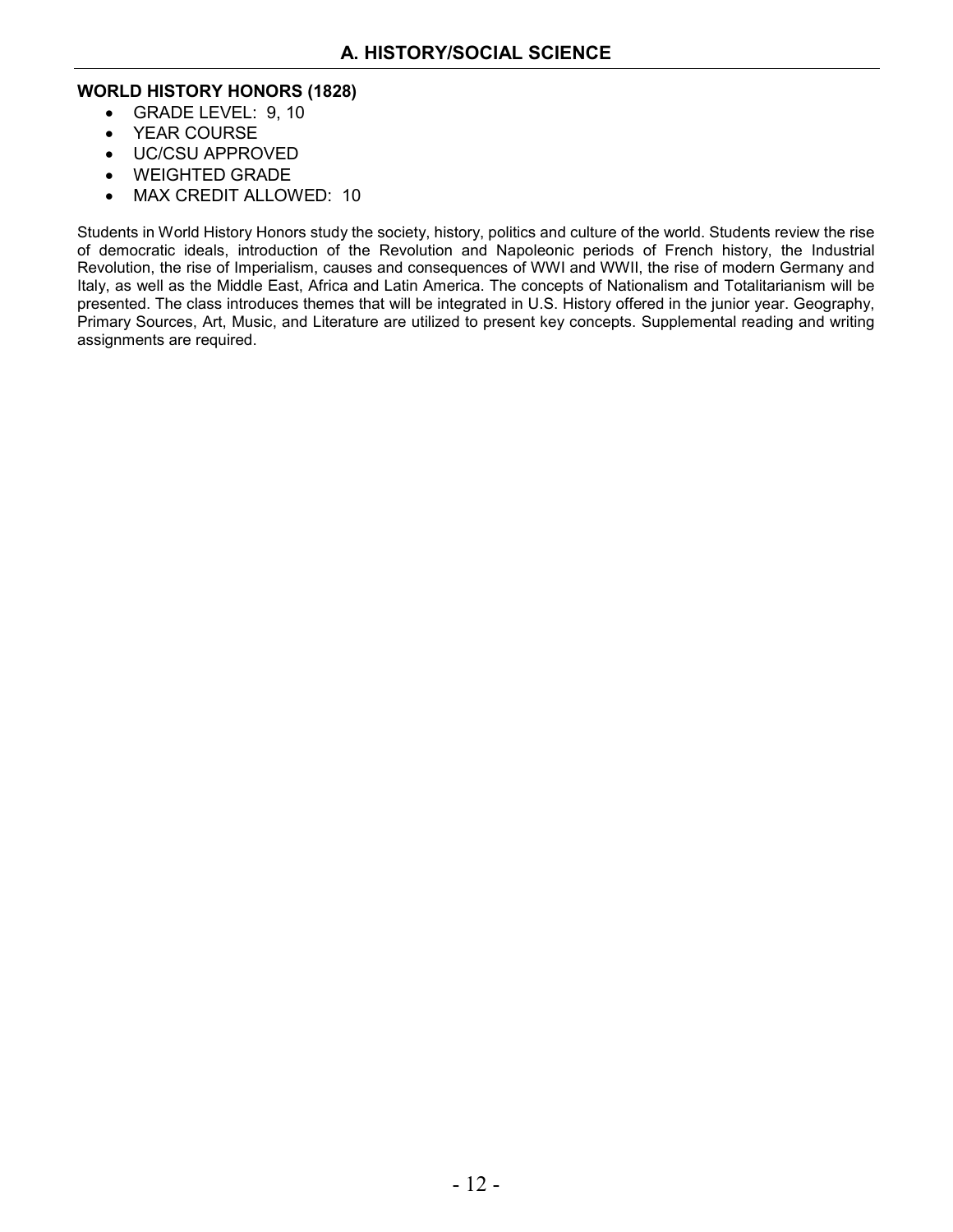#### **WORLD HISTORY HONORS (1828)**

- GRADE LEVEL: 9, 10
- YEAR COURSE
- UC/CSU APPROVED
- WEIGHTED GRADE
- MAX CREDIT ALLOWED: 10

Students in World History Honors study the society, history, politics and culture of the world. Students review the rise of democratic ideals, introduction of the Revolution and Napoleonic periods of French history, the Industrial Revolution, the rise of Imperialism, causes and consequences of WWI and WWII, the rise of modern Germany and Italy, as well as the Middle East, Africa and Latin America. The concepts of Nationalism and Totalitarianism will be presented. The class introduces themes that will be integrated in U.S. History offered in the junior year. Geography, Primary Sources, Art, Music, and Literature are utilized to present key concepts. Supplemental reading and writing assignments are required.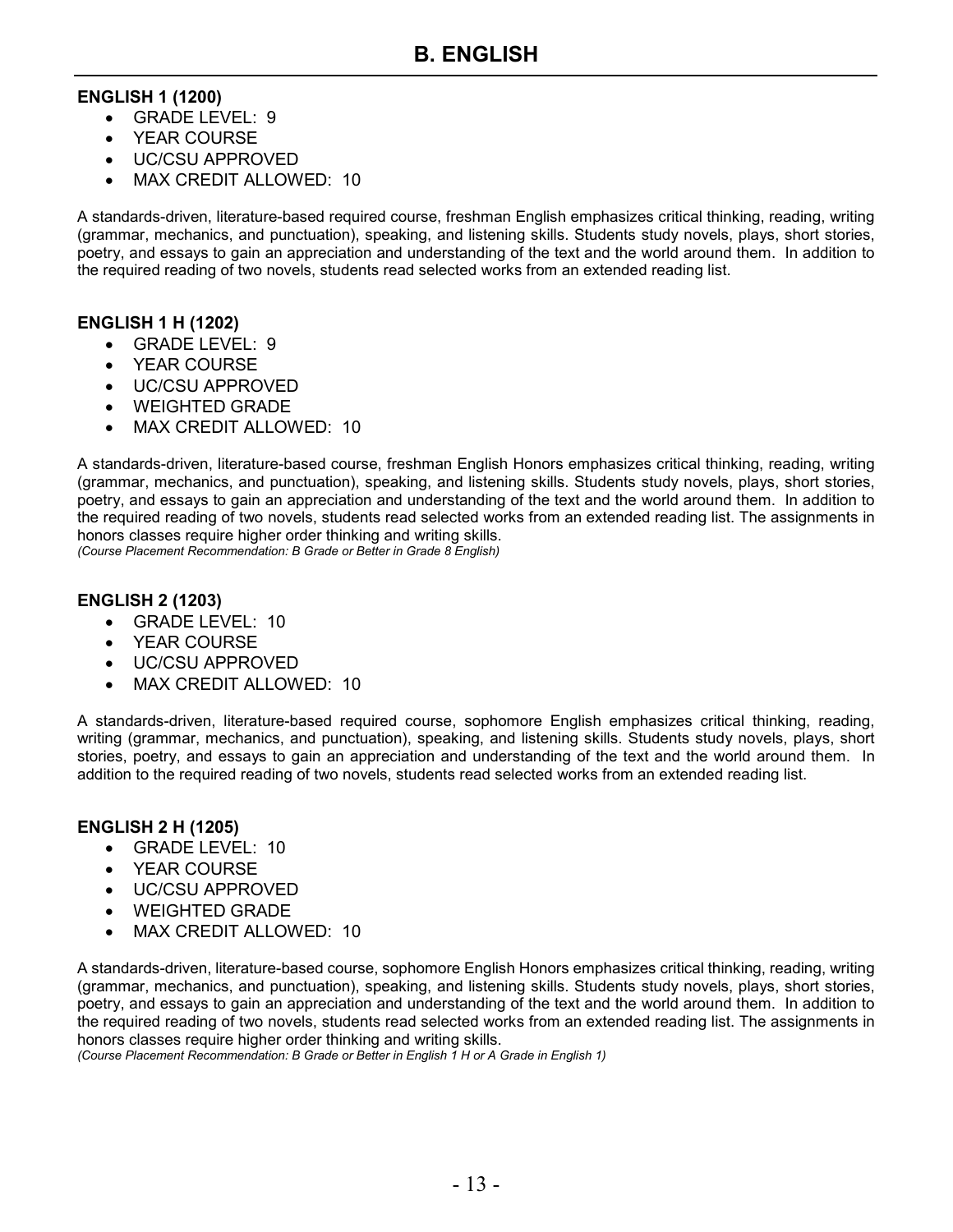#### **ENGLISH 1 (1200)**

- GRADE LEVEL: 9
- YEAR COURSE
- UC/CSU APPROVED
- MAX CREDIT ALLOWED: 10

A standards-driven, literature-based required course, freshman English emphasizes critical thinking, reading, writing (grammar, mechanics, and punctuation), speaking, and listening skills. Students study novels, plays, short stories, poetry, and essays to gain an appreciation and understanding of the text and the world around them. In addition to the required reading of two novels, students read selected works from an extended reading list.

#### **ENGLISH 1 H (1202)**

- GRADE LEVEL: 9
- YEAR COURSE
- UC/CSU APPROVED
- WEIGHTED GRADE
- MAX CREDIT ALLOWED: 10

A standards-driven, literature-based course, freshman English Honors emphasizes critical thinking, reading, writing (grammar, mechanics, and punctuation), speaking, and listening skills. Students study novels, plays, short stories, poetry, and essays to gain an appreciation and understanding of the text and the world around them. In addition to the required reading of two novels, students read selected works from an extended reading list. The assignments in honors classes require higher order thinking and writing skills. *(Course Placement Recommendation: B Grade or Better in Grade 8 English)*

**ENGLISH 2 (1203)**

- GRADE LEVEL: 10
- YEAR COURSE
- UC/CSU APPROVED
- MAX CREDIT ALLOWED: 10

A standards-driven, literature-based required course, sophomore English emphasizes critical thinking, reading, writing (grammar, mechanics, and punctuation), speaking, and listening skills. Students study novels, plays, short stories, poetry, and essays to gain an appreciation and understanding of the text and the world around them. In addition to the required reading of two novels, students read selected works from an extended reading list.

#### **ENGLISH 2 H (1205)**

- GRADE LEVEL: 10
- YEAR COURSE
- UC/CSU APPROVED
- WEIGHTED GRADE
- MAX CREDIT ALLOWED: 10

A standards-driven, literature-based course, sophomore English Honors emphasizes critical thinking, reading, writing (grammar, mechanics, and punctuation), speaking, and listening skills. Students study novels, plays, short stories, poetry, and essays to gain an appreciation and understanding of the text and the world around them. In addition to the required reading of two novels, students read selected works from an extended reading list. The assignments in honors classes require higher order thinking and writing skills.

*(Course Placement Recommendation: B Grade or Better in English 1 H or A Grade in English 1)*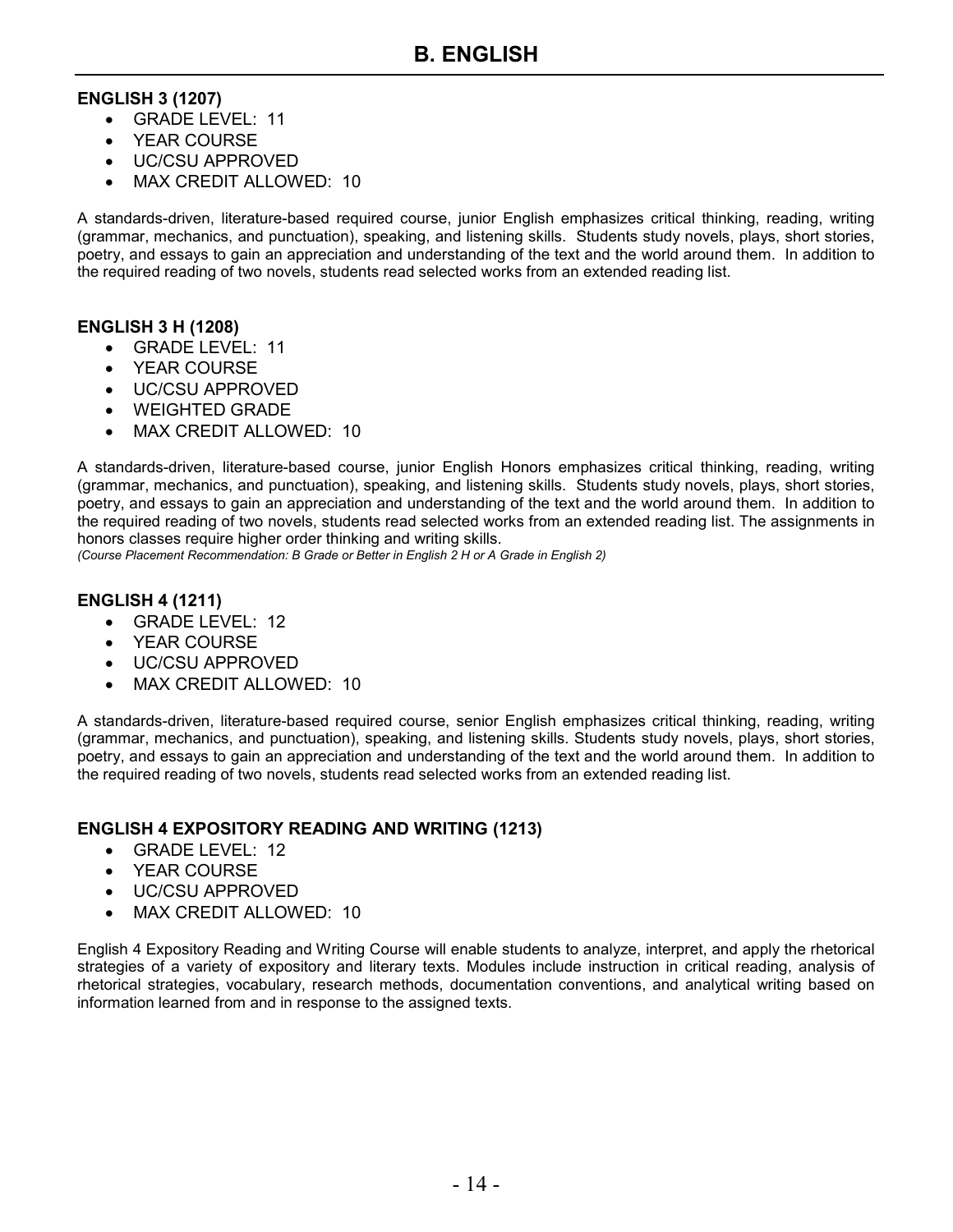#### **ENGLISH 3 (1207)**

- GRADE LEVEL: 11
- YEAR COURSE
- UC/CSU APPROVED
- MAX CREDIT ALLOWED: 10

A standards-driven, literature-based required course, junior English emphasizes critical thinking, reading, writing (grammar, mechanics, and punctuation), speaking, and listening skills. Students study novels, plays, short stories, poetry, and essays to gain an appreciation and understanding of the text and the world around them. In addition to the required reading of two novels, students read selected works from an extended reading list.

#### **ENGLISH 3 H (1208)**

- GRADE LEVEL: 11
- YEAR COURSE
- UC/CSU APPROVED
- WEIGHTED GRADE
- MAX CREDIT ALLOWED: 10

A standards-driven, literature-based course, junior English Honors emphasizes critical thinking, reading, writing (grammar, mechanics, and punctuation), speaking, and listening skills. Students study novels, plays, short stories, poetry, and essays to gain an appreciation and understanding of the text and the world around them. In addition to the required reading of two novels, students read selected works from an extended reading list. The assignments in honors classes require higher order thinking and writing skills.

*(Course Placement Recommendation: B Grade or Better in English 2 H or A Grade in English 2)*

#### **ENGLISH 4 (1211)**

- GRADE LEVEL: 12
- YEAR COURSE
- UC/CSU APPROVED
- MAX CREDIT ALLOWED: 10

A standards-driven, literature-based required course, senior English emphasizes critical thinking, reading, writing (grammar, mechanics, and punctuation), speaking, and listening skills. Students study novels, plays, short stories, poetry, and essays to gain an appreciation and understanding of the text and the world around them. In addition to the required reading of two novels, students read selected works from an extended reading list.

#### **ENGLISH 4 EXPOSITORY READING AND WRITING (1213)**

- GRADE LEVEL: 12
- YEAR COURSE
- UC/CSU APPROVED
- MAX CREDIT ALLOWED: 10

English 4 Expository Reading and Writing Course will enable students to analyze, interpret, and apply the rhetorical strategies of a variety of expository and literary texts. Modules include instruction in critical reading, analysis of rhetorical strategies, vocabulary, research methods, documentation conventions, and analytical writing based on information learned from and in response to the assigned texts.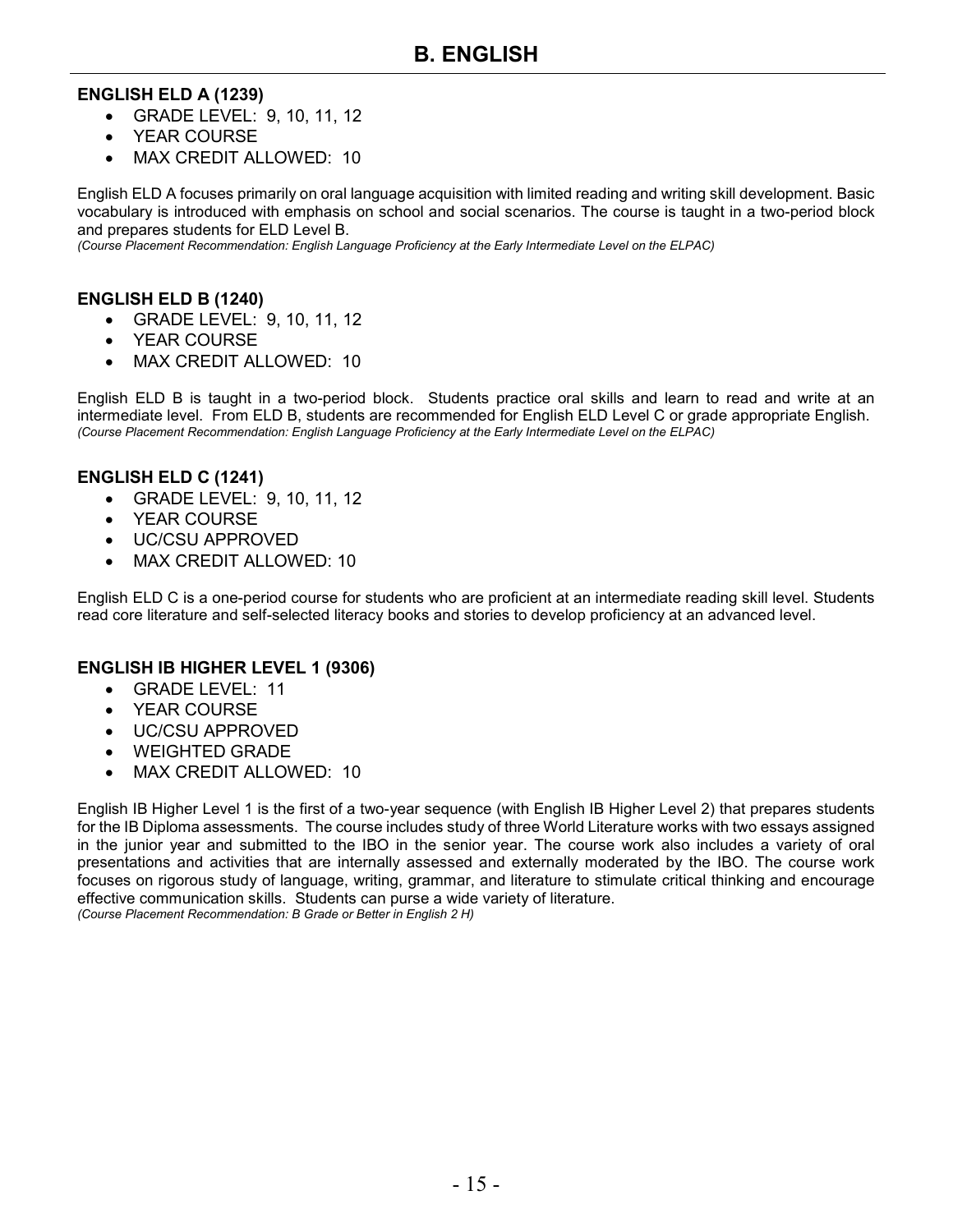### **ENGLISH ELD A (1239)**

- GRADE LEVEL: 9, 10, 11, 12
- YFAR COURSE
- MAX CREDIT ALLOWED: 10

English ELD A focuses primarily on oral language acquisition with limited reading and writing skill development. Basic vocabulary is introduced with emphasis on school and social scenarios. The course is taught in a two-period block and prepares students for ELD Level B.

*(Course Placement Recommendation: English Language Proficiency at the Early Intermediate Level on the ELPAC)*

#### **ENGLISH ELD B (1240)**

- GRADE LEVEL: 9, 10, 11, 12
- YEAR COURSE
- MAX CREDIT ALLOWED: 10

English ELD B is taught in a two-period block. Students practice oral skills and learn to read and write at an intermediate level. From ELD B, students are recommended for English ELD Level C or grade appropriate English. *(Course Placement Recommendation: English Language Proficiency at the Early Intermediate Level on the ELPAC)*

#### **ENGLISH ELD C (1241)**

- GRADE LEVEL: 9, 10, 11, 12
- YEAR COURSE
- UC/CSU APPROVED
- MAX CREDIT ALLOWED: 10

English ELD C is a one-period course for students who are proficient at an intermediate reading skill level. Students read core literature and self-selected literacy books and stories to develop proficiency at an advanced level.

#### **ENGLISH IB HIGHER LEVEL 1 (9306)**

- GRADE LEVEL: 11
- YEAR COURSE
- UC/CSU APPROVED
- WEIGHTED GRADE
- MAX CREDIT ALLOWED: 10

English IB Higher Level 1 is the first of a two-year sequence (with English IB Higher Level 2) that prepares students for the IB Diploma assessments. The course includes study of three World Literature works with two essays assigned in the junior year and submitted to the IBO in the senior year. The course work also includes a variety of oral presentations and activities that are internally assessed and externally moderated by the IBO. The course work focuses on rigorous study of language, writing, grammar, and literature to stimulate critical thinking and encourage effective communication skills. Students can purse a wide variety of literature. *(Course Placement Recommendation: B Grade or Better in English 2 H)*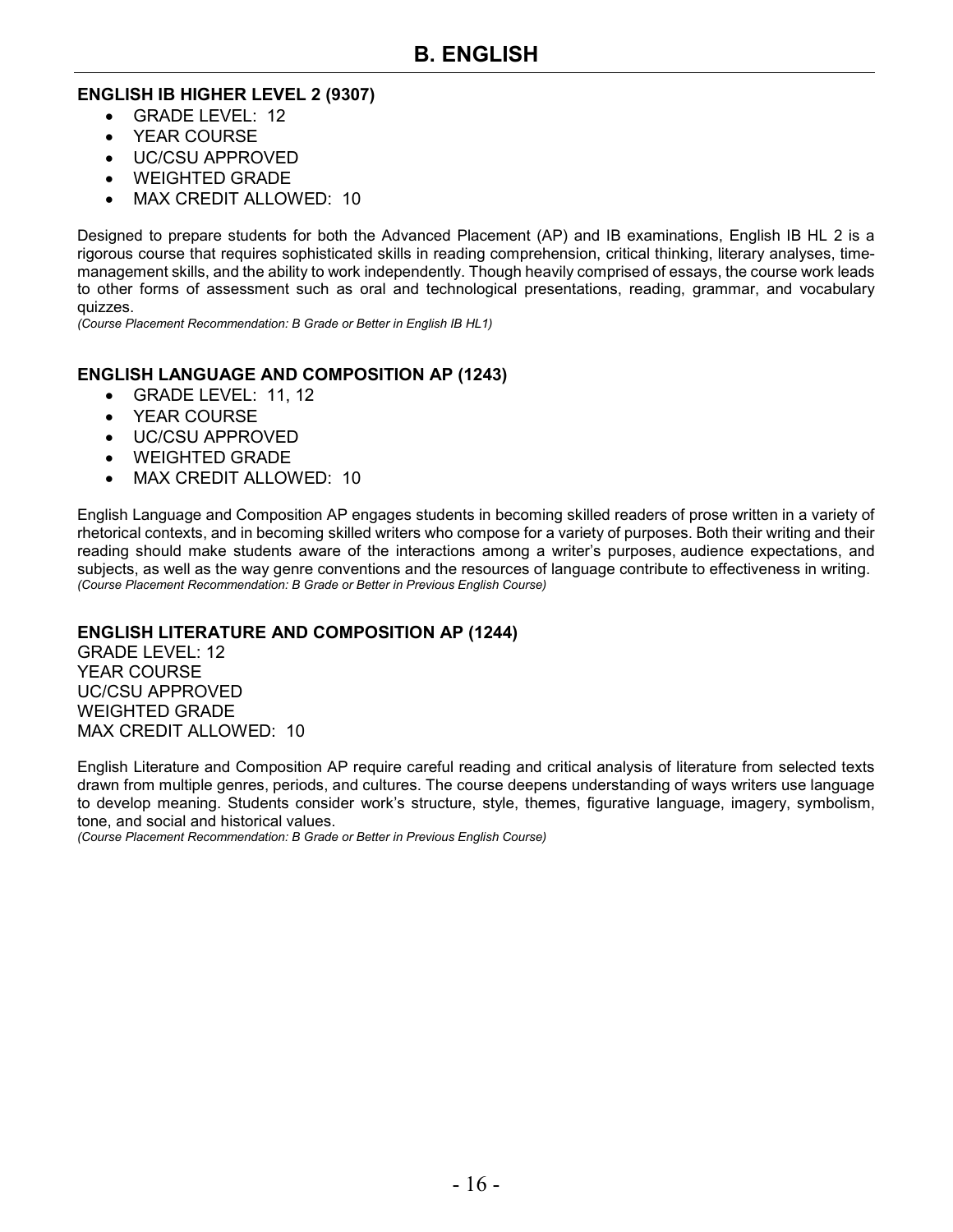#### **ENGLISH IB HIGHER LEVEL 2 (9307)**

- GRADE LEVEL: 12
- YEAR COURSE
- UC/CSU APPROVED
- WEIGHTED GRADE
- MAX CREDIT ALLOWED: 10

Designed to prepare students for both the Advanced Placement (AP) and IB examinations, English IB HL 2 is a rigorous course that requires sophisticated skills in reading comprehension, critical thinking, literary analyses, timemanagement skills, and the ability to work independently. Though heavily comprised of essays, the course work leads to other forms of assessment such as oral and technological presentations, reading, grammar, and vocabulary quizzes.

*(Course Placement Recommendation: B Grade or Better in English IB HL1)*

#### **ENGLISH LANGUAGE AND COMPOSITION AP (1243)**

- GRADE LEVEL: 11, 12
- YEAR COURSE
- UC/CSU APPROVED
- WEIGHTED GRADE
- MAX CREDIT ALLOWED: 10

English Language and Composition AP engages students in becoming skilled readers of prose written in a variety of rhetorical contexts, and in becoming skilled writers who compose for a variety of purposes. Both their writing and their reading should make students aware of the interactions among a writer's purposes, audience expectations, and subjects, as well as the way genre conventions and the resources of language contribute to effectiveness in writing. *(Course Placement Recommendation: B Grade or Better in Previous English Course)*

#### **ENGLISH LITERATURE AND COMPOSITION AP (1244)**

GRADE LEVEL: 12 YEAR COURSE UC/CSU APPROVED WEIGHTED GRADE MAX CREDIT ALLOWED: 10

English Literature and Composition AP require careful reading and critical analysis of literature from selected texts drawn from multiple genres, periods, and cultures. The course deepens understanding of ways writers use language to develop meaning. Students consider work's structure, style, themes, figurative language, imagery, symbolism, tone, and social and historical values.

*(Course Placement Recommendation: B Grade or Better in Previous English Course)*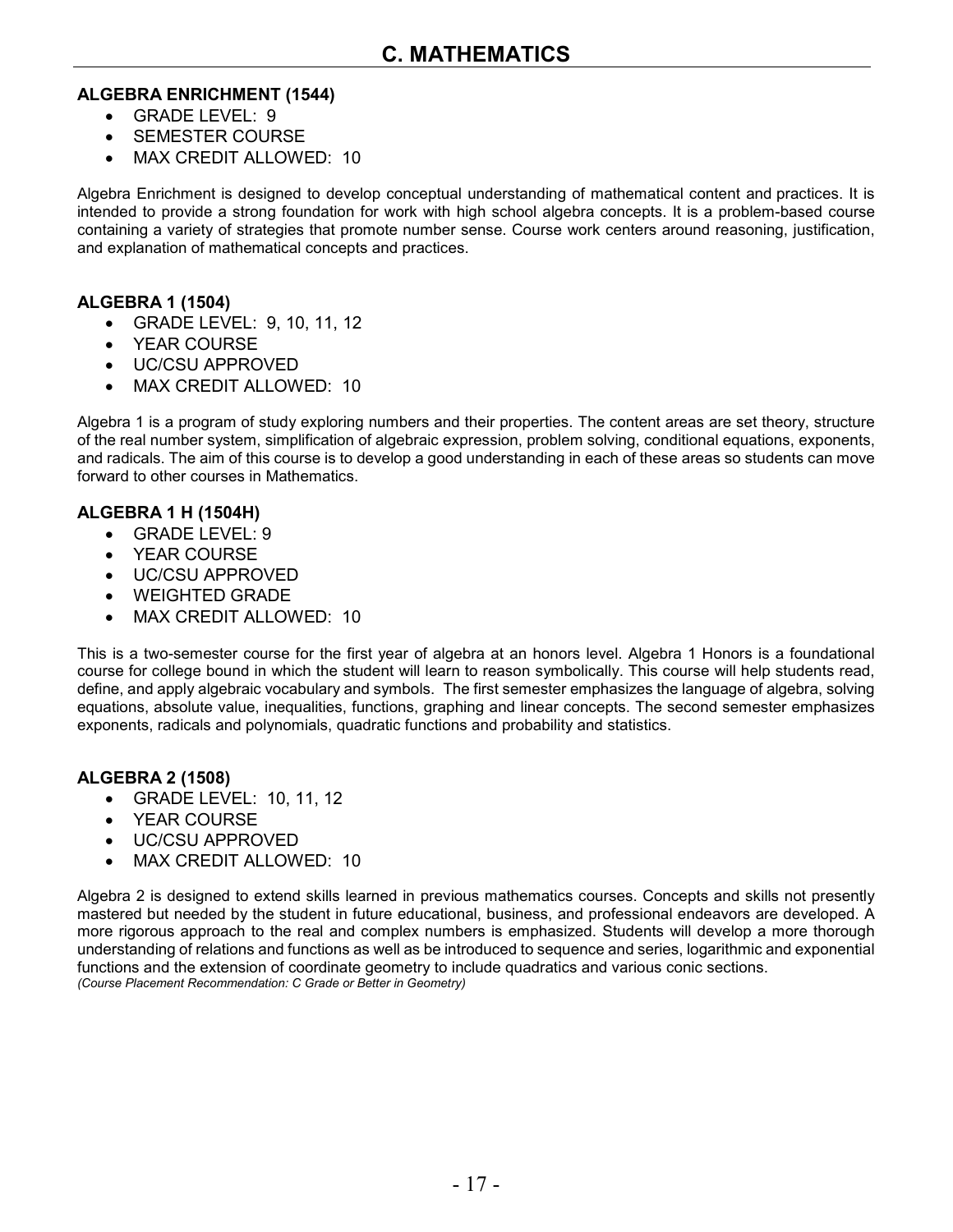#### **ALGEBRA ENRICHMENT (1544)**

- $\cdot$  GRADE LEVEL: 9
- SEMESTER COURSE
- MAX CREDIT ALLOWED: 10

Algebra Enrichment is designed to develop conceptual understanding of mathematical content and practices. It is intended to provide a strong foundation for work with high school algebra concepts. It is a problem-based course containing a variety of strategies that promote number sense. Course work centers around reasoning, justification, and explanation of mathematical concepts and practices.

#### **ALGEBRA 1 (1504)**

- GRADE LEVEL: 9, 10, 11, 12
- YEAR COURSE
- UC/CSU APPROVED
- MAX CREDIT ALLOWED: 10

Algebra 1 is a program of study exploring numbers and their properties. The content areas are set theory, structure of the real number system, simplification of algebraic expression, problem solving, conditional equations, exponents, and radicals. The aim of this course is to develop a good understanding in each of these areas so students can move forward to other courses in Mathematics.

#### **ALGEBRA 1 H (1504H)**

- GRADE LEVEL: 9
- YEAR COURSE
- UC/CSU APPROVED
- WEIGHTED GRADE
- MAX CREDIT ALLOWED: 10

This is a two-semester course for the first year of algebra at an honors level. Algebra 1 Honors is a foundational course for college bound in which the student will learn to reason symbolically. This course will help students read, define, and apply algebraic vocabulary and symbols. The first semester emphasizes the language of algebra, solving equations, absolute value, inequalities, functions, graphing and linear concepts. The second semester emphasizes exponents, radicals and polynomials, quadratic functions and probability and statistics.

#### **ALGEBRA 2 (1508)**

- GRADE LEVEL: 10, 11, 12
- YEAR COURSE
- UC/CSU APPROVED
- MAX CREDIT ALLOWED: 10

Algebra 2 is designed to extend skills learned in previous mathematics courses. Concepts and skills not presently mastered but needed by the student in future educational, business, and professional endeavors are developed. A more rigorous approach to the real and complex numbers is emphasized. Students will develop a more thorough understanding of relations and functions as well as be introduced to sequence and series, logarithmic and exponential functions and the extension of coordinate geometry to include quadratics and various conic sections. *(Course Placement Recommendation: C Grade or Better in Geometry)*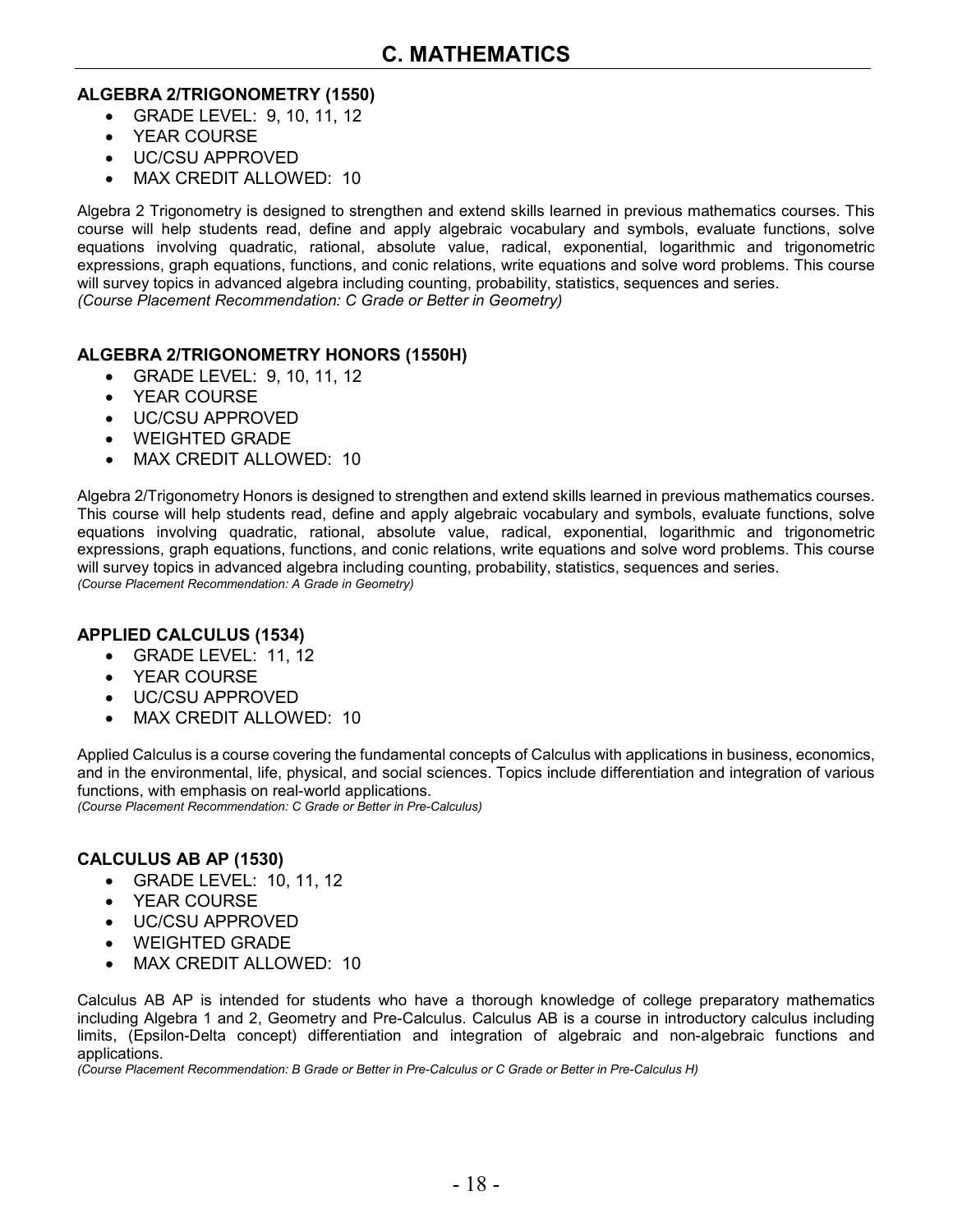#### **ALGEBRA 2/TRIGONOMETRY (1550)**

- GRADE LEVEL: 9, 10, 11, 12
- YEAR COURSE
- UC/CSU APPROVED
- MAX CREDIT ALLOWED: 10

Algebra 2 Trigonometry is designed to strengthen and extend skills learned in previous mathematics courses. This course will help students read, define and apply algebraic vocabulary and symbols, evaluate functions, solve equations involving quadratic, rational, absolute value, radical, exponential, logarithmic and trigonometric expressions, graph equations, functions, and conic relations, write equations and solve word problems. This course will survey topics in advanced algebra including counting, probability, statistics, sequences and series. *(Course Placement Recommendation: C Grade or Better in Geometry)*

#### **ALGEBRA 2/TRIGONOMETRY HONORS (1550H)**

- GRADE LEVEL: 9, 10, 11, 12
- YEAR COURSE
- UC/CSU APPROVED
- WEIGHTED GRADE
- MAX CREDIT ALLOWED: 10

Algebra 2/Trigonometry Honors is designed to strengthen and extend skills learned in previous mathematics courses. This course will help students read, define and apply algebraic vocabulary and symbols, evaluate functions, solve equations involving quadratic, rational, absolute value, radical, exponential, logarithmic and trigonometric expressions, graph equations, functions, and conic relations, write equations and solve word problems. This course will survey topics in advanced algebra including counting, probability, statistics, sequences and series. *(Course Placement Recommendation: A Grade in Geometry)*

#### **APPLIED CALCULUS (1534)**

- GRADE LEVEL: 11, 12
- YEAR COURSE
- UC/CSU APPROVED
- MAX CREDIT ALLOWED: 10

Applied Calculus is a course covering the fundamental concepts of Calculus with applications in business, economics, and in the environmental, life, physical, and social sciences. Topics include differentiation and integration of various functions, with emphasis on real-world applications.

*(Course Placement Recommendation: C Grade or Better in Pre-Calculus)*

#### **CALCULUS AB AP (1530)**

- GRADE LEVEL: 10, 11, 12
- YEAR COURSE
- UC/CSU APPROVED
- WEIGHTED GRADE
- MAX CREDIT ALLOWED: 10

Calculus AB AP is intended for students who have a thorough knowledge of college preparatory mathematics including Algebra 1 and 2, Geometry and Pre-Calculus. Calculus AB is a course in introductory calculus including limits, (Epsilon-Delta concept) differentiation and integration of algebraic and non-algebraic functions and applications.

*(Course Placement Recommendation: B Grade or Better in Pre-Calculus or C Grade or Better in Pre-Calculus H)*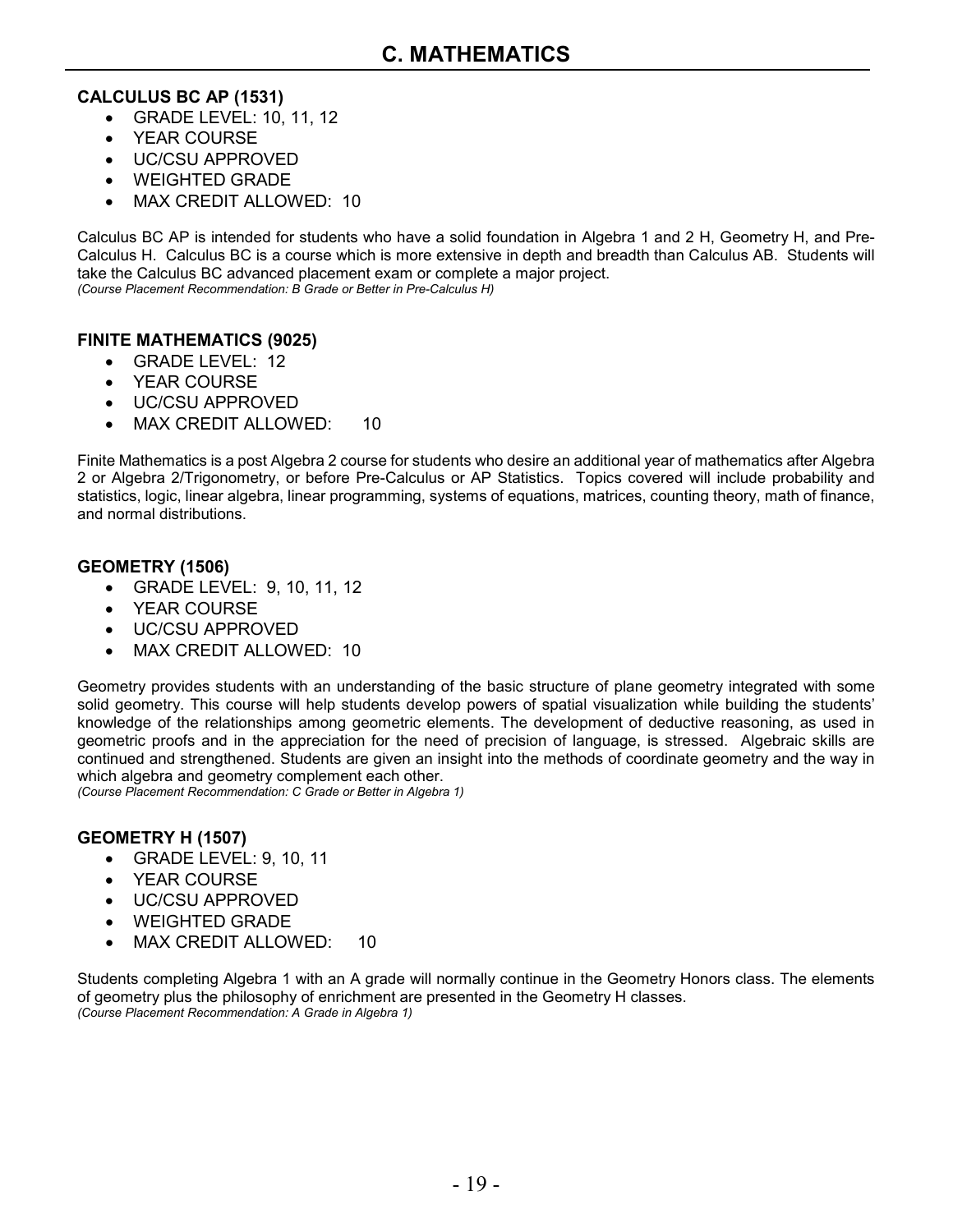#### **CALCULUS BC AP (1531)**

- GRADE LEVEL: 10, 11, 12
- YEAR COURSE
- UC/CSU APPROVED
- WEIGHTED GRADE
- MAX CREDIT ALLOWED: 10

Calculus BC AP is intended for students who have a solid foundation in Algebra 1 and 2 H, Geometry H, and Pre-Calculus H. Calculus BC is a course which is more extensive in depth and breadth than Calculus AB. Students will take the Calculus BC advanced placement exam or complete a major project. *(Course Placement Recommendation: B Grade or Better in Pre-Calculus H)*

#### **FINITE MATHEMATICS (9025)**

- GRADE LEVEL: 12
- YEAR COURSE
- UC/CSU APPROVED
- MAX CREDIT ALLOWED: 10

Finite Mathematics is a post Algebra 2 course for students who desire an additional year of mathematics after Algebra 2 or Algebra 2/Trigonometry, or before Pre-Calculus or AP Statistics. Topics covered will include probability and statistics, logic, linear algebra, linear programming, systems of equations, matrices, counting theory, math of finance, and normal distributions.

#### **GEOMETRY (1506)**

- GRADE LEVEL: 9, 10, 11, 12
- YEAR COURSE
- UC/CSU APPROVED
- MAX CREDIT ALLOWED: 10

Geometry provides students with an understanding of the basic structure of plane geometry integrated with some solid geometry. This course will help students develop powers of spatial visualization while building the students' knowledge of the relationships among geometric elements. The development of deductive reasoning, as used in geometric proofs and in the appreciation for the need of precision of language, is stressed. Algebraic skills are continued and strengthened. Students are given an insight into the methods of coordinate geometry and the way in which algebra and geometry complement each other.

*(Course Placement Recommendation: C Grade or Better in Algebra 1)*

#### **GEOMETRY H (1507)**

- GRADE LEVEL: 9, 10, 11
- YEAR COURSE
- UC/CSU APPROVED
- WEIGHTED GRADE
- MAX CREDIT ALLOWED: 10

Students completing Algebra 1 with an A grade will normally continue in the Geometry Honors class. The elements of geometry plus the philosophy of enrichment are presented in the Geometry H classes. *(Course Placement Recommendation: A Grade in Algebra 1)*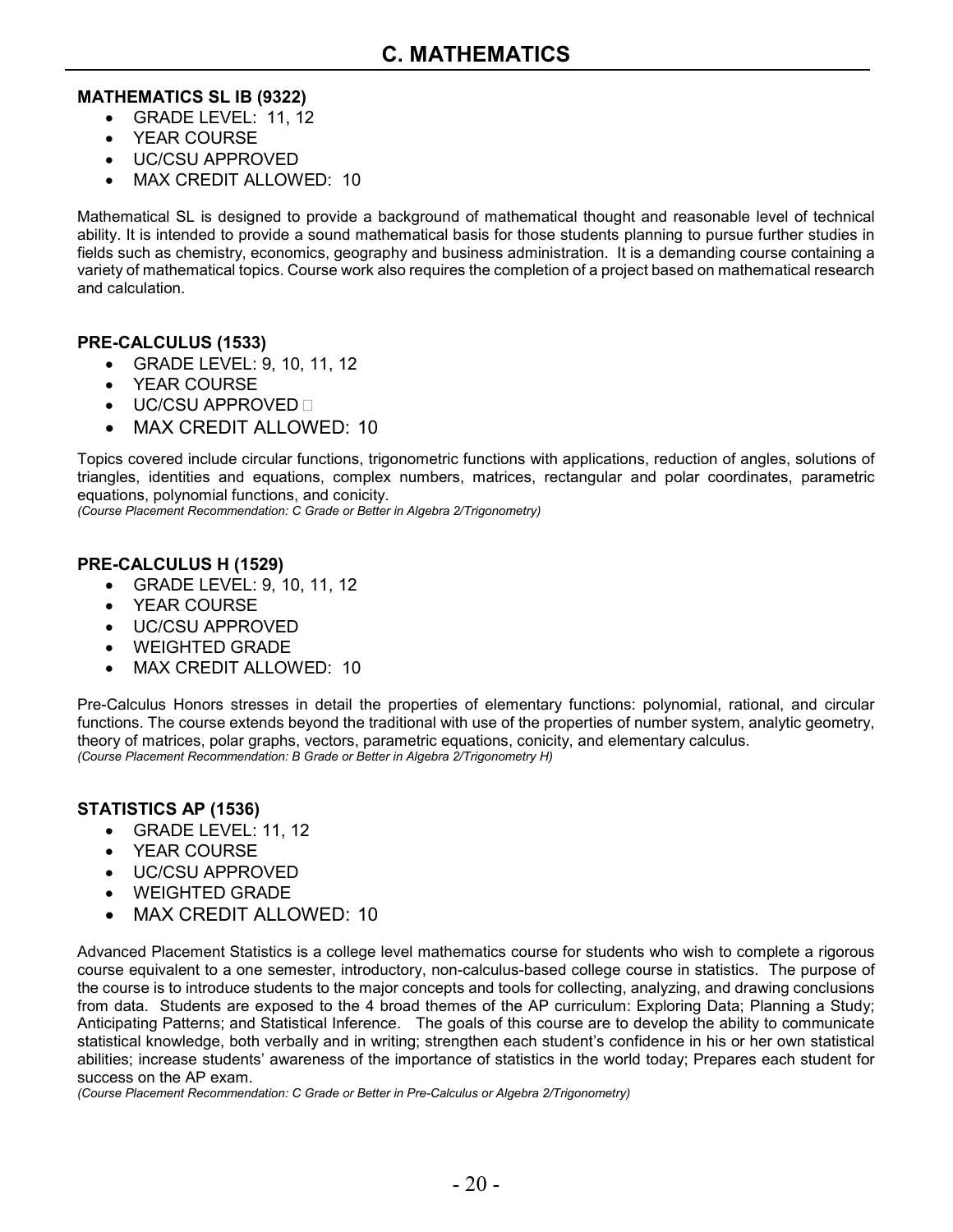#### **MATHEMATICS SL IB (9322)**

- GRADE LEVEL: 11, 12
- YEAR COURSE
- UC/CSU APPROVED
- MAX CREDIT ALLOWED: 10

Mathematical SL is designed to provide a background of mathematical thought and reasonable level of technical ability. It is intended to provide a sound mathematical basis for those students planning to pursue further studies in fields such as chemistry, economics, geography and business administration. It is a demanding course containing a variety of mathematical topics. Course work also requires the completion of a project based on mathematical research and calculation.

#### **PRE-CALCULUS (1533)**

- GRADE LEVEL: 9, 10, 11, 12
- YEAR COURSE
- UC/CSU APPROVED
- MAX CREDIT ALLOWED: 10

Topics covered include circular functions, trigonometric functions with applications, reduction of angles, solutions of triangles, identities and equations, complex numbers, matrices, rectangular and polar coordinates, parametric equations, polynomial functions, and conicity.

*(Course Placement Recommendation: C Grade or Better in Algebra 2/Trigonometry)*

#### **PRE-CALCULUS H (1529)**

- GRADE LEVEL: 9, 10, 11, 12
- YEAR COURSE
- UC/CSU APPROVED
- WEIGHTED GRADE
- MAX CREDIT ALLOWED: 10

Pre-Calculus Honors stresses in detail the properties of elementary functions: polynomial, rational, and circular functions. The course extends beyond the traditional with use of the properties of number system, analytic geometry, theory of matrices, polar graphs, vectors, parametric equations, conicity, and elementary calculus. *(Course Placement Recommendation: B Grade or Better in Algebra 2/Trigonometry H)*

#### **STATISTICS AP (1536)**

- GRADE LEVEL: 11, 12
- YEAR COURSE
- UC/CSU APPROVED
- WEIGHTED GRADE
- MAX CREDIT ALLOWED: 10

Advanced Placement Statistics is a college level mathematics course for students who wish to complete a rigorous course equivalent to a one semester, introductory, non-calculus-based college course in statistics. The purpose of the course is to introduce students to the major concepts and tools for collecting, analyzing, and drawing conclusions from data. Students are exposed to the 4 broad themes of the AP curriculum: Exploring Data; Planning a Study; Anticipating Patterns; and Statistical Inference. The goals of this course are to develop the ability to communicate statistical knowledge, both verbally and in writing; strengthen each student's confidence in his or her own statistical abilities; increase students' awareness of the importance of statistics in the world today; Prepares each student for success on the AP exam.

*(Course Placement Recommendation: C Grade or Better in Pre-Calculus or Algebra 2/Trigonometry)*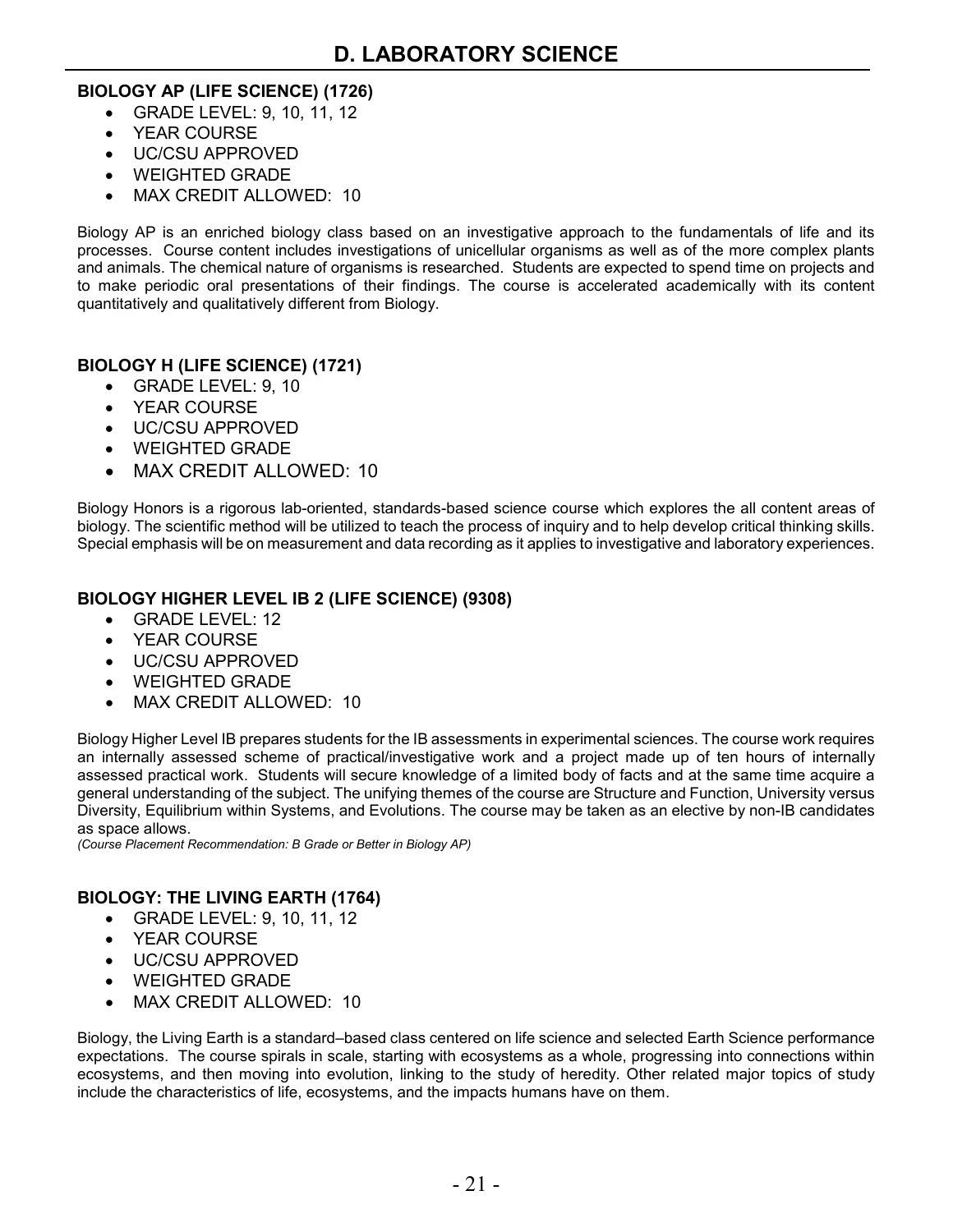#### **BIOLOGY AP (LIFE SCIENCE) (1726)**

- GRADE LEVEL: 9, 10, 11, 12
- YEAR COURSE
- UC/CSU APPROVED
- WEIGHTED GRADE
- MAX CREDIT ALLOWED: 10

Biology AP is an enriched biology class based on an investigative approach to the fundamentals of life and its processes. Course content includes investigations of unicellular organisms as well as of the more complex plants and animals. The chemical nature of organisms is researched. Students are expected to spend time on projects and to make periodic oral presentations of their findings. The course is accelerated academically with its content quantitatively and qualitatively different from Biology.

### **BIOLOGY H (LIFE SCIENCE) (1721)**

- GRADE LEVEL: 9, 10
- YEAR COURSE
- UC/CSU APPROVED
- WEIGHTED GRADE
- MAX CREDIT ALLOWED: 10

Biology Honors is a rigorous lab-oriented, standards-based science course which explores the all content areas of biology. The scientific method will be utilized to teach the process of inquiry and to help develop critical thinking skills. Special emphasis will be on measurement and data recording as it applies to investigative and laboratory experiences.

#### **BIOLOGY HIGHER LEVEL IB 2 (LIFE SCIENCE) (9308)**

- GRADE LEVEL: 12
- YEAR COURSE
- UC/CSU APPROVED
- WEIGHTED GRADE
- MAX CREDIT ALLOWED: 10

Biology Higher Level IB prepares students for the IB assessments in experimental sciences. The course work requires an internally assessed scheme of practical/investigative work and a project made up of ten hours of internally assessed practical work. Students will secure knowledge of a limited body of facts and at the same time acquire a general understanding of the subject. The unifying themes of the course are Structure and Function, University versus Diversity, Equilibrium within Systems, and Evolutions. The course may be taken as an elective by non-IB candidates as space allows.

*(Course Placement Recommendation: B Grade or Better in Biology AP)*

#### **BIOLOGY: THE LIVING EARTH (1764)**

- GRADE LEVEL: 9, 10, 11, 12
- YEAR COURSE
- UC/CSU APPROVED
- WEIGHTED GRADE
- MAX CREDIT ALLOWED: 10

Biology, the Living Earth is a standard–based class centered on life science and selected Earth Science performance expectations. The course spirals in scale, starting with ecosystems as a whole, progressing into connections within ecosystems, and then moving into evolution, linking to the study of heredity. Other related major topics of study include the characteristics of life, ecosystems, and the impacts humans have on them.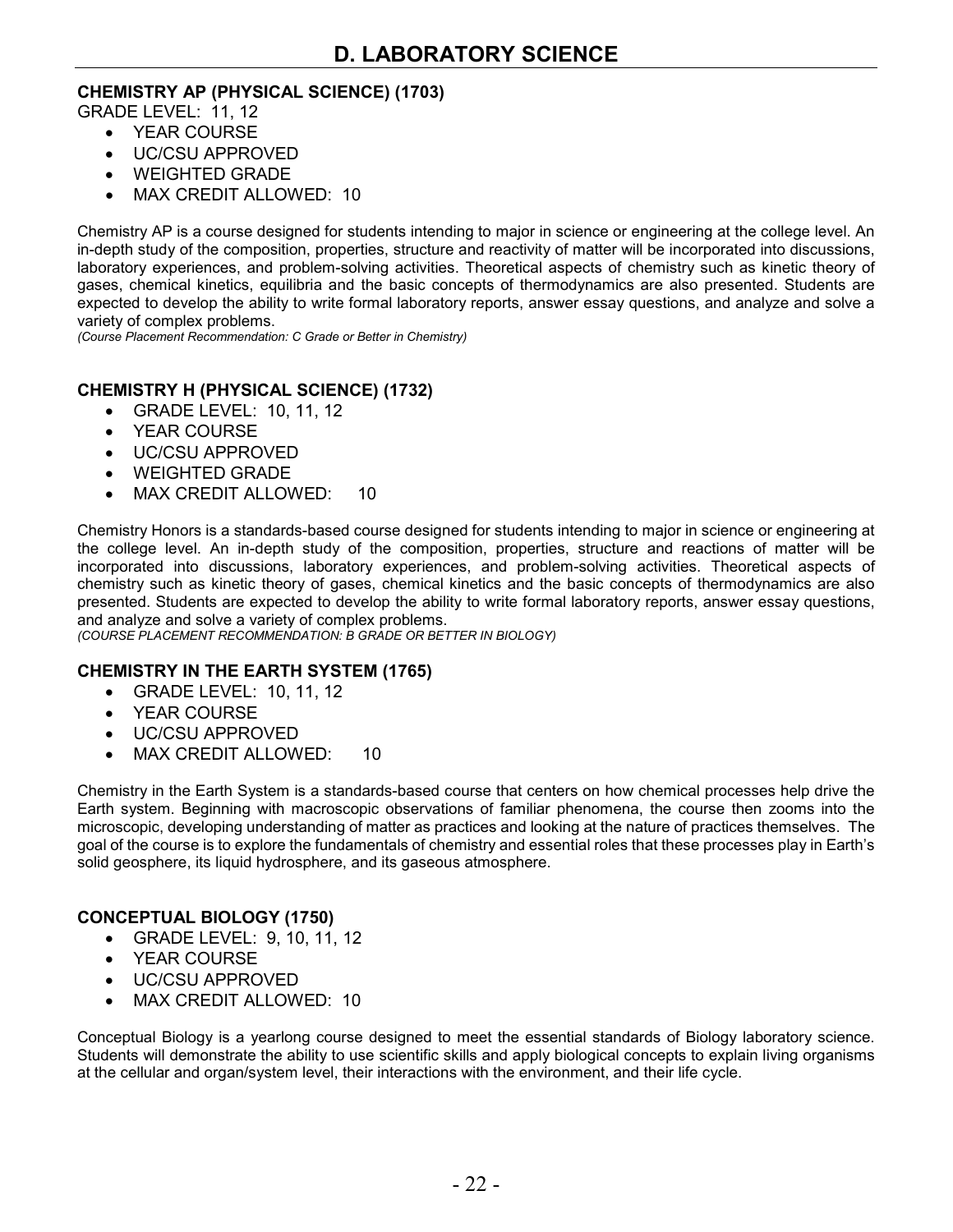#### **CHEMISTRY AP (PHYSICAL SCIENCE) (1703)**

GRADE LEVEL: 11, 12

- YEAR COURSE
- UC/CSU APPROVED
- WEIGHTED GRADE
- MAX CREDIT ALLOWED: 10

Chemistry AP is a course designed for students intending to major in science or engineering at the college level. An in-depth study of the composition, properties, structure and reactivity of matter will be incorporated into discussions, laboratory experiences, and problem-solving activities. Theoretical aspects of chemistry such as kinetic theory of gases, chemical kinetics, equilibria and the basic concepts of thermodynamics are also presented. Students are expected to develop the ability to write formal laboratory reports, answer essay questions, and analyze and solve a variety of complex problems.

*(Course Placement Recommendation: C Grade or Better in Chemistry)*

#### **CHEMISTRY H (PHYSICAL SCIENCE) (1732)**

- GRADE LEVEL: 10, 11, 12
- YEAR COURSE
- UC/CSU APPROVED
- WEIGHTED GRADE
- MAX CREDIT ALLOWED: 10

Chemistry Honors is a standards-based course designed for students intending to major in science or engineering at the college level. An in-depth study of the composition, properties, structure and reactions of matter will be incorporated into discussions, laboratory experiences, and problem-solving activities. Theoretical aspects of chemistry such as kinetic theory of gases, chemical kinetics and the basic concepts of thermodynamics are also presented. Students are expected to develop the ability to write formal laboratory reports, answer essay questions, and analyze and solve a variety of complex problems.

*(COURSE PLACEMENT RECOMMENDATION: B GRADE OR BETTER IN BIOLOGY)*

#### **CHEMISTRY IN THE EARTH SYSTEM (1765)**

- GRADE LEVEL: 10, 11, 12
- YEAR COURSE
- UC/CSU APPROVED
- MAX CREDIT ALLOWED: 10

Chemistry in the Earth System is a standards-based course that centers on how chemical processes help drive the Earth system. Beginning with macroscopic observations of familiar phenomena, the course then zooms into the microscopic, developing understanding of matter as practices and looking at the nature of practices themselves. The goal of the course is to explore the fundamentals of chemistry and essential roles that these processes play in Earth's solid geosphere, its liquid hydrosphere, and its gaseous atmosphere.

#### **CONCEPTUAL BIOLOGY (1750)**

- GRADE LEVEL: 9, 10, 11, 12
- YEAR COURSE
- UC/CSU APPROVED
- MAX CREDIT ALLOWED: 10

Conceptual Biology is a yearlong course designed to meet the essential standards of Biology laboratory science. Students will demonstrate the ability to use scientific skills and apply biological concepts to explain living organisms at the cellular and organ/system level, their interactions with the environment, and their life cycle.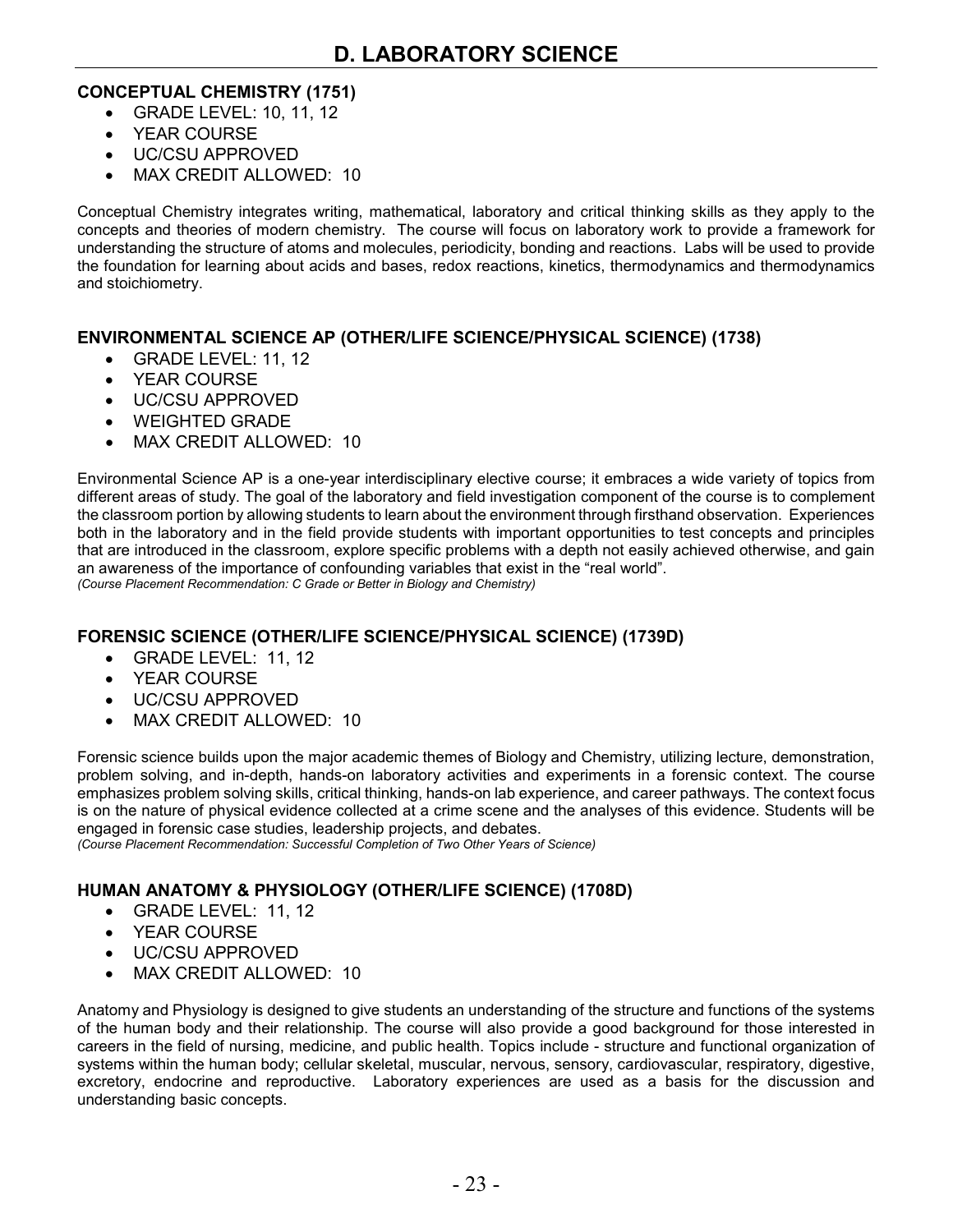#### **CONCEPTUAL CHEMISTRY (1751)**

- GRADE LEVEL: 10, 11, 12
- YEAR COURSE
- UC/CSU APPROVED
- MAX CREDIT ALLOWED: 10

Conceptual Chemistry integrates writing, mathematical, laboratory and critical thinking skills as they apply to the concepts and theories of modern chemistry. The course will focus on laboratory work to provide a framework for understanding the structure of atoms and molecules, periodicity, bonding and reactions. Labs will be used to provide the foundation for learning about acids and bases, redox reactions, kinetics, thermodynamics and thermodynamics and stoichiometry.

#### **ENVIRONMENTAL SCIENCE AP (OTHER/LIFE SCIENCE/PHYSICAL SCIENCE) (1738)**

- GRADE LEVEL: 11, 12
- YEAR COURSE
- UC/CSU APPROVED
- WEIGHTED GRADE
- MAX CREDIT ALLOWED: 10

Environmental Science AP is a one-year interdisciplinary elective course; it embraces a wide variety of topics from different areas of study. The goal of the laboratory and field investigation component of the course is to complement the classroom portion by allowing students to learn about the environment through firsthand observation. Experiences both in the laboratory and in the field provide students with important opportunities to test concepts and principles that are introduced in the classroom, explore specific problems with a depth not easily achieved otherwise, and gain an awareness of the importance of confounding variables that exist in the "real world". *(Course Placement Recommendation: C Grade or Better in Biology and Chemistry)*

#### **FORENSIC SCIENCE (OTHER/LIFE SCIENCE/PHYSICAL SCIENCE) (1739D)**

- GRADE LEVEL: 11, 12
- YEAR COURSE
- UC/CSU APPROVED
- MAX CREDIT ALLOWED: 10

Forensic science builds upon the major academic themes of Biology and Chemistry, utilizing lecture, demonstration, problem solving, and in-depth, hands-on laboratory activities and experiments in a forensic context. The course emphasizes problem solving skills, critical thinking, hands-on lab experience, and career pathways. The context focus is on the nature of physical evidence collected at a crime scene and the analyses of this evidence. Students will be engaged in forensic case studies, leadership projects, and debates.

*(Course Placement Recommendation: Successful Completion of Two Other Years of Science)*

#### **HUMAN ANATOMY & PHYSIOLOGY (OTHER/LIFE SCIENCE) (1708D)**

- GRADE LEVEL: 11, 12
- YEAR COURSE
- UC/CSU APPROVED
- MAX CREDIT ALLOWED: 10

Anatomy and Physiology is designed to give students an understanding of the structure and functions of the systems of the human body and their relationship. The course will also provide a good background for those interested in careers in the field of nursing, medicine, and public health. Topics include - structure and functional organization of systems within the human body; cellular skeletal, muscular, nervous, sensory, cardiovascular, respiratory, digestive, excretory, endocrine and reproductive. Laboratory experiences are used as a basis for the discussion and understanding basic concepts.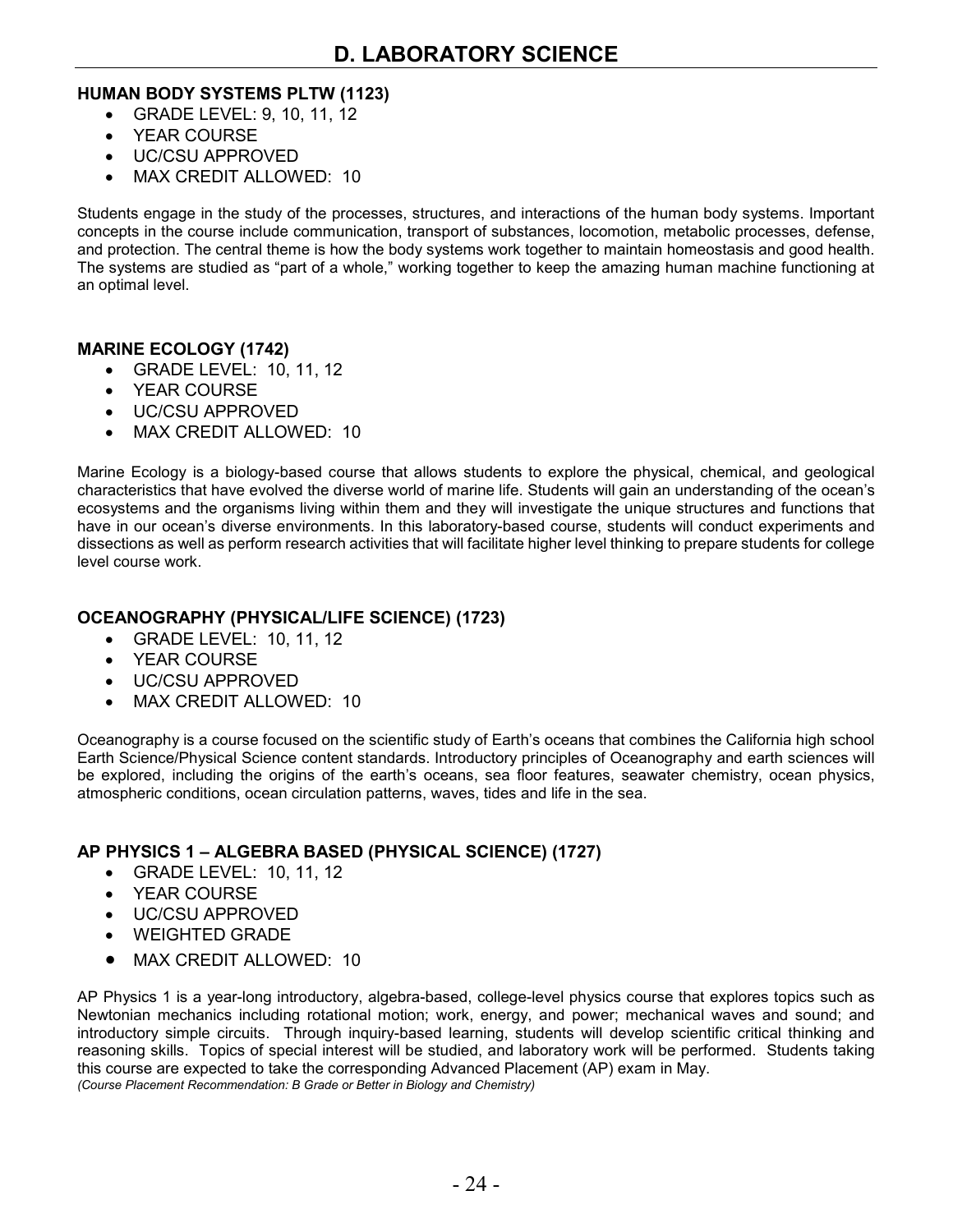#### **HUMAN BODY SYSTEMS PLTW (1123)**

- GRADE LEVEL: 9, 10, 11, 12
- YEAR COURSE
- UC/CSU APPROVED
- MAX CREDIT ALLOWED: 10

Students engage in the study of the processes, structures, and interactions of the human body systems. Important concepts in the course include communication, transport of substances, locomotion, metabolic processes, defense, and protection. The central theme is how the body systems work together to maintain homeostasis and good health. The systems are studied as "part of a whole," working together to keep the amazing human machine functioning at an optimal level.

#### **MARINE ECOLOGY (1742)**

- GRADE LEVEL: 10, 11, 12
- YEAR COURSE
- UC/CSU APPROVED
- MAX CREDIT ALLOWED: 10

Marine Ecology is a biology-based course that allows students to explore the physical, chemical, and geological characteristics that have evolved the diverse world of marine life. Students will gain an understanding of the ocean's ecosystems and the organisms living within them and they will investigate the unique structures and functions that have in our ocean's diverse environments. In this laboratory-based course, students will conduct experiments and dissections as well as perform research activities that will facilitate higher level thinking to prepare students for college level course work.

#### **OCEANOGRAPHY (PHYSICAL/LIFE SCIENCE) (1723)**

- GRADE LEVEL: 10, 11, 12
- YEAR COURSE
- UC/CSU APPROVED
- MAX CREDIT ALLOWED: 10

Oceanography is a course focused on the scientific study of Earth's oceans that combines the California high school Earth Science/Physical Science content standards. Introductory principles of Oceanography and earth sciences will be explored, including the origins of the earth's oceans, sea floor features, seawater chemistry, ocean physics, atmospheric conditions, ocean circulation patterns, waves, tides and life in the sea.

#### **AP PHYSICS 1 – ALGEBRA BASED (PHYSICAL SCIENCE) (1727)**

- GRADE LEVEL: 10, 11, 12
- YEAR COURSE
- UC/CSU APPROVED
- WEIGHTED GRADE
- MAX CREDIT ALLOWED: 10

AP Physics 1 is a year-long introductory, algebra-based, college-level physics course that explores topics such as Newtonian mechanics including rotational motion; work, energy, and power; mechanical waves and sound; and introductory simple circuits. Through inquiry-based learning, students will develop scientific critical thinking and reasoning skills. Topics of special interest will be studied, and laboratory work will be performed. Students taking this course are expected to take the corresponding Advanced Placement (AP) exam in May. *(Course Placement Recommendation: B Grade or Better in Biology and Chemistry)*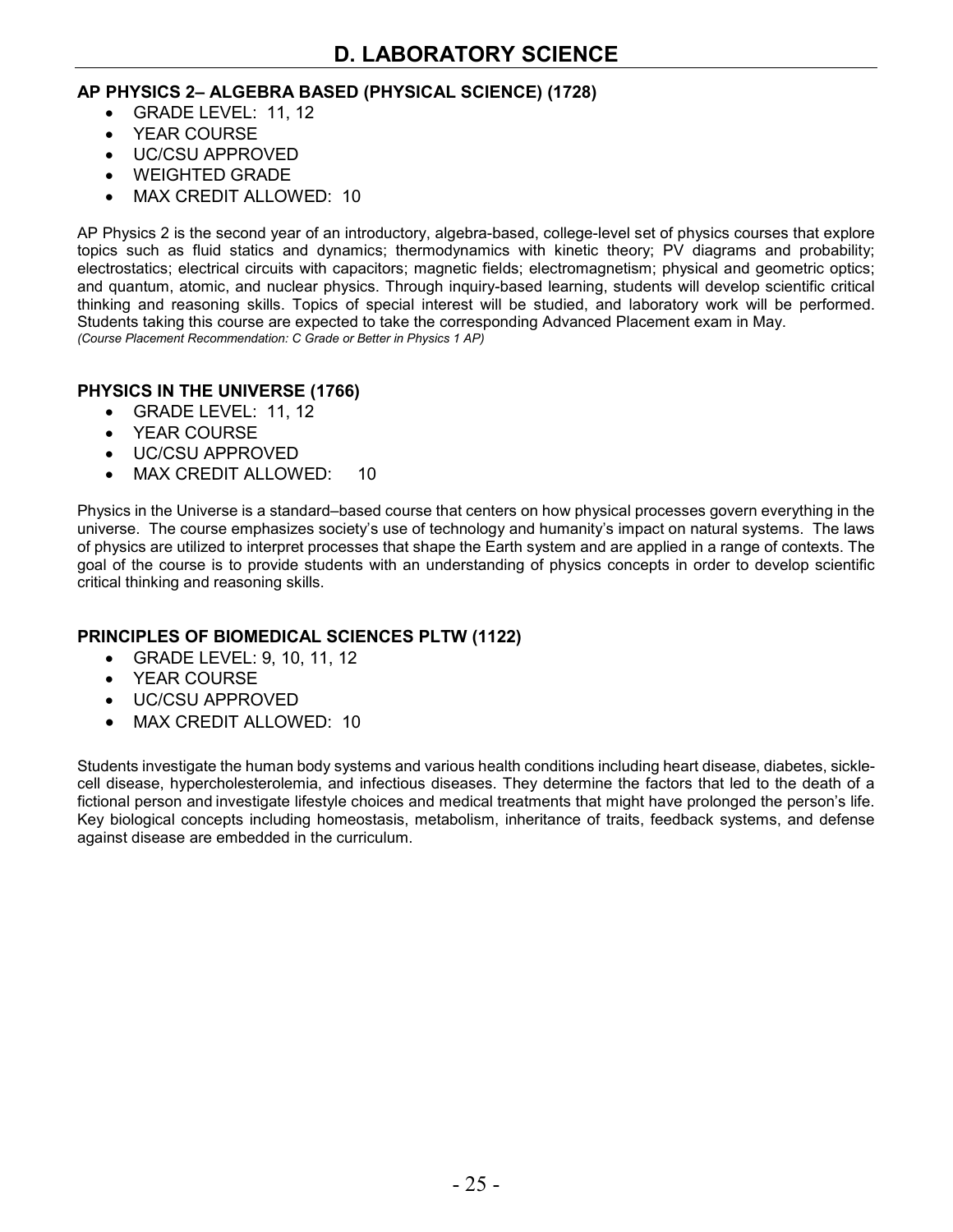#### **AP PHYSICS 2– ALGEBRA BASED (PHYSICAL SCIENCE) (1728)**

- GRADE LEVEL: 11, 12
- YEAR COURSE
- UC/CSU APPROVED
- WEIGHTED GRADE
- MAX CREDIT ALLOWED: 10

AP Physics 2 is the second year of an introductory, algebra-based, college-level set of physics courses that explore topics such as fluid statics and dynamics; thermodynamics with kinetic theory; PV diagrams and probability; electrostatics; electrical circuits with capacitors; magnetic fields; electromagnetism; physical and geometric optics; and quantum, atomic, and nuclear physics. Through inquiry-based learning, students will develop scientific critical thinking and reasoning skills. Topics of special interest will be studied, and laboratory work will be performed. Students taking this course are expected to take the corresponding Advanced Placement exam in May. *(Course Placement Recommendation: C Grade or Better in Physics 1 AP)*

#### **PHYSICS IN THE UNIVERSE (1766)**

- GRADE LEVEL: 11, 12
- YEAR COURSE
- UC/CSU APPROVED
- MAX CREDIT ALLOWED: 10

Physics in the Universe is a standard–based course that centers on how physical processes govern everything in the universe. The course emphasizes society's use of technology and humanity's impact on natural systems. The laws of physics are utilized to interpret processes that shape the Earth system and are applied in a range of contexts. The goal of the course is to provide students with an understanding of physics concepts in order to develop scientific critical thinking and reasoning skills.

#### **PRINCIPLES OF BIOMEDICAL SCIENCES PLTW (1122)**

- GRADE LEVEL: 9, 10, 11, 12
- YEAR COURSE
- UC/CSU APPROVED
- MAX CREDIT ALLOWED: 10

Students investigate the human body systems and various health conditions including heart disease, diabetes, sicklecell disease, hypercholesterolemia, and infectious diseases. They determine the factors that led to the death of a fictional person and investigate lifestyle choices and medical treatments that might have prolonged the person's life. Key biological concepts including homeostasis, metabolism, inheritance of traits, feedback systems, and defense against disease are embedded in the curriculum.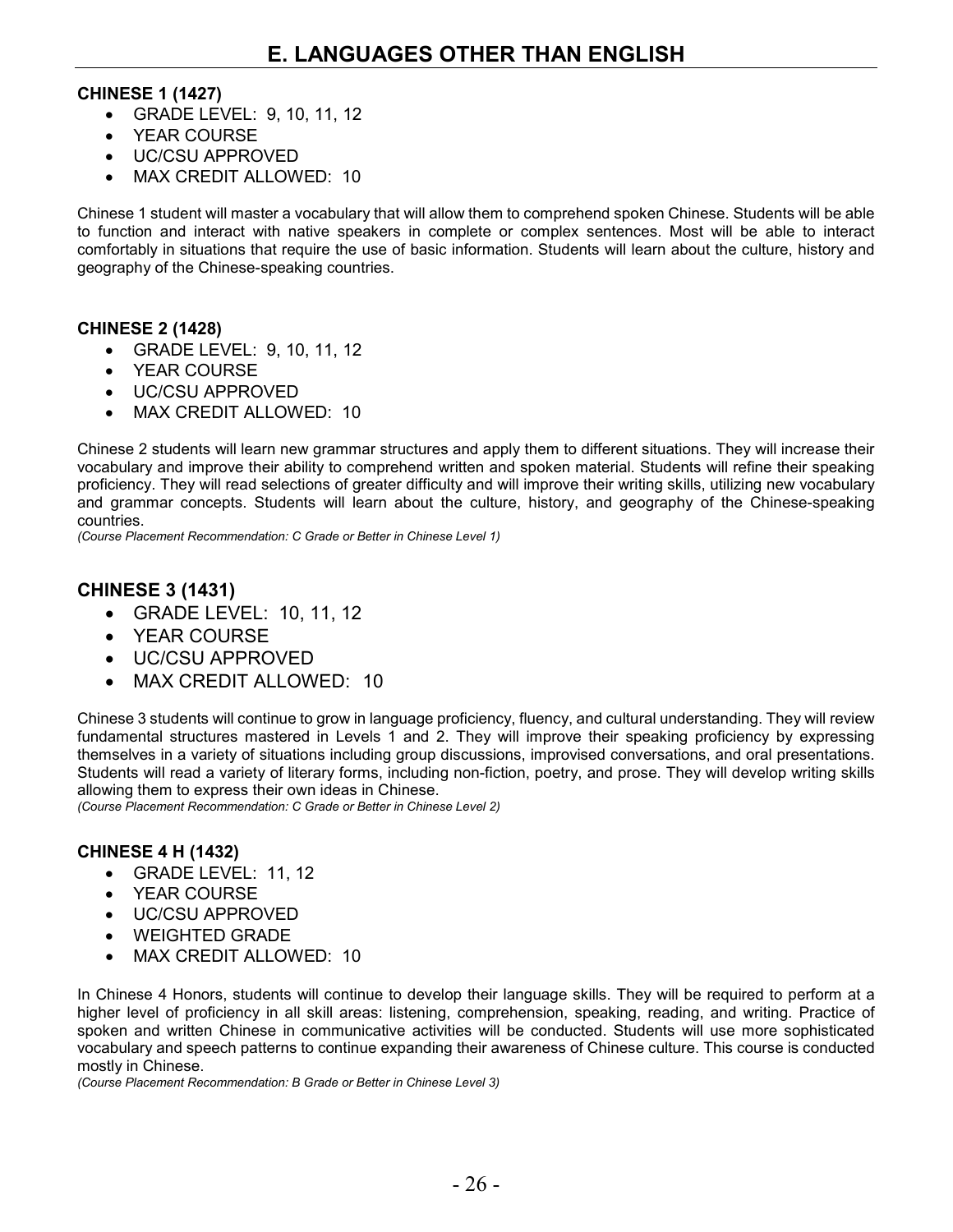#### **CHINESE 1 (1427)**

- GRADE LEVEL: 9, 10, 11, 12
- YEAR COURSE
- UC/CSU APPROVED
- MAX CREDIT ALLOWED: 10

Chinese 1 student will master a vocabulary that will allow them to comprehend spoken Chinese. Students will be able to function and interact with native speakers in complete or complex sentences. Most will be able to interact comfortably in situations that require the use of basic information. Students will learn about the culture, history and geography of the Chinese-speaking countries.

#### **CHINESE 2 (1428)**

- GRADE LEVEL: 9, 10, 11, 12
- YEAR COURSE
- UC/CSU APPROVED
- MAX CREDIT ALLOWED: 10

Chinese 2 students will learn new grammar structures and apply them to different situations. They will increase their vocabulary and improve their ability to comprehend written and spoken material. Students will refine their speaking proficiency. They will read selections of greater difficulty and will improve their writing skills, utilizing new vocabulary and grammar concepts. Students will learn about the culture, history, and geography of the Chinese-speaking countries.

*(Course Placement Recommendation: C Grade or Better in Chinese Level 1)*

## **CHINESE 3 (1431)**

- GRADE LEVEL: 10, 11, 12
- YEAR COURSE
- UC/CSU APPROVED
- MAX CREDIT ALLOWED: 10

Chinese 3 students will continue to grow in language proficiency, fluency, and cultural understanding. They will review fundamental structures mastered in Levels 1 and 2. They will improve their speaking proficiency by expressing themselves in a variety of situations including group discussions, improvised conversations, and oral presentations. Students will read a variety of literary forms, including non-fiction, poetry, and prose. They will develop writing skills allowing them to express their own ideas in Chinese.

*(Course Placement Recommendation: C Grade or Better in Chinese Level 2)*

#### **CHINESE 4 H (1432)**

- GRADE LEVEL: 11, 12
- YEAR COURSE
- UC/CSU APPROVED
- WEIGHTED GRADE
- MAX CREDIT ALLOWED: 10

In Chinese 4 Honors, students will continue to develop their language skills. They will be required to perform at a higher level of proficiency in all skill areas: listening, comprehension, speaking, reading, and writing. Practice of spoken and written Chinese in communicative activities will be conducted. Students will use more sophisticated vocabulary and speech patterns to continue expanding their awareness of Chinese culture. This course is conducted mostly in Chinese.

*(Course Placement Recommendation: B Grade or Better in Chinese Level 3)*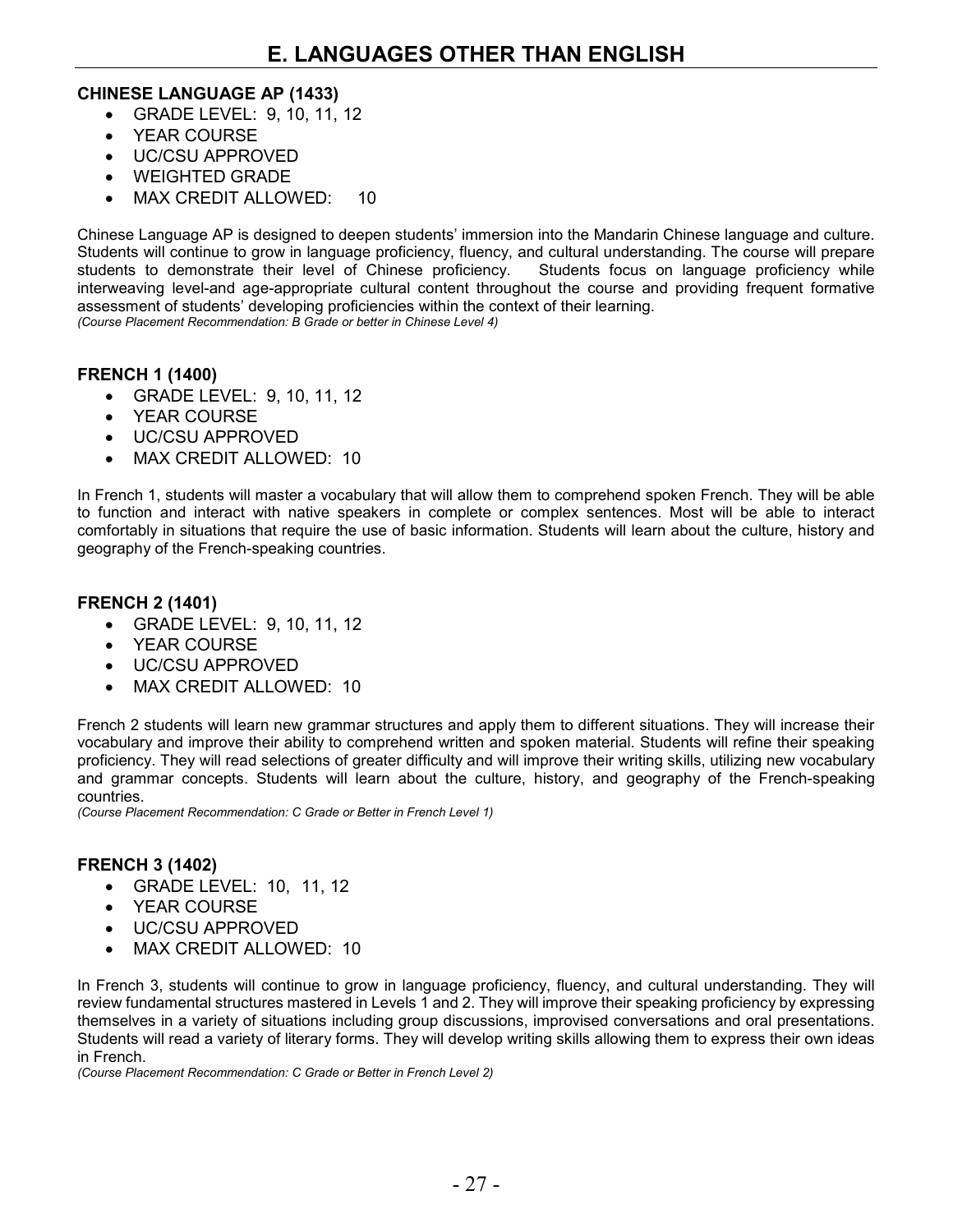#### **CHINESE LANGUAGE AP (1433)**

- GRADE LEVEL: 9, 10, 11, 12
- YEAR COURSE
- UC/CSU APPROVED
- WEIGHTED GRADE
- MAX CREDIT ALLOWED: 10

Chinese Language AP is designed to deepen students' immersion into the Mandarin Chinese language and culture. Students will continue to grow in language proficiency, fluency, and cultural understanding. The course will prepare students to demonstrate their level of Chinese proficiency. Students focus on language proficiency while interweaving level-and age-appropriate cultural content throughout the course and providing frequent formative assessment of students' developing proficiencies within the context of their learning. *(Course Placement Recommendation: B Grade or better in Chinese Level 4)*

#### **FRENCH 1 (1400)**

- GRADE LEVEL: 9, 10, 11, 12
- YEAR COURSE
- UC/CSU APPROVED
- MAX CREDIT ALLOWED: 10

In French 1, students will master a vocabulary that will allow them to comprehend spoken French. They will be able to function and interact with native speakers in complete or complex sentences. Most will be able to interact comfortably in situations that require the use of basic information. Students will learn about the culture, history and geography of the French-speaking countries.

#### **FRENCH 2 (1401)**

- GRADE LEVEL: 9, 10, 11, 12
- YEAR COURSE
- UC/CSU APPROVED
- MAX CREDIT ALLOWED: 10

French 2 students will learn new grammar structures and apply them to different situations. They will increase their vocabulary and improve their ability to comprehend written and spoken material. Students will refine their speaking proficiency. They will read selections of greater difficulty and will improve their writing skills, utilizing new vocabulary and grammar concepts. Students will learn about the culture, history, and geography of the French-speaking countries.

*(Course Placement Recommendation: C Grade or Better in French Level 1)*

#### **FRENCH 3 (1402)**

- GRADE LEVEL: 10, 11, 12
- YEAR COURSE
- UC/CSU APPROVED
- MAX CREDIT ALLOWED: 10

In French 3, students will continue to grow in language proficiency, fluency, and cultural understanding. They will review fundamental structures mastered in Levels 1 and 2. They will improve their speaking proficiency by expressing themselves in a variety of situations including group discussions, improvised conversations and oral presentations. Students will read a variety of literary forms. They will develop writing skills allowing them to express their own ideas in French.

*(Course Placement Recommendation: C Grade or Better in French Level 2)*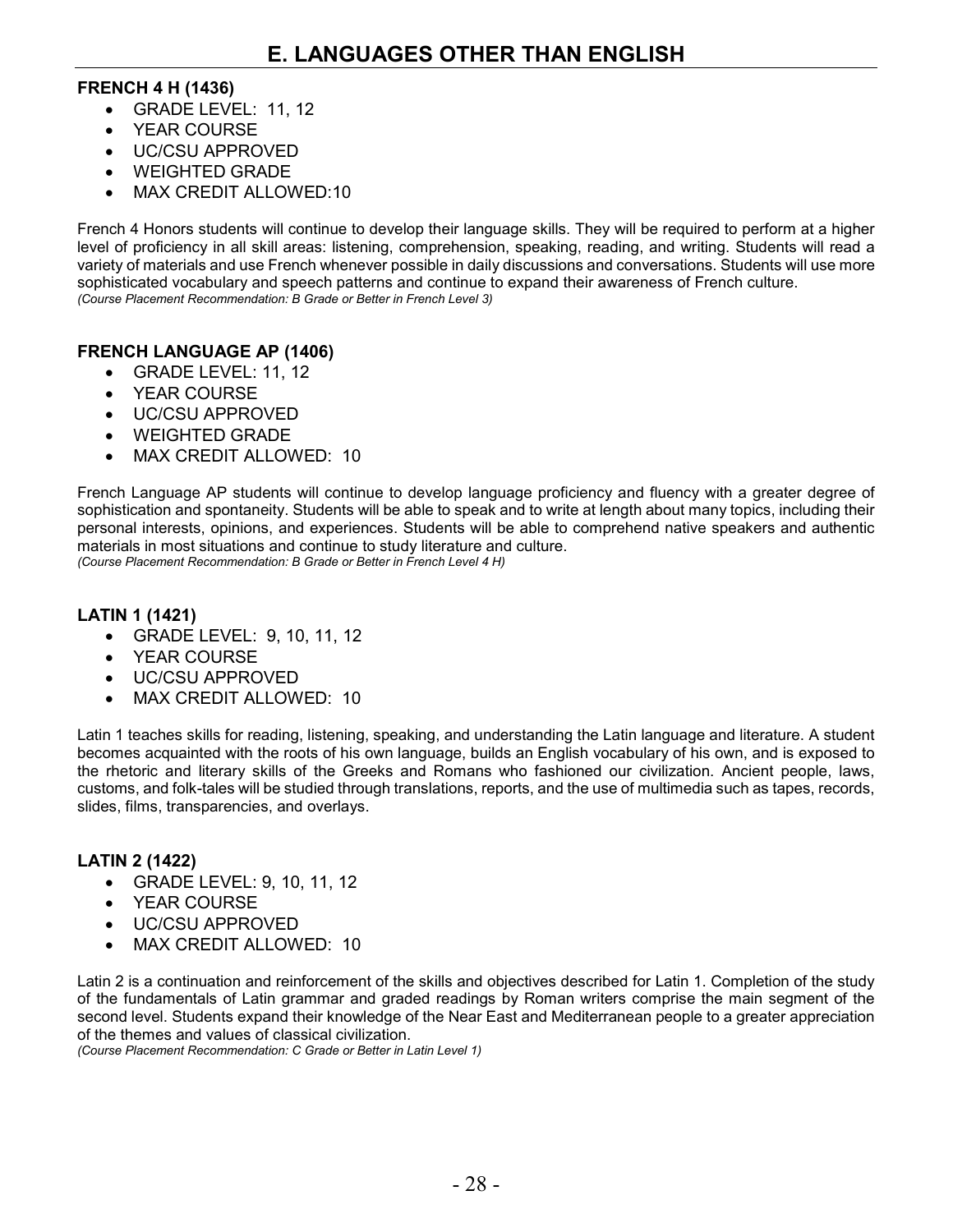#### **FRENCH 4 H (1436)**

- GRADE LEVEL: 11, 12
- YEAR COURSE
- UC/CSU APPROVED
- WEIGHTED GRADE
- MAX CREDIT ALLOWED:10

French 4 Honors students will continue to develop their language skills. They will be required to perform at a higher level of proficiency in all skill areas: listening, comprehension, speaking, reading, and writing. Students will read a variety of materials and use French whenever possible in daily discussions and conversations. Students will use more sophisticated vocabulary and speech patterns and continue to expand their awareness of French culture. *(Course Placement Recommendation: B Grade or Better in French Level 3)*

#### **FRENCH LANGUAGE AP (1406)**

- GRADE LEVEL: 11, 12
- YEAR COURSE
- UC/CSU APPROVED
- WEIGHTED GRADE
- MAX CREDIT ALLOWED: 10

French Language AP students will continue to develop language proficiency and fluency with a greater degree of sophistication and spontaneity. Students will be able to speak and to write at length about many topics, including their personal interests, opinions, and experiences. Students will be able to comprehend native speakers and authentic materials in most situations and continue to study literature and culture.

*(Course Placement Recommendation: B Grade or Better in French Level 4 H)*

#### **LATIN 1 (1421)**

- GRADE LEVEL: 9, 10, 11, 12
- YEAR COURSE
- UC/CSU APPROVED
- MAX CREDIT ALLOWED: 10

Latin 1 teaches skills for reading, listening, speaking, and understanding the Latin language and literature. A student becomes acquainted with the roots of his own language, builds an English vocabulary of his own, and is exposed to the rhetoric and literary skills of the Greeks and Romans who fashioned our civilization. Ancient people, laws, customs, and folk-tales will be studied through translations, reports, and the use of multimedia such as tapes, records, slides, films, transparencies, and overlays.

#### **LATIN 2 (1422)**

- GRADE LEVEL: 9, 10, 11, 12
- YEAR COURSE
- UC/CSU APPROVED
- MAX CREDIT ALLOWED: 10

Latin 2 is a continuation and reinforcement of the skills and objectives described for Latin 1. Completion of the study of the fundamentals of Latin grammar and graded readings by Roman writers comprise the main segment of the second level. Students expand their knowledge of the Near East and Mediterranean people to a greater appreciation of the themes and values of classical civilization.

*(Course Placement Recommendation: C Grade or Better in Latin Level 1)*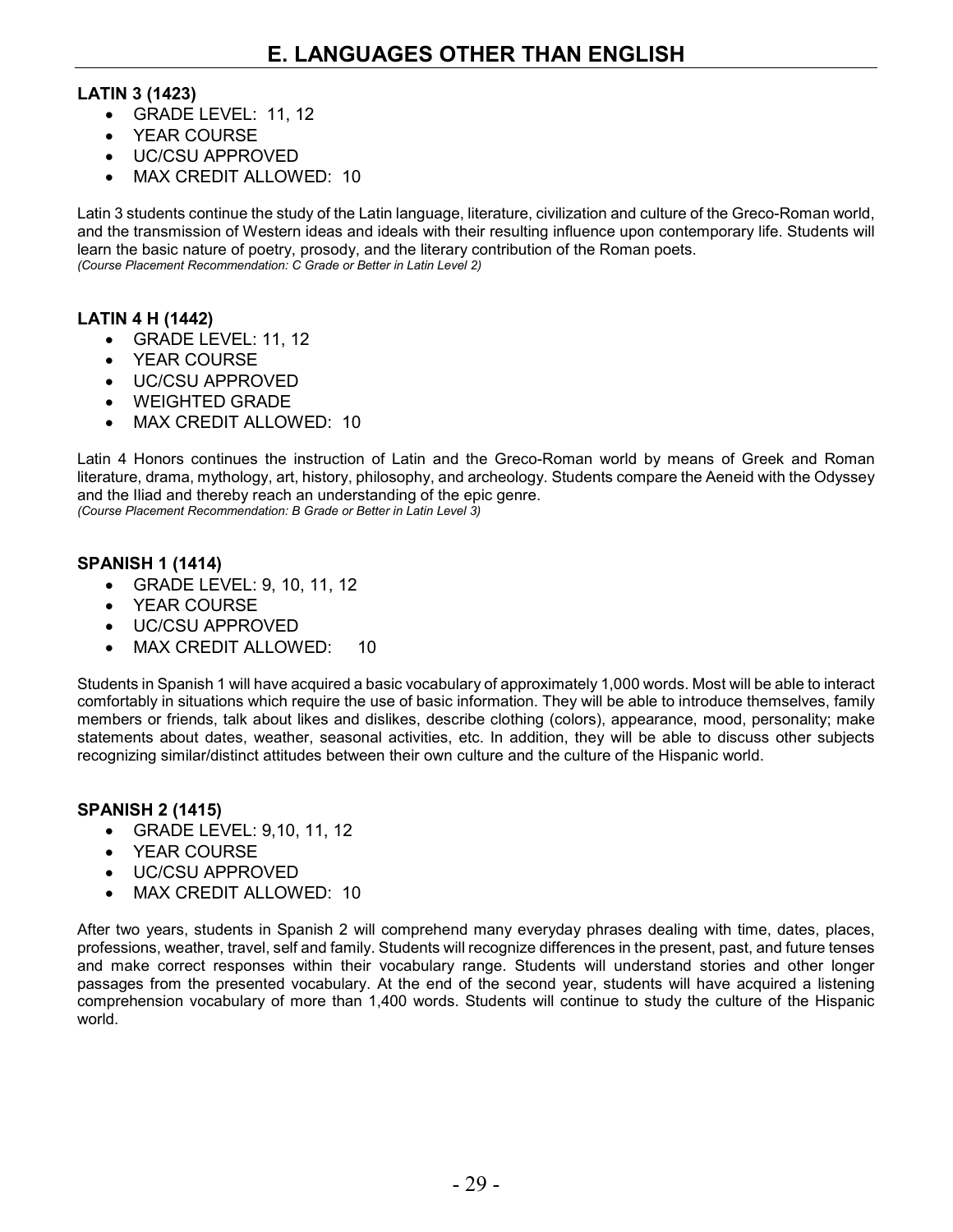#### **LATIN 3 (1423)**

- GRADE LEVEL: 11, 12
- YEAR COURSE
- UC/CSU APPROVED
- MAX CREDIT ALLOWED: 10

Latin 3 students continue the study of the Latin language, literature, civilization and culture of the Greco-Roman world, and the transmission of Western ideas and ideals with their resulting influence upon contemporary life. Students will learn the basic nature of poetry, prosody, and the literary contribution of the Roman poets. *(Course Placement Recommendation: C Grade or Better in Latin Level 2)*

#### **LATIN 4 H (1442)**

- GRADE LEVEL: 11, 12
- YEAR COURSE
- UC/CSU APPROVED
- WEIGHTED GRADE
- MAX CREDIT ALLOWED: 10

Latin 4 Honors continues the instruction of Latin and the Greco-Roman world by means of Greek and Roman literature, drama, mythology, art, history, philosophy, and archeology. Students compare the Aeneid with the Odyssey and the Iliad and thereby reach an understanding of the epic genre.

*(Course Placement Recommendation: B Grade or Better in Latin Level 3)*

#### **SPANISH 1 (1414)**

- GRADE LEVEL: 9, 10, 11, 12
- YEAR COURSE
- UC/CSU APPROVED
- MAX CREDIT ALLOWED: 10

Students in Spanish 1 will have acquired a basic vocabulary of approximately 1,000 words. Most will be able to interact comfortably in situations which require the use of basic information. They will be able to introduce themselves, family members or friends, talk about likes and dislikes, describe clothing (colors), appearance, mood, personality; make statements about dates, weather, seasonal activities, etc. In addition, they will be able to discuss other subjects recognizing similar/distinct attitudes between their own culture and the culture of the Hispanic world.

#### **SPANISH 2 (1415)**

- GRADE LEVEL: 9,10, 11, 12
- YEAR COURSE
- UC/CSU APPROVED
- MAX CREDIT ALLOWED: 10

After two years, students in Spanish 2 will comprehend many everyday phrases dealing with time, dates, places, professions, weather, travel, self and family. Students will recognize differences in the present, past, and future tenses and make correct responses within their vocabulary range. Students will understand stories and other longer passages from the presented vocabulary. At the end of the second year, students will have acquired a listening comprehension vocabulary of more than 1,400 words. Students will continue to study the culture of the Hispanic world.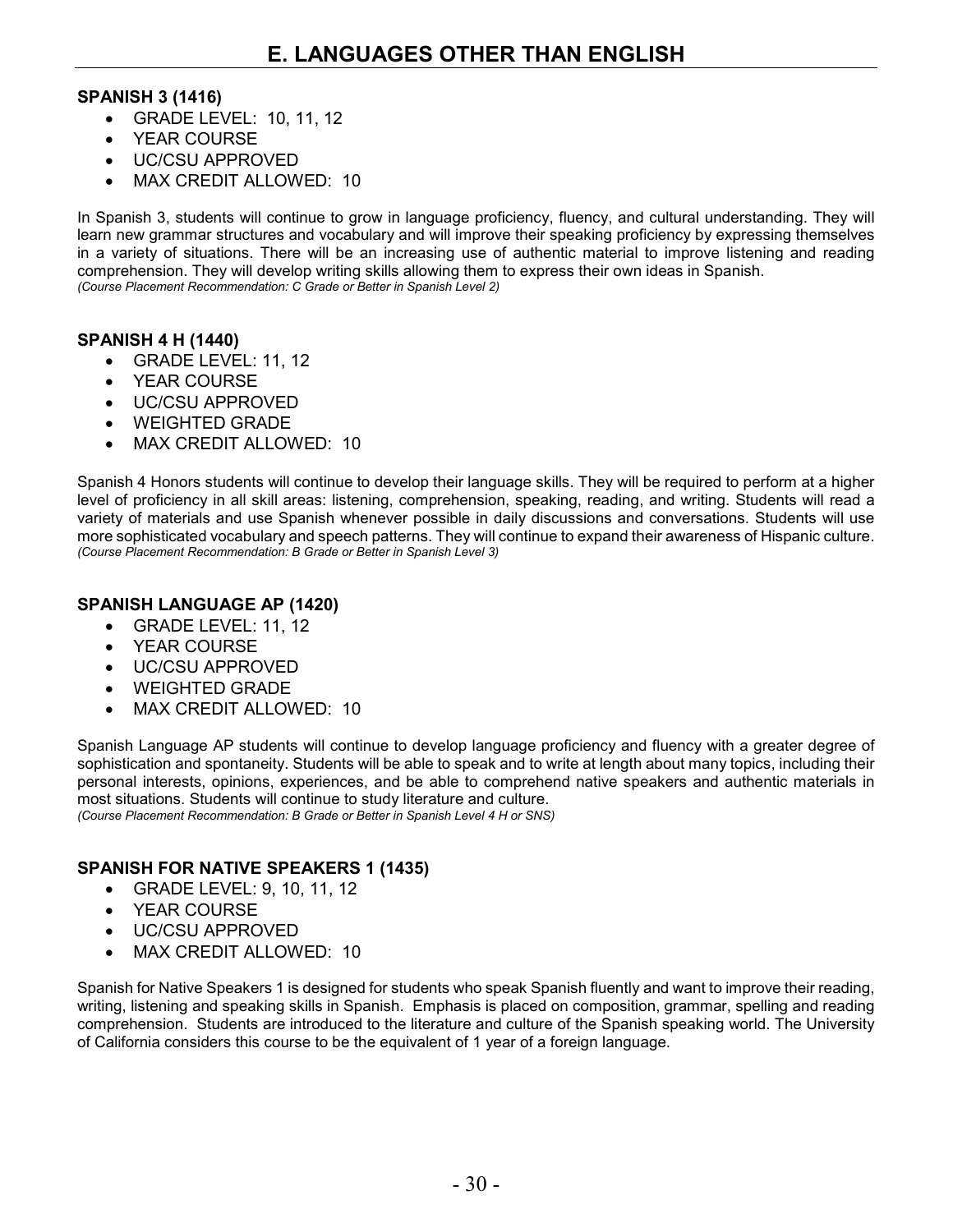#### **SPANISH 3 (1416)**

- GRADE LEVEL: 10, 11, 12
- YEAR COURSE
- UC/CSU APPROVED
- MAX CREDIT ALLOWED: 10

In Spanish 3, students will continue to grow in language proficiency, fluency, and cultural understanding. They will learn new grammar structures and vocabulary and will improve their speaking proficiency by expressing themselves in a variety of situations. There will be an increasing use of authentic material to improve listening and reading comprehension. They will develop writing skills allowing them to express their own ideas in Spanish. *(Course Placement Recommendation: C Grade or Better in Spanish Level 2)*

#### **SPANISH 4 H (1440)**

- GRADE LEVEL: 11, 12
- YEAR COURSE
- UC/CSU APPROVED
- WEIGHTED GRADE
- MAX CREDIT ALLOWED: 10

Spanish 4 Honors students will continue to develop their language skills. They will be required to perform at a higher level of proficiency in all skill areas: listening, comprehension, speaking, reading, and writing. Students will read a variety of materials and use Spanish whenever possible in daily discussions and conversations. Students will use more sophisticated vocabulary and speech patterns. They will continue to expand their awareness of Hispanic culture. *(Course Placement Recommendation: B Grade or Better in Spanish Level 3)*

#### **SPANISH LANGUAGE AP (1420)**

- GRADE LEVEL: 11, 12
- YEAR COURSE
- UC/CSU APPROVED
- WEIGHTED GRADE
- MAX CREDIT ALLOWED: 10

Spanish Language AP students will continue to develop language proficiency and fluency with a greater degree of sophistication and spontaneity. Students will be able to speak and to write at length about many topics, including their personal interests, opinions, experiences, and be able to comprehend native speakers and authentic materials in most situations. Students will continue to study literature and culture. *(Course Placement Recommendation: B Grade or Better in Spanish Level 4 H or SNS)*

#### **SPANISH FOR NATIVE SPEAKERS 1 (1435)**

- GRADE LEVEL: 9, 10, 11, 12
- YEAR COURSE
- UC/CSU APPROVED
- MAX CREDIT ALLOWED: 10

Spanish for Native Speakers 1 is designed for students who speak Spanish fluently and want to improve their reading, writing, listening and speaking skills in Spanish. Emphasis is placed on composition, grammar, spelling and reading comprehension. Students are introduced to the literature and culture of the Spanish speaking world. The University of California considers this course to be the equivalent of 1 year of a foreign language.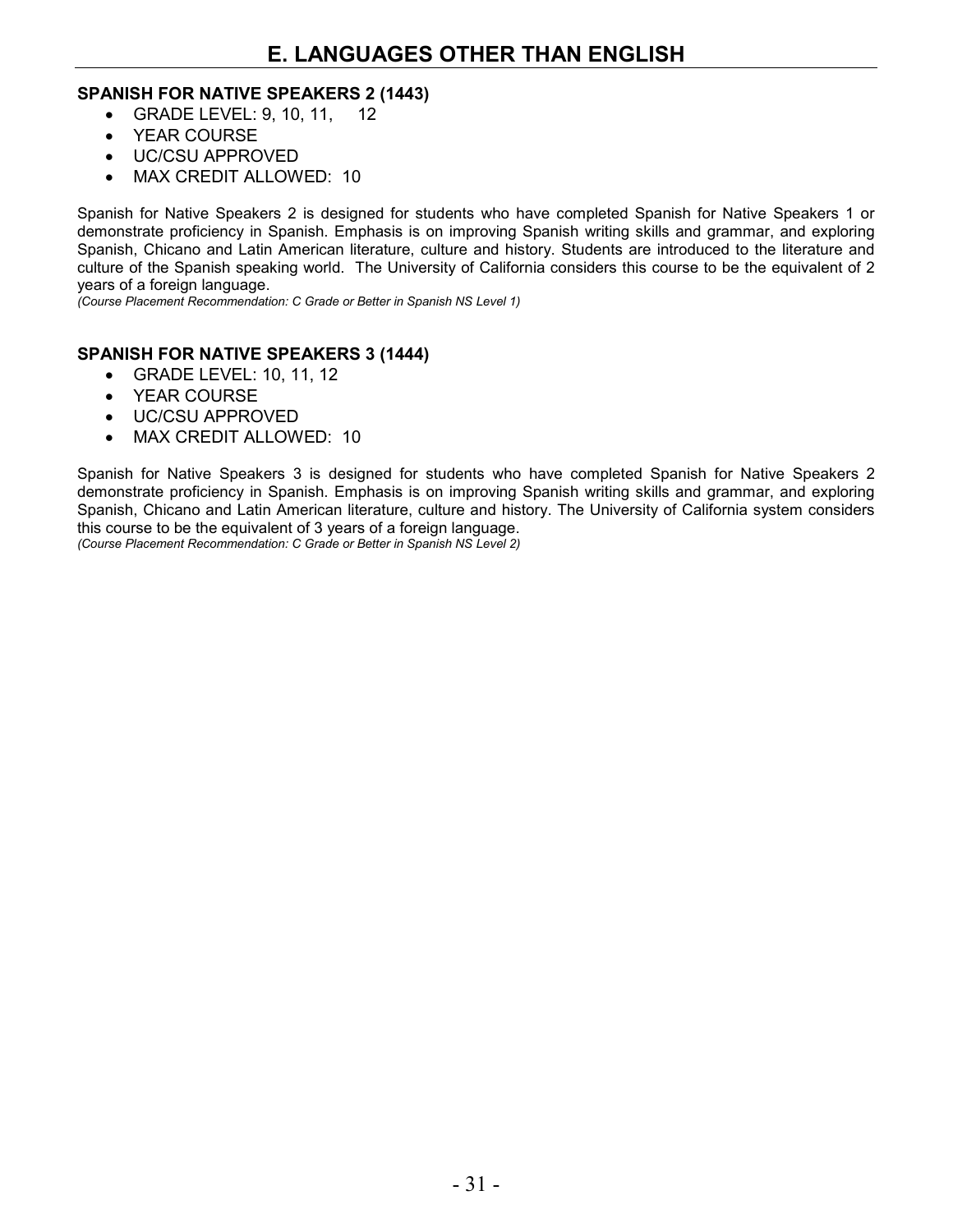#### **SPANISH FOR NATIVE SPEAKERS 2 (1443)**

- GRADE LEVEL: 9, 10, 11, 12
- YEAR COURSE
- UC/CSU APPROVED
- MAX CREDIT ALLOWED: 10

Spanish for Native Speakers 2 is designed for students who have completed Spanish for Native Speakers 1 or demonstrate proficiency in Spanish. Emphasis is on improving Spanish writing skills and grammar, and exploring Spanish, Chicano and Latin American literature, culture and history. Students are introduced to the literature and culture of the Spanish speaking world. The University of California considers this course to be the equivalent of 2 years of a foreign language.

*(Course Placement Recommendation: C Grade or Better in Spanish NS Level 1)*

#### **SPANISH FOR NATIVE SPEAKERS 3 (1444)**

- GRADE LEVEL: 10, 11, 12
- YEAR COURSE
- UC/CSU APPROVED
- MAX CREDIT ALLOWED: 10

Spanish for Native Speakers 3 is designed for students who have completed Spanish for Native Speakers 2 demonstrate proficiency in Spanish. Emphasis is on improving Spanish writing skills and grammar, and exploring Spanish, Chicano and Latin American literature, culture and history. The University of California system considers this course to be the equivalent of 3 years of a foreign language.

*(Course Placement Recommendation: C Grade or Better in Spanish NS Level 2)*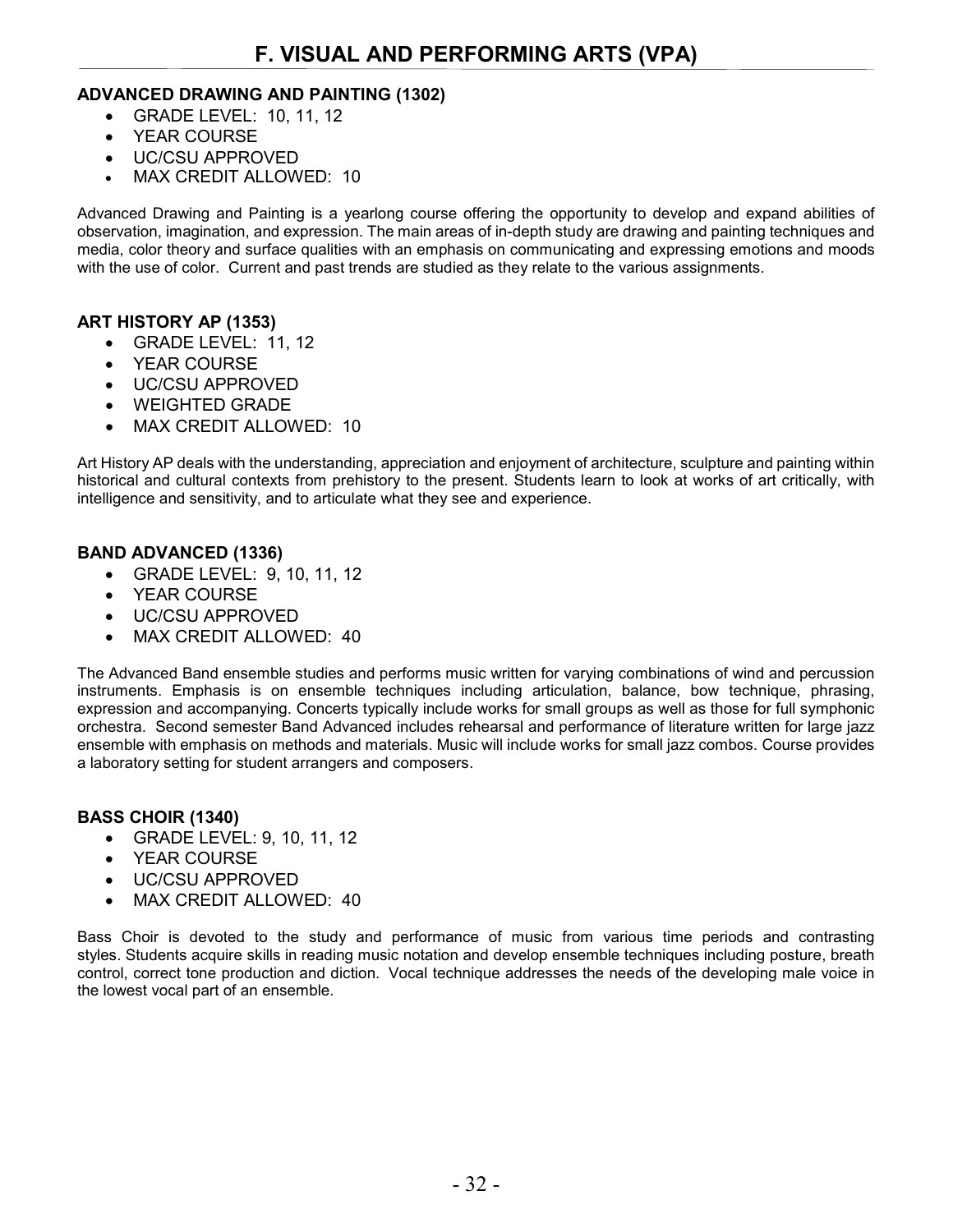#### **ADVANCED DRAWING AND PAINTING (1302)**

- GRADE LEVEL: 10, 11, 12
- YEAR COURSE
- UC/CSU APPROVED
- MAX CREDIT ALLOWED: 10

Advanced Drawing and Painting is a yearlong course offering the opportunity to develop and expand abilities of observation, imagination, and expression. The main areas of in-depth study are drawing and painting techniques and media, color theory and surface qualities with an emphasis on communicating and expressing emotions and moods with the use of color. Current and past trends are studied as they relate to the various assignments.

#### **ART HISTORY AP (1353)**

- GRADE LEVEL: 11, 12
- YEAR COURSE
- UC/CSU APPROVED
- WEIGHTED GRADE
- MAX CREDIT ALLOWED: 10

Art History AP deals with the understanding, appreciation and enjoyment of architecture, sculpture and painting within historical and cultural contexts from prehistory to the present. Students learn to look at works of art critically, with intelligence and sensitivity, and to articulate what they see and experience.

#### **BAND ADVANCED (1336)**

- GRADE LEVEL: 9, 10, 11, 12
- YEAR COURSE
- UC/CSU APPROVED
- MAX CREDIT ALLOWED: 40

The Advanced Band ensemble studies and performs music written for varying combinations of wind and percussion instruments. Emphasis is on ensemble techniques including articulation, balance, bow technique, phrasing, expression and accompanying. Concerts typically include works for small groups as well as those for full symphonic orchestra. Second semester Band Advanced includes rehearsal and performance of literature written for large jazz ensemble with emphasis on methods and materials. Music will include works for small jazz combos. Course provides a laboratory setting for student arrangers and composers.

#### **BASS CHOIR (1340)**

- GRADE LEVEL: 9, 10, 11, 12
- YEAR COURSE
- UC/CSU APPROVED
- MAX CREDIT ALLOWED: 40

Bass Choir is devoted to the study and performance of music from various time periods and contrasting styles. Students acquire skills in reading music notation and develop ensemble techniques including posture, breath control, correct tone production and diction. Vocal technique addresses the needs of the developing male voice in the lowest vocal part of an ensemble.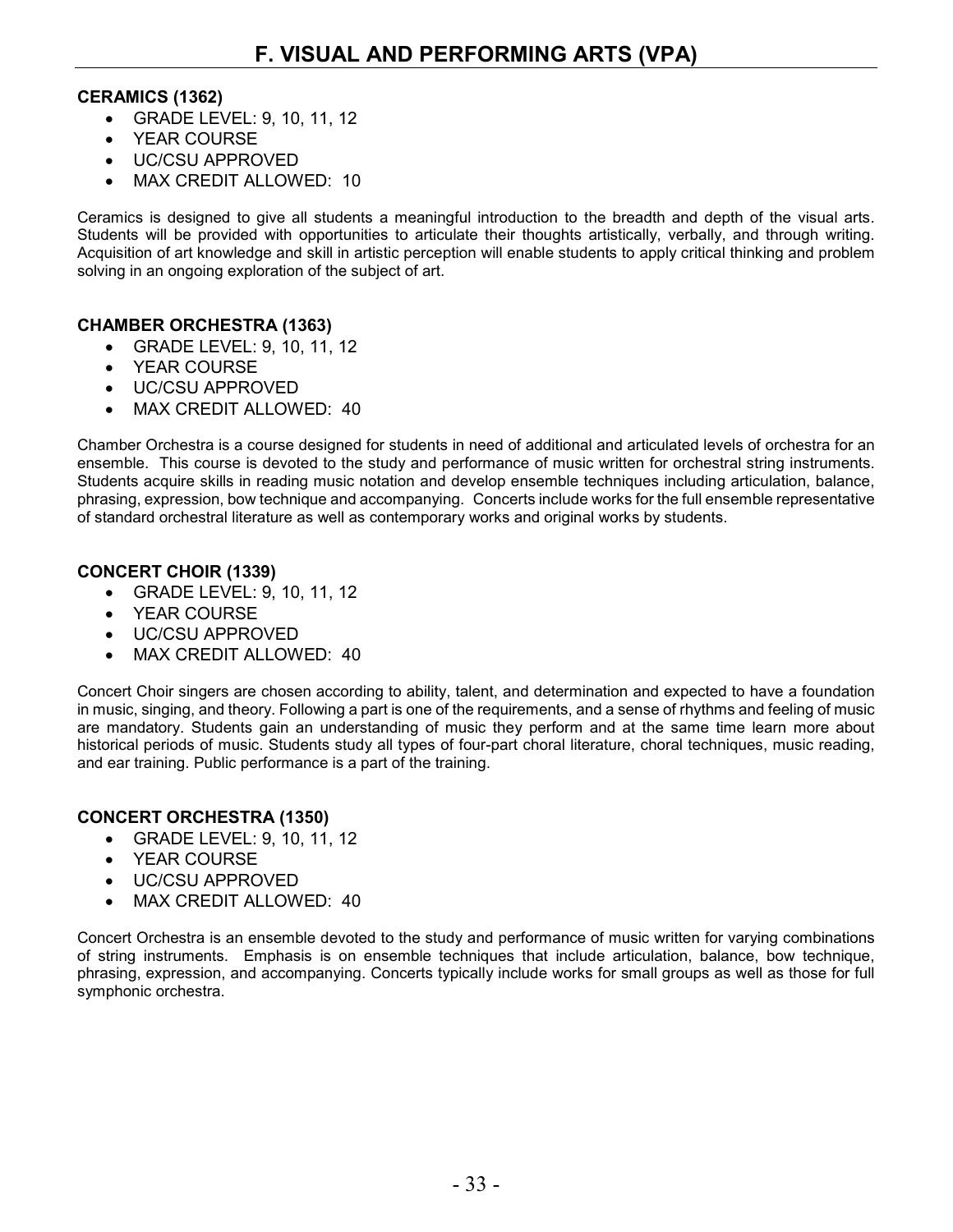#### **CERAMICS (1362)**

- GRADE LEVEL: 9, 10, 11, 12
- YEAR COURSE
- UC/CSU APPROVED
- MAX CREDIT ALLOWED: 10

Ceramics is designed to give all students a meaningful introduction to the breadth and depth of the visual arts. Students will be provided with opportunities to articulate their thoughts artistically, verbally, and through writing. Acquisition of art knowledge and skill in artistic perception will enable students to apply critical thinking and problem solving in an ongoing exploration of the subject of art.

#### **CHAMBER ORCHESTRA (1363)**

- GRADE LEVEL: 9, 10, 11, 12
- YEAR COURSE
- UC/CSU APPROVED
- MAX CREDIT ALLOWED: 40

Chamber Orchestra is a course designed for students in need of additional and articulated levels of orchestra for an ensemble. This course is devoted to the study and performance of music written for orchestral string instruments. Students acquire skills in reading music notation and develop ensemble techniques including articulation, balance, phrasing, expression, bow technique and accompanying. Concerts include works for the full ensemble representative of standard orchestral literature as well as contemporary works and original works by students.

#### **CONCERT CHOIR (1339)**

- GRADE LEVEL: 9, 10, 11, 12
- YEAR COURSE
- UC/CSU APPROVED
- MAX CREDIT ALLOWED: 40

Concert Choir singers are chosen according to ability, talent, and determination and expected to have a foundation in music, singing, and theory. Following a part is one of the requirements, and a sense of rhythms and feeling of music are mandatory. Students gain an understanding of music they perform and at the same time learn more about historical periods of music. Students study all types of four-part choral literature, choral techniques, music reading, and ear training. Public performance is a part of the training.

#### **CONCERT ORCHESTRA (1350)**

- GRADE LEVEL: 9, 10, 11, 12
- YEAR COURSE
- UC/CSU APPROVED
- MAX CREDIT ALLOWED: 40

Concert Orchestra is an ensemble devoted to the study and performance of music written for varying combinations of string instruments. Emphasis is on ensemble techniques that include articulation, balance, bow technique, phrasing, expression, and accompanying. Concerts typically include works for small groups as well as those for full symphonic orchestra.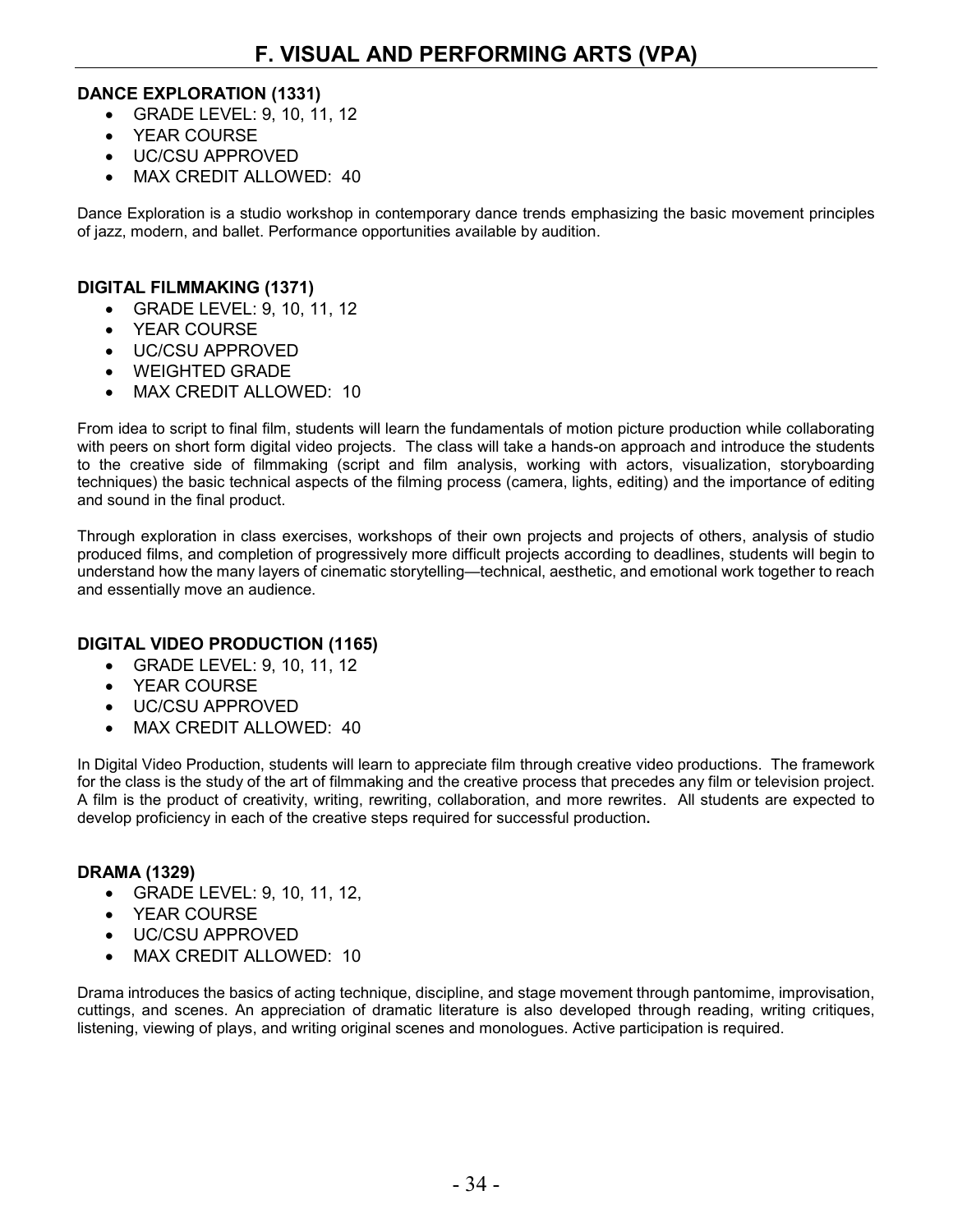#### **DANCE EXPLORATION (1331)**

- GRADE LEVEL: 9, 10, 11, 12
- YEAR COURSE
- UC/CSU APPROVED
- MAX CREDIT ALLOWED: 40

Dance Exploration is a studio workshop in contemporary dance trends emphasizing the basic movement principles of jazz, modern, and ballet. Performance opportunities available by audition.

#### **DIGITAL FILMMAKING (1371)**

- GRADE LEVEL: 9, 10, 11, 12
- YEAR COURSE
- UC/CSU APPROVED
- WEIGHTED GRADE
- MAX CREDIT ALLOWED: 10

From idea to script to final film, students will learn the fundamentals of motion picture production while collaborating with peers on short form digital video projects. The class will take a hands-on approach and introduce the students to the creative side of filmmaking (script and film analysis, working with actors, visualization, storyboarding techniques) the basic technical aspects of the filming process (camera, lights, editing) and the importance of editing and sound in the final product.

Through exploration in class exercises, workshops of their own projects and projects of others, analysis of studio produced films, and completion of progressively more difficult projects according to deadlines, students will begin to understand how the many layers of cinematic storytelling—technical, aesthetic, and emotional work together to reach and essentially move an audience.

#### **DIGITAL VIDEO PRODUCTION (1165)**

- GRADE LEVEL: 9, 10, 11, 12
- YEAR COURSE
- UC/CSU APPROVED
- MAX CREDIT ALLOWED: 40

In Digital Video Production, students will learn to appreciate film through creative video productions. The framework for the class is the study of the art of filmmaking and the creative process that precedes any film or television project. A film is the product of creativity, writing, rewriting, collaboration, and more rewrites. All students are expected to develop proficiency in each of the creative steps required for successful production**.**

#### **DRAMA (1329)**

- GRADE LEVEL: 9, 10, 11, 12,
- YEAR COURSE
- UC/CSU APPROVED
- MAX CREDIT ALLOWED: 10

Drama introduces the basics of acting technique, discipline, and stage movement through pantomime, improvisation, cuttings, and scenes. An appreciation of dramatic literature is also developed through reading, writing critiques, listening, viewing of plays, and writing original scenes and monologues. Active participation is required.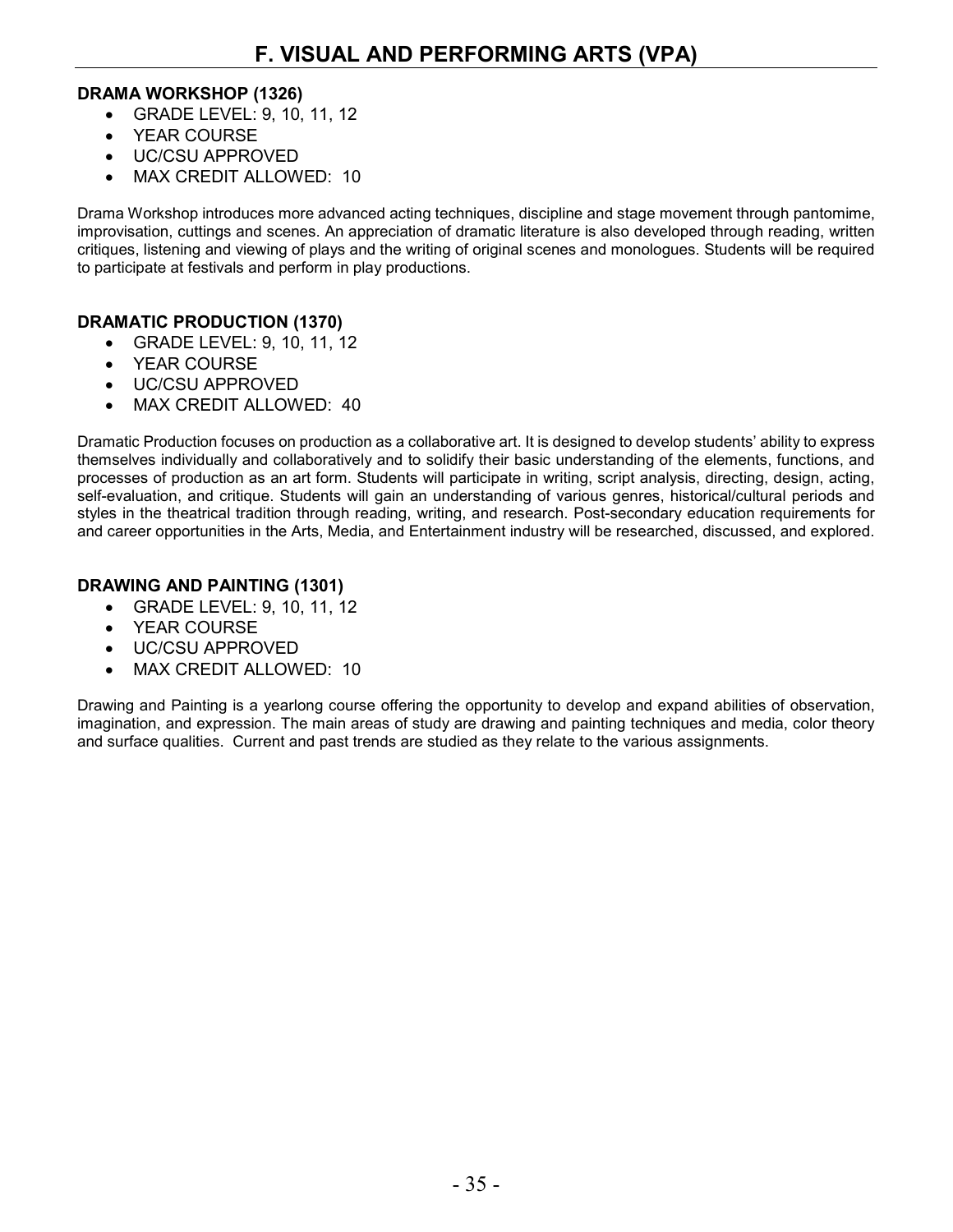#### **DRAMA WORKSHOP (1326)**

- GRADE LEVEL: 9, 10, 11, 12
- YEAR COURSE
- UC/CSU APPROVED
- MAX CREDIT ALLOWED: 10

Drama Workshop introduces more advanced acting techniques, discipline and stage movement through pantomime, improvisation, cuttings and scenes. An appreciation of dramatic literature is also developed through reading, written critiques, listening and viewing of plays and the writing of original scenes and monologues. Students will be required to participate at festivals and perform in play productions.

#### **DRAMATIC PRODUCTION (1370)**

- GRADE LEVEL: 9, 10, 11, 12
- YEAR COURSE
- UC/CSU APPROVED
- MAX CREDIT ALLOWED: 40

Dramatic Production focuses on production as a collaborative art. It is designed to develop students' ability to express themselves individually and collaboratively and to solidify their basic understanding of the elements, functions, and processes of production as an art form. Students will participate in writing, script analysis, directing, design, acting, self-evaluation, and critique. Students will gain an understanding of various genres, historical/cultural periods and styles in the theatrical tradition through reading, writing, and research. Post-secondary education requirements for and career opportunities in the Arts, Media, and Entertainment industry will be researched, discussed, and explored.

#### **DRAWING AND PAINTING (1301)**

- GRADE LEVEL: 9, 10, 11, 12
- YEAR COURSE
- UC/CSU APPROVED
- MAX CREDIT ALLOWED: 10

Drawing and Painting is a yearlong course offering the opportunity to develop and expand abilities of observation, imagination, and expression. The main areas of study are drawing and painting techniques and media, color theory and surface qualities. Current and past trends are studied as they relate to the various assignments.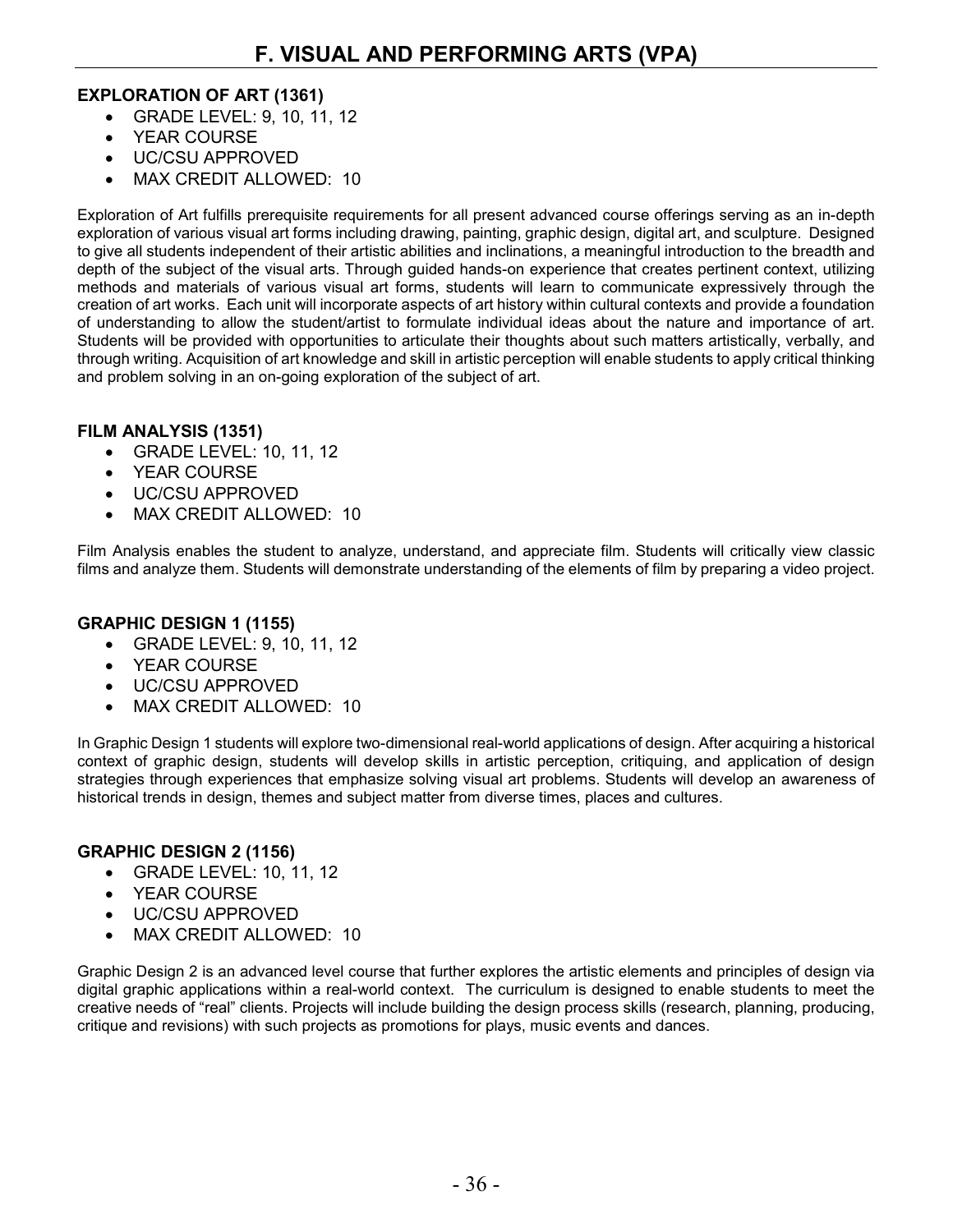#### **EXPLORATION OF ART (1361)**

- GRADE LEVEL: 9, 10, 11, 12
- YEAR COURSE
- UC/CSU APPROVED
- MAX CREDIT ALLOWED: 10

Exploration of Art fulfills prerequisite requirements for all present advanced course offerings serving as an in-depth exploration of various visual art forms including drawing, painting, graphic design, digital art, and sculpture. Designed to give all students independent of their artistic abilities and inclinations, a meaningful introduction to the breadth and depth of the subject of the visual arts. Through guided hands-on experience that creates pertinent context, utilizing methods and materials of various visual art forms, students will learn to communicate expressively through the creation of art works. Each unit will incorporate aspects of art history within cultural contexts and provide a foundation of understanding to allow the student/artist to formulate individual ideas about the nature and importance of art. Students will be provided with opportunities to articulate their thoughts about such matters artistically, verbally, and through writing. Acquisition of art knowledge and skill in artistic perception will enable students to apply critical thinking and problem solving in an on-going exploration of the subject of art.

#### **FILM ANALYSIS (1351)**

- GRADE LEVEL: 10, 11, 12
- YEAR COURSE
- UC/CSU APPROVED
- MAX CREDIT ALLOWED: 10

Film Analysis enables the student to analyze, understand, and appreciate film. Students will critically view classic films and analyze them. Students will demonstrate understanding of the elements of film by preparing a video project.

#### **GRAPHIC DESIGN 1 (1155)**

- GRADE LEVEL: 9, 10, 11, 12
- YEAR COURSE
- UC/CSU APPROVED
- MAX CREDIT ALLOWED: 10

In Graphic Design 1 students will explore two-dimensional real-world applications of design. After acquiring a historical context of graphic design, students will develop skills in artistic perception, critiquing, and application of design strategies through experiences that emphasize solving visual art problems. Students will develop an awareness of historical trends in design, themes and subject matter from diverse times, places and cultures.

#### **GRAPHIC DESIGN 2 (1156)**

- GRADE LEVEL: 10, 11, 12
- YEAR COURSE
- UC/CSU APPROVED
- MAX CREDIT ALLOWED: 10

Graphic Design 2 is an advanced level course that further explores the artistic elements and principles of design via digital graphic applications within a real-world context. The curriculum is designed to enable students to meet the creative needs of "real" clients. Projects will include building the design process skills (research, planning, producing, critique and revisions) with such projects as promotions for plays, music events and dances.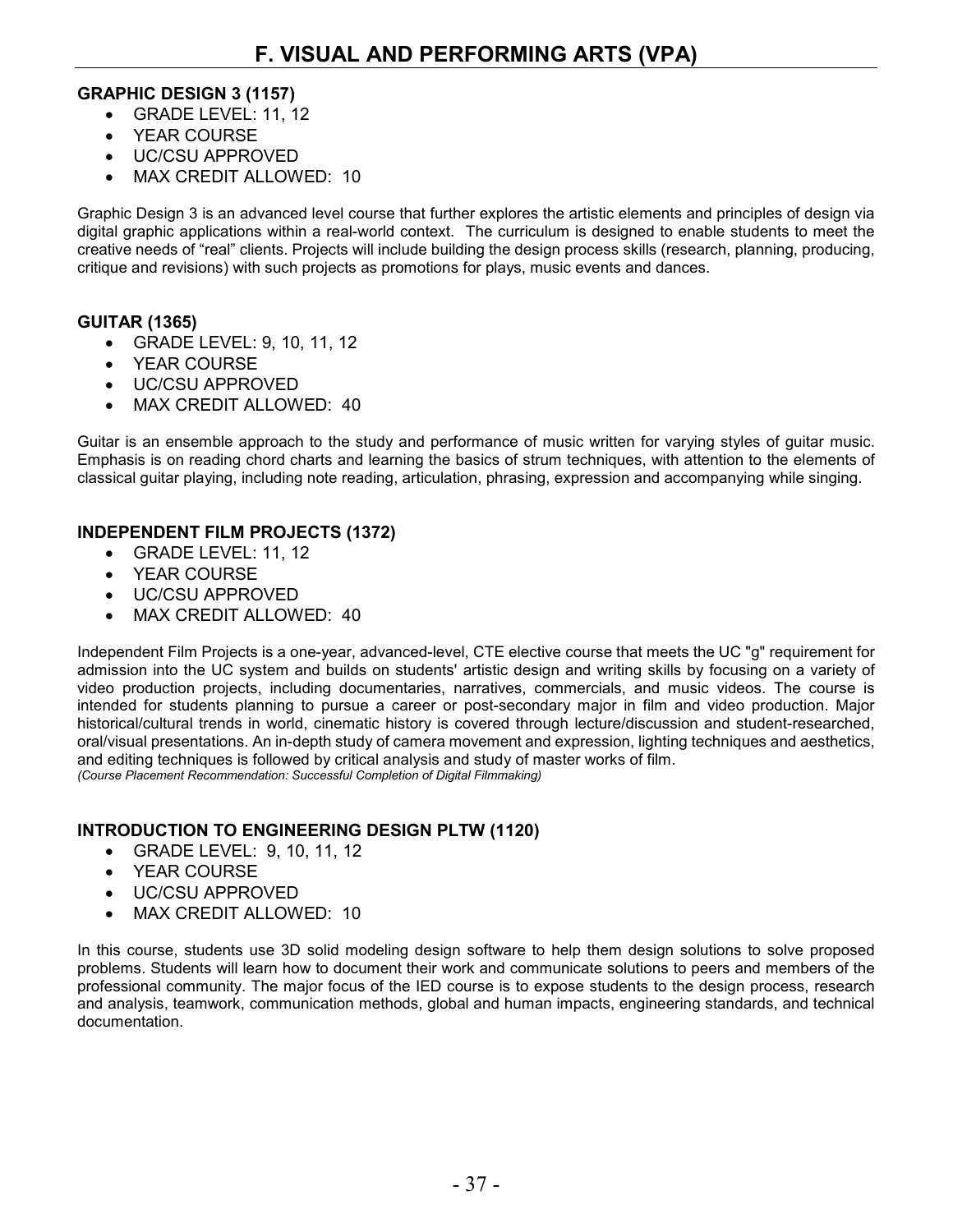#### **GRAPHIC DESIGN 3 (1157)**

- GRADE LEVEL: 11, 12
- YEAR COURSE
- UC/CSU APPROVED
- MAX CREDIT ALLOWED: 10

Graphic Design 3 is an advanced level course that further explores the artistic elements and principles of design via digital graphic applications within a real-world context. The curriculum is designed to enable students to meet the creative needs of "real" clients. Projects will include building the design process skills (research, planning, producing, critique and revisions) with such projects as promotions for plays, music events and dances.

#### **GUITAR (1365)**

- GRADE LEVEL: 9, 10, 11, 12
- YEAR COURSE
- UC/CSU APPROVED
- MAX CREDIT ALLOWED: 40

Guitar is an ensemble approach to the study and performance of music written for varying styles of guitar music. Emphasis is on reading chord charts and learning the basics of strum techniques, with attention to the elements of classical guitar playing, including note reading, articulation, phrasing, expression and accompanying while singing.

#### **INDEPENDENT FILM PROJECTS (1372)**

- GRADE LEVEL: 11, 12
- YEAR COURSE
- UC/CSU APPROVED
- MAX CREDIT ALLOWED: 40

Independent Film Projects is a one-year, advanced-level, CTE elective course that meets the UC "g" requirement for admission into the UC system and builds on students' artistic design and writing skills by focusing on a variety of video production projects, including documentaries, narratives, commercials, and music videos. The course is intended for students planning to pursue a career or post-secondary major in film and video production. Major historical/cultural trends in world, cinematic history is covered through lecture/discussion and student-researched, oral/visual presentations. An in-depth study of camera movement and expression, lighting techniques and aesthetics, and editing techniques is followed by critical analysis and study of master works of film. *(Course Placement Recommendation: Successful Completion of Digital Filmmaking)*

#### **INTRODUCTION TO ENGINEERING DESIGN PLTW (1120)**

- GRADE LEVEL: 9, 10, 11, 12
- YEAR COURSE
- UC/CSU APPROVED
- MAX CREDIT ALLOWED: 10

In this course, students use 3D solid modeling design software to help them design solutions to solve proposed problems. Students will learn how to document their work and communicate solutions to peers and members of the professional community. The major focus of the IED course is to expose students to the design process, research and analysis, teamwork, communication methods, global and human impacts, engineering standards, and technical documentation.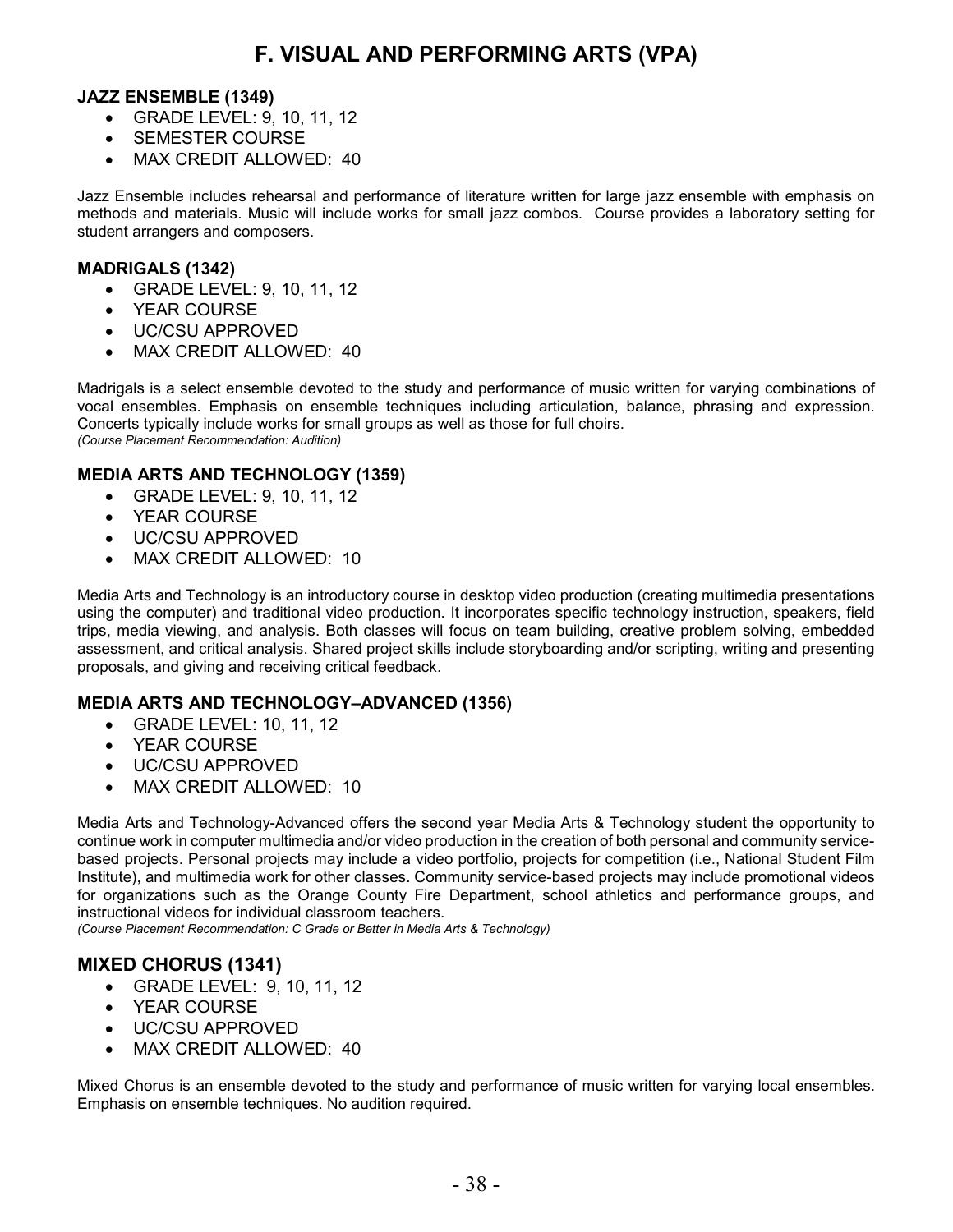#### **JAZZ ENSEMBLE (1349)**

- GRADE LEVEL: 9, 10, 11, 12
- SEMESTER COURSE
- MAX CREDIT ALLOWED: 40

Jazz Ensemble includes rehearsal and performance of literature written for large jazz ensemble with emphasis on methods and materials. Music will include works for small jazz combos. Course provides a laboratory setting for student arrangers and composers.

#### **MADRIGALS (1342)**

- GRADE LEVEL: 9, 10, 11, 12
- YEAR COURSE
- UC/CSU APPROVED
- MAX CREDIT ALLOWED: 40

Madrigals is a select ensemble devoted to the study and performance of music written for varying combinations of vocal ensembles. Emphasis on ensemble techniques including articulation, balance, phrasing and expression. Concerts typically include works for small groups as well as those for full choirs. *(Course Placement Recommendation: Audition)*

#### **MEDIA ARTS AND TECHNOLOGY (1359)**

- GRADE LEVEL: 9, 10, 11, 12
- YEAR COURSE
- UC/CSU APPROVED
- MAX CREDIT ALLOWED: 10

Media Arts and Technology is an introductory course in desktop video production (creating multimedia presentations using the computer) and traditional video production. It incorporates specific technology instruction, speakers, field trips, media viewing, and analysis. Both classes will focus on team building, creative problem solving, embedded assessment, and critical analysis. Shared project skills include storyboarding and/or scripting, writing and presenting proposals, and giving and receiving critical feedback.

#### **MEDIA ARTS AND TECHNOLOGY–ADVANCED (1356)**

- GRADE LEVEL: 10, 11, 12
- YEAR COURSE
- UC/CSU APPROVED
- MAX CREDIT ALLOWED: 10

Media Arts and Technology-Advanced offers the second year Media Arts & Technology student the opportunity to continue work in computer multimedia and/or video production in the creation of both personal and community servicebased projects. Personal projects may include a video portfolio, projects for competition (i.e., National Student Film Institute), and multimedia work for other classes. Community service-based projects may include promotional videos for organizations such as the Orange County Fire Department, school athletics and performance groups, and instructional videos for individual classroom teachers.

*(Course Placement Recommendation: C Grade or Better in Media Arts & Technology)*

### **MIXED CHORUS (1341)**

- GRADE LEVEL: 9, 10, 11, 12
- YEAR COURSE
- UC/CSU APPROVED
- MAX CREDIT ALLOWED: 40

Mixed Chorus is an ensemble devoted to the study and performance of music written for varying local ensembles. Emphasis on ensemble techniques. No audition required.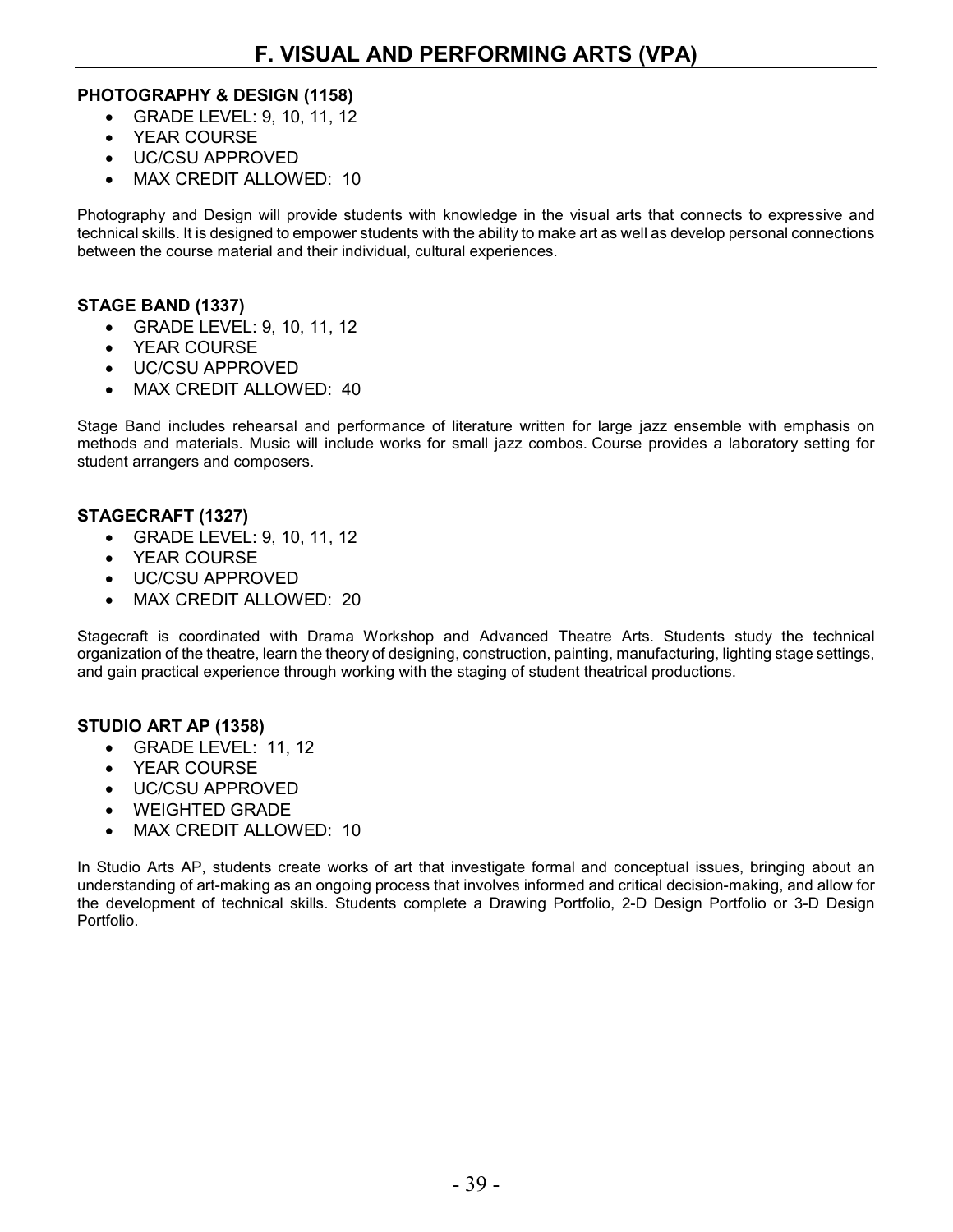#### **PHOTOGRAPHY & DESIGN (1158)**

- GRADE LEVEL: 9, 10, 11, 12
- YEAR COURSE
- UC/CSU APPROVED
- MAX CREDIT ALLOWED: 10

Photography and Design will provide students with knowledge in the visual arts that connects to expressive and technical skills. It is designed to empower students with the ability to make art as well as develop personal connections between the course material and their individual, cultural experiences.

#### **STAGE BAND (1337)**

- GRADE LEVEL: 9, 10, 11, 12
- YEAR COURSE
- UC/CSU APPROVED
- MAX CREDIT ALLOWED: 40

Stage Band includes rehearsal and performance of literature written for large jazz ensemble with emphasis on methods and materials. Music will include works for small jazz combos. Course provides a laboratory setting for student arrangers and composers.

#### **STAGECRAFT (1327)**

- GRADE LEVEL: 9, 10, 11, 12
- YEAR COURSE
- UC/CSU APPROVED
- MAX CREDIT ALLOWED: 20

Stagecraft is coordinated with Drama Workshop and Advanced Theatre Arts. Students study the technical organization of the theatre, learn the theory of designing, construction, painting, manufacturing, lighting stage settings, and gain practical experience through working with the staging of student theatrical productions.

#### **STUDIO ART AP (1358)**

- GRADE LEVEL: 11, 12
- YEAR COURSE
- UC/CSU APPROVED
- WEIGHTED GRADE
- MAX CREDIT ALLOWED: 10

In Studio Arts AP, students create works of art that investigate formal and conceptual issues, bringing about an understanding of art-making as an ongoing process that involves informed and critical decision-making, and allow for the development of technical skills. Students complete a Drawing Portfolio, 2-D Design Portfolio or 3-D Design Portfolio.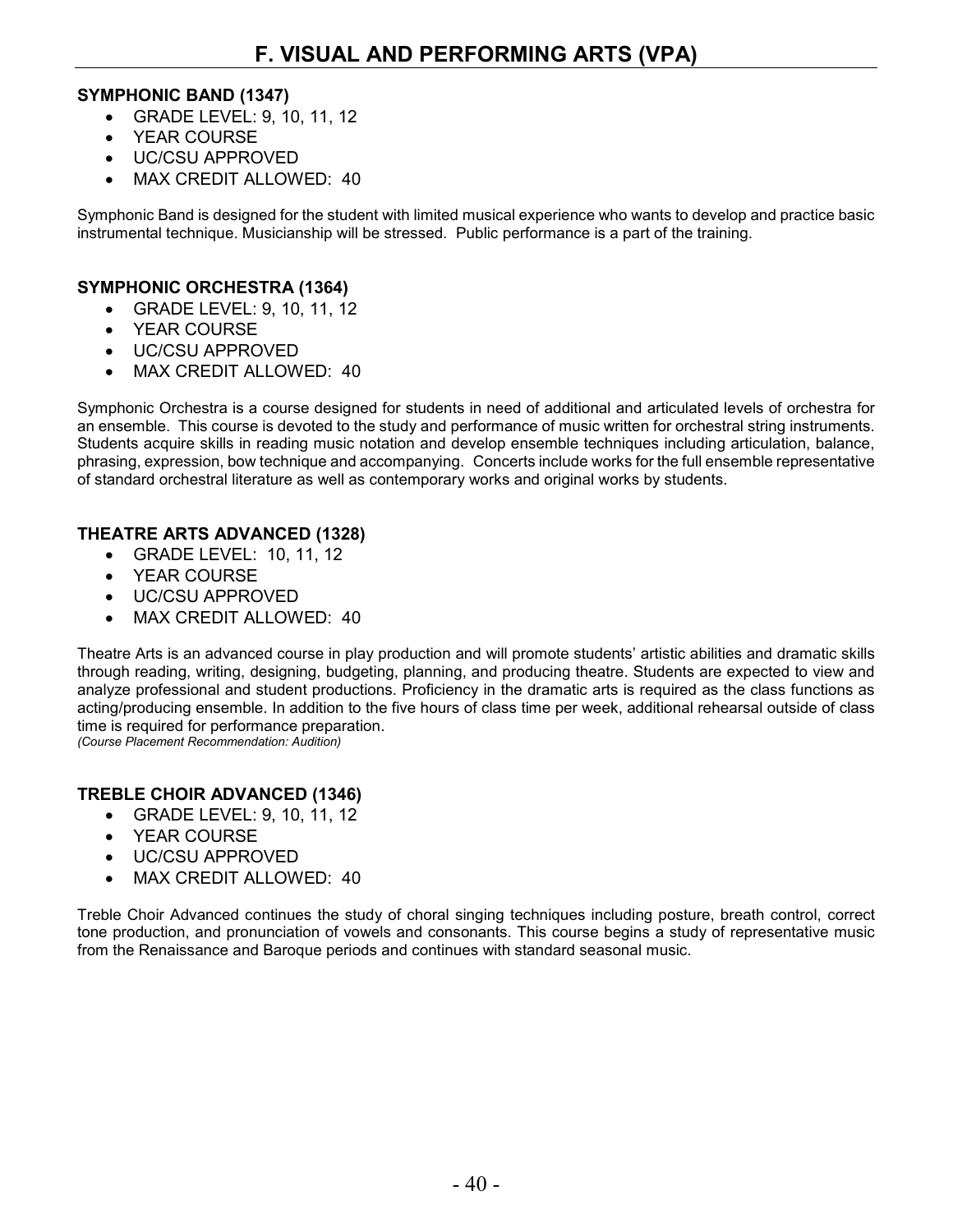#### **SYMPHONIC BAND (1347)**

- GRADE LEVEL: 9, 10, 11, 12
- YEAR COURSE
- UC/CSU APPROVED
- MAX CREDIT ALLOWED: 40

Symphonic Band is designed for the student with limited musical experience who wants to develop and practice basic instrumental technique. Musicianship will be stressed. Public performance is a part of the training.

#### **SYMPHONIC ORCHESTRA (1364)**

- GRADE LEVEL: 9, 10, 11, 12
- YEAR COURSE
- UC/CSU APPROVED
- MAX CREDIT ALLOWED: 40

Symphonic Orchestra is a course designed for students in need of additional and articulated levels of orchestra for an ensemble. This course is devoted to the study and performance of music written for orchestral string instruments. Students acquire skills in reading music notation and develop ensemble techniques including articulation, balance, phrasing, expression, bow technique and accompanying. Concerts include works for the full ensemble representative of standard orchestral literature as well as contemporary works and original works by students.

### **THEATRE ARTS ADVANCED (1328)**

- GRADE LEVEL: 10, 11, 12
- YEAR COURSE
- UC/CSU APPROVED
- MAX CREDIT ALLOWED: 40

Theatre Arts is an advanced course in play production and will promote students' artistic abilities and dramatic skills through reading, writing, designing, budgeting, planning, and producing theatre. Students are expected to view and analyze professional and student productions. Proficiency in the dramatic arts is required as the class functions as acting/producing ensemble. In addition to the five hours of class time per week, additional rehearsal outside of class time is required for performance preparation. *(Course Placement Recommendation: Audition)*

**TREBLE CHOIR ADVANCED (1346)**

- GRADE LEVEL: 9, 10, 11, 12
- YEAR COURSE
- UC/CSU APPROVED
- MAX CREDIT ALLOWED: 40

Treble Choir Advanced continues the study of choral singing techniques including posture, breath control, correct tone production, and pronunciation of vowels and consonants. This course begins a study of representative music from the Renaissance and Baroque periods and continues with standard seasonal music.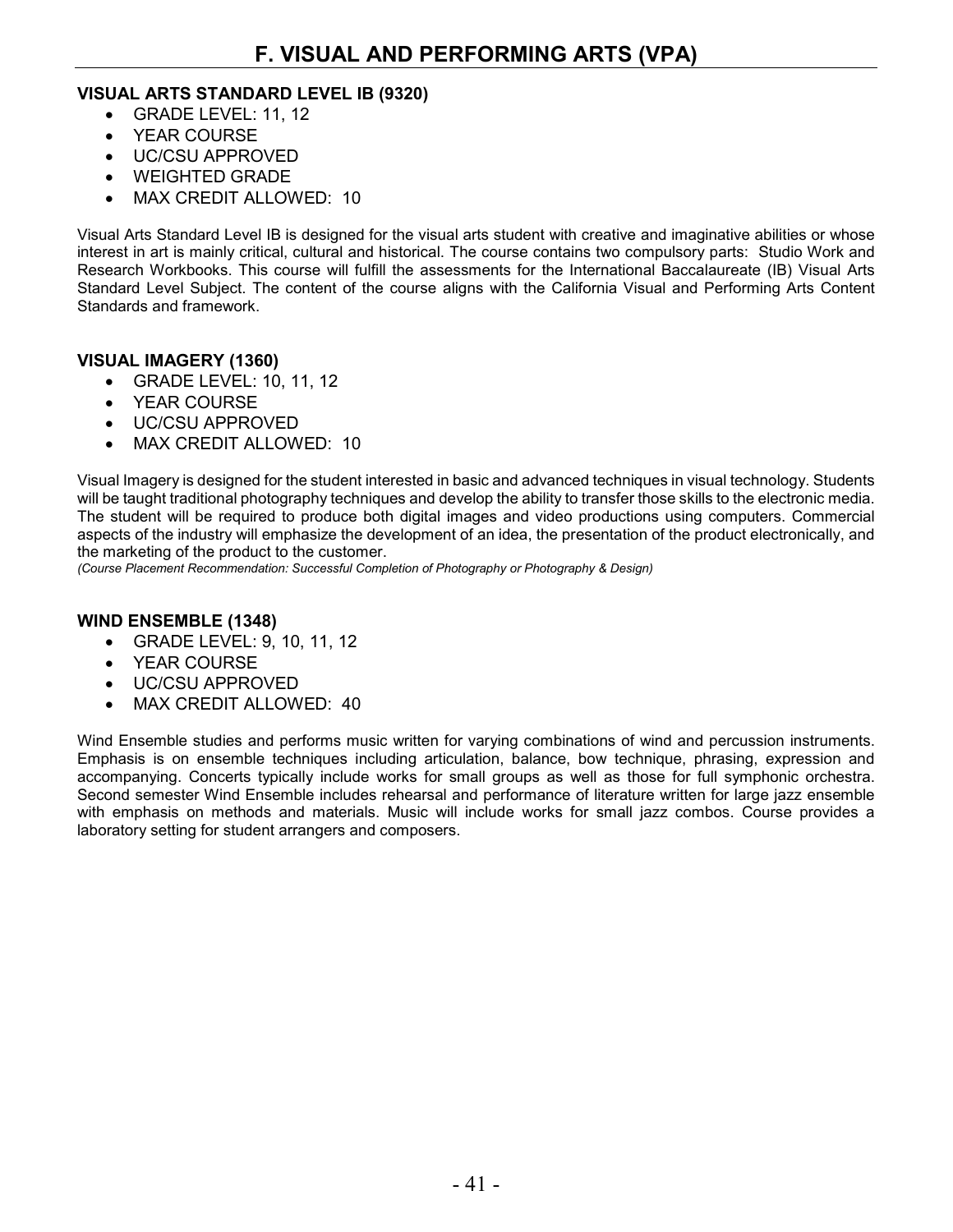#### **VISUAL ARTS STANDARD LEVEL IB (9320)**

- GRADE LEVEL: 11, 12
- YEAR COURSE
- UC/CSU APPROVED
- WEIGHTED GRADE
- MAX CREDIT ALLOWED: 10

Visual Arts Standard Level IB is designed for the visual arts student with creative and imaginative abilities or whose interest in art is mainly critical, cultural and historical. The course contains two compulsory parts: Studio Work and Research Workbooks. This course will fulfill the assessments for the International Baccalaureate (IB) Visual Arts Standard Level Subject. The content of the course aligns with the California Visual and Performing Arts Content Standards and framework.

#### **VISUAL IMAGERY (1360)**

- GRADE LEVEL: 10, 11, 12
- YEAR COURSE
- UC/CSU APPROVED
- MAX CREDIT ALLOWED: 10

Visual Imagery is designed for the student interested in basic and advanced techniques in visual technology. Students will be taught traditional photography techniques and develop the ability to transfer those skills to the electronic media. The student will be required to produce both digital images and video productions using computers. Commercial aspects of the industry will emphasize the development of an idea, the presentation of the product electronically, and the marketing of the product to the customer.

*(Course Placement Recommendation: Successful Completion of Photography or Photography & Design)*

#### **WIND ENSEMBLE (1348)**

- GRADE LEVEL: 9, 10, 11, 12
- YEAR COURSE
- UC/CSU APPROVED
- MAX CREDIT ALLOWED: 40

Wind Ensemble studies and performs music written for varying combinations of wind and percussion instruments. Emphasis is on ensemble techniques including articulation, balance, bow technique, phrasing, expression and accompanying. Concerts typically include works for small groups as well as those for full symphonic orchestra. Second semester Wind Ensemble includes rehearsal and performance of literature written for large jazz ensemble with emphasis on methods and materials. Music will include works for small jazz combos. Course provides a laboratory setting for student arrangers and composers.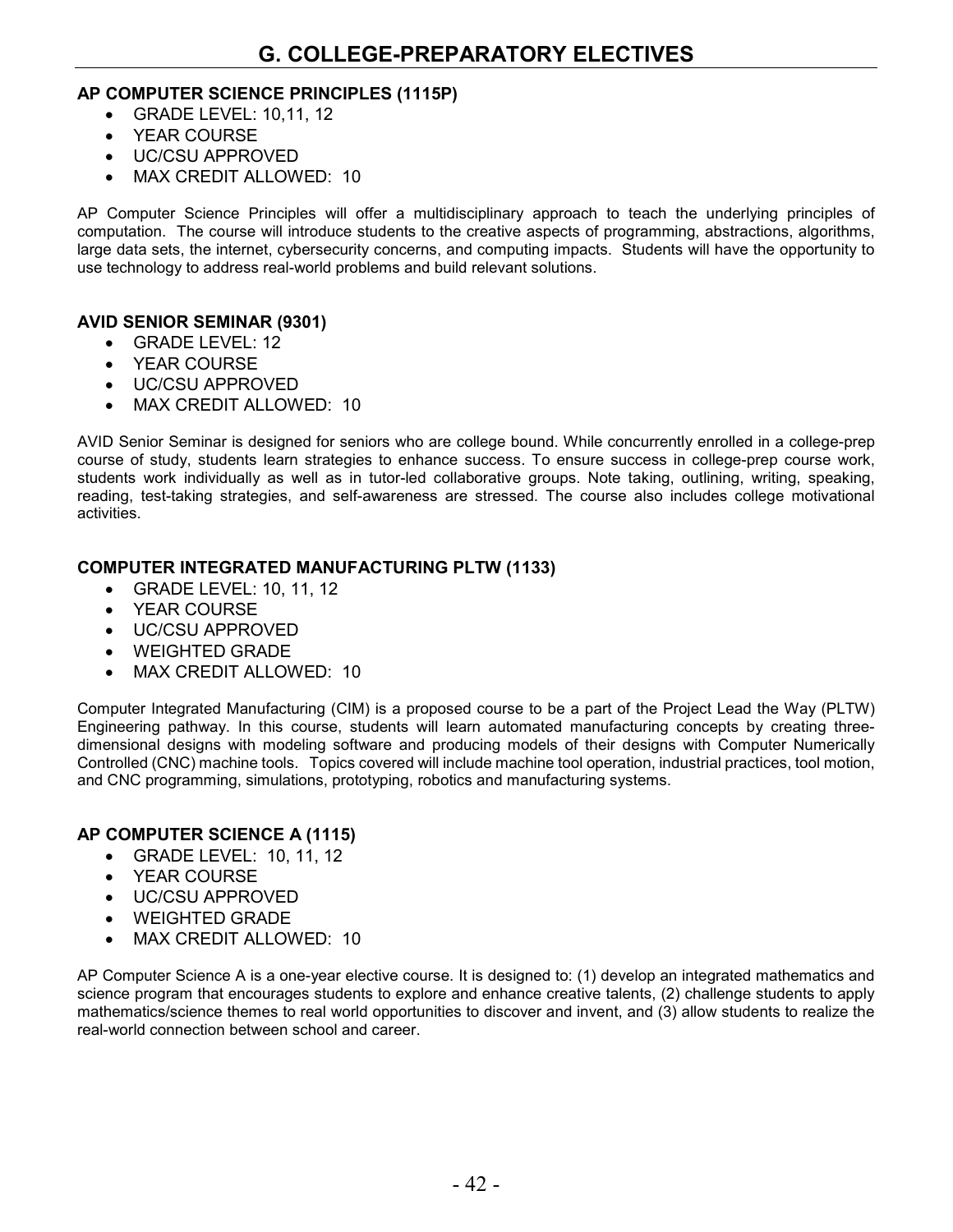#### **AP COMPUTER SCIENCE PRINCIPLES (1115P)**

- GRADE LEVEL: 10,11, 12
- YEAR COURSE
- UC/CSU APPROVED
- MAX CREDIT ALLOWED: 10

AP Computer Science Principles will offer a multidisciplinary approach to teach the underlying principles of computation. The course will introduce students to the creative aspects of programming, abstractions, algorithms, large data sets, the internet, cybersecurity concerns, and computing impacts. Students will have the opportunity to use technology to address real-world problems and build relevant solutions.

#### **AVID SENIOR SEMINAR (9301)**

- GRADE LEVEL: 12
- YEAR COURSE
- UC/CSU APPROVED
- MAX CREDIT ALLOWED: 10

AVID Senior Seminar is designed for seniors who are college bound. While concurrently enrolled in a college-prep course of study, students learn strategies to enhance success. To ensure success in college-prep course work, students work individually as well as in tutor-led collaborative groups. Note taking, outlining, writing, speaking, reading, test-taking strategies, and self-awareness are stressed. The course also includes college motivational activities.

#### **COMPUTER INTEGRATED MANUFACTURING PLTW (1133)**

- GRADE LEVEL: 10, 11, 12
- YEAR COURSE
- UC/CSU APPROVED
- WEIGHTED GRADE
- MAX CREDIT ALLOWED: 10

Computer Integrated Manufacturing (CIM) is a proposed course to be a part of the Project Lead the Way (PLTW) Engineering pathway. In this course, students will learn automated manufacturing concepts by creating threedimensional designs with modeling software and producing models of their designs with Computer Numerically Controlled (CNC) machine tools. Topics covered will include machine tool operation, industrial practices, tool motion, and CNC programming, simulations, prototyping, robotics and manufacturing systems.

#### **AP COMPUTER SCIENCE A (1115)**

- GRADE LEVEL: 10, 11, 12
- YEAR COURSE
- UC/CSU APPROVED
- WEIGHTED GRADE
- MAX CREDIT ALLOWED: 10

AP Computer Science A is a one-year elective course. It is designed to: (1) develop an integrated mathematics and science program that encourages students to explore and enhance creative talents, (2) challenge students to apply mathematics/science themes to real world opportunities to discover and invent, and (3) allow students to realize the real-world connection between school and career.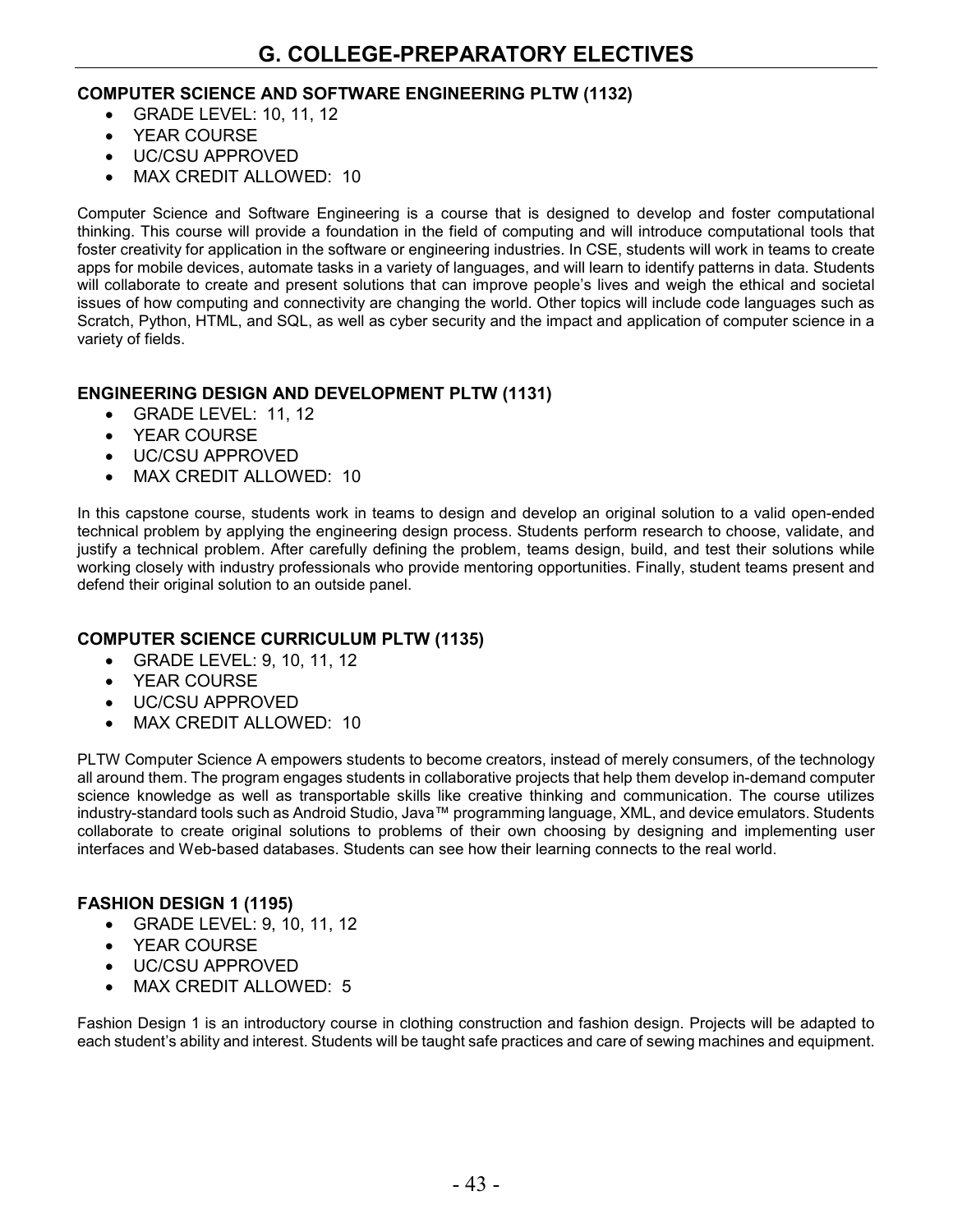#### **COMPUTER SCIENCE AND SOFTWARE ENGINEERING PLTW (1132)**

- GRADE LEVEL: 10, 11, 12
- YEAR COURSE
- UC/CSU APPROVED
- MAX CREDIT ALLOWED: 10

Computer Science and Software Engineering is a course that is designed to develop and foster computational thinking. This course will provide a foundation in the field of computing and will introduce computational tools that foster creativity for application in the software or engineering industries. In CSE, students will work in teams to create apps for mobile devices, automate tasks in a variety of languages, and will learn to identify patterns in data. Students will collaborate to create and present solutions that can improve people's lives and weigh the ethical and societal issues of how computing and connectivity are changing the world. Other topics will include code languages such as Scratch, Python, HTML, and SQL, as well as cyber security and the impact and application of computer science in a variety of fields.

#### **ENGINEERING DESIGN AND DEVELOPMENT PLTW (1131)**

- GRADE LEVEL: 11, 12
- YEAR COURSE
- UC/CSU APPROVED
- MAX CREDIT ALLOWED: 10

In this capstone course, students work in teams to design and develop an original solution to a valid open-ended technical problem by applying the engineering design process. Students perform research to choose, validate, and justify a technical problem. After carefully defining the problem, teams design, build, and test their solutions while working closely with industry professionals who provide mentoring opportunities. Finally, student teams present and defend their original solution to an outside panel.

#### **COMPUTER SCIENCE CURRICULUM PLTW (1135)**

- GRADE LEVEL: 9, 10, 11, 12
- YEAR COURSE
- UC/CSU APPROVED
- MAX CREDIT ALLOWED: 10

PLTW Computer Science A empowers students to become creators, instead of merely consumers, of the technology all around them. The program engages students in collaborative projects that help them develop in-demand computer science knowledge as well as transportable skills like creative thinking and communication. The course utilizes industry-standard tools such as Android Studio, Java™ programming language, XML, and device emulators. Students collaborate to create original solutions to problems of their own choosing by designing and implementing user interfaces and Web-based databases. Students can see how their learning connects to the real world.

#### **FASHION DESIGN 1 (1195)**

- GRADE LEVEL: 9, 10, 11, 12
- YEAR COURSE
- UC/CSU APPROVED
- MAX CREDIT ALLOWED: 5

Fashion Design 1 is an introductory course in clothing construction and fashion design. Projects will be adapted to each student's ability and interest. Students will be taught safe practices and care of sewing machines and equipment.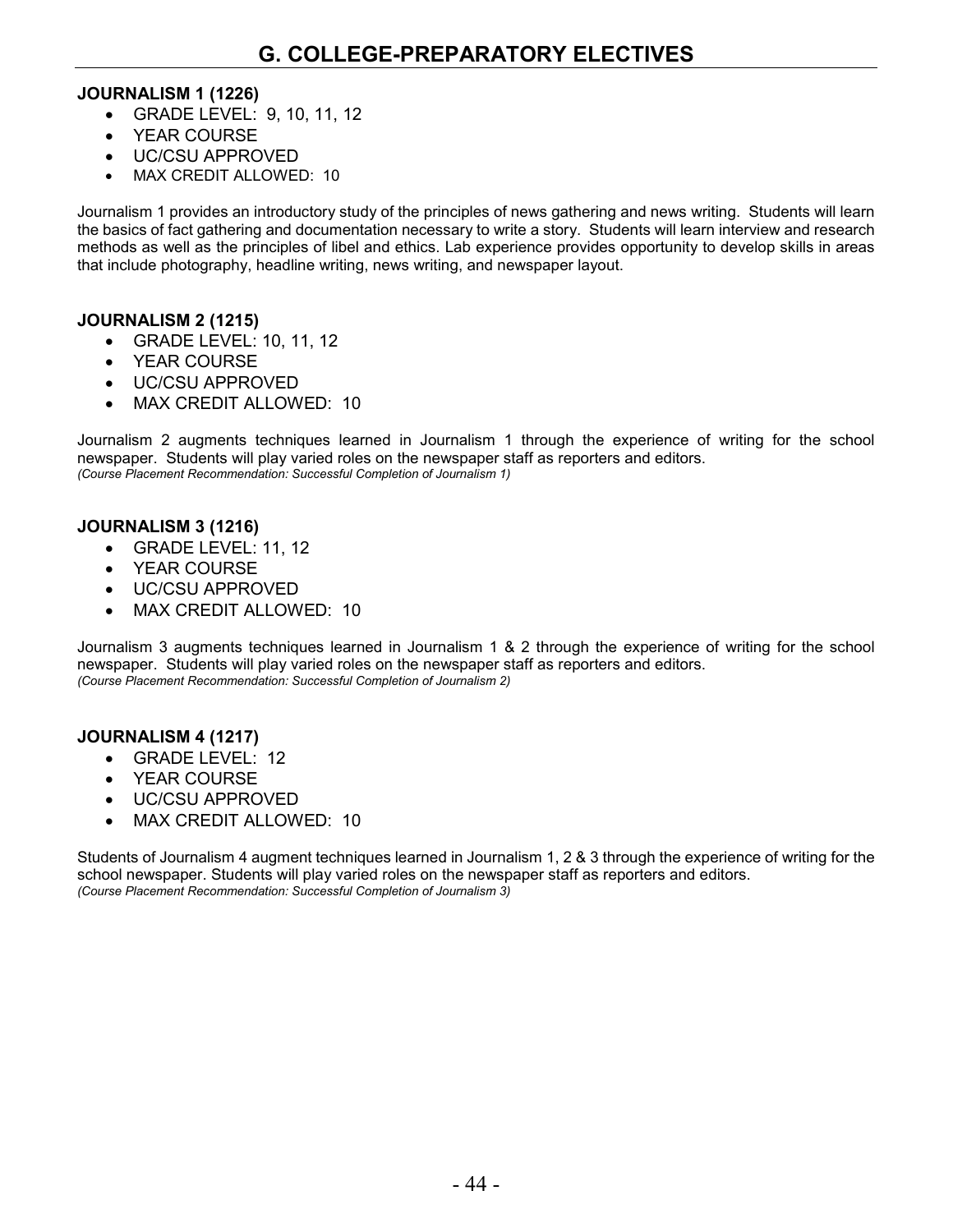#### **JOURNALISM 1 (1226)**

- GRADE LEVEL: 9, 10, 11, 12
- YEAR COURSE
- UC/CSU APPROVED
- MAX CREDIT ALLOWED: 10

Journalism 1 provides an introductory study of the principles of news gathering and news writing. Students will learn the basics of fact gathering and documentation necessary to write a story. Students will learn interview and research methods as well as the principles of libel and ethics. Lab experience provides opportunity to develop skills in areas that include photography, headline writing, news writing, and newspaper layout.

#### **JOURNALISM 2 (1215)**

- GRADE LEVEL: 10, 11, 12
- YEAR COURSE
- UC/CSU APPROVED
- MAX CREDIT ALLOWED: 10

Journalism 2 augments techniques learned in Journalism 1 through the experience of writing for the school newspaper. Students will play varied roles on the newspaper staff as reporters and editors. *(Course Placement Recommendation: Successful Completion of Journalism 1)*

#### **JOURNALISM 3 (1216)**

- GRADE LEVEL: 11, 12
- YEAR COURSE
- UC/CSU APPROVED
- MAX CREDIT ALLOWED: 10

Journalism 3 augments techniques learned in Journalism 1 & 2 through the experience of writing for the school newspaper. Students will play varied roles on the newspaper staff as reporters and editors. *(Course Placement Recommendation: Successful Completion of Journalism 2)*

#### **JOURNALISM 4 (1217)**

- GRADE LEVEL: 12
- YEAR COURSE
- UC/CSU APPROVED
- MAX CREDIT ALLOWED: 10

Students of Journalism 4 augment techniques learned in Journalism 1, 2 & 3 through the experience of writing for the school newspaper. Students will play varied roles on the newspaper staff as reporters and editors. *(Course Placement Recommendation: Successful Completion of Journalism 3)*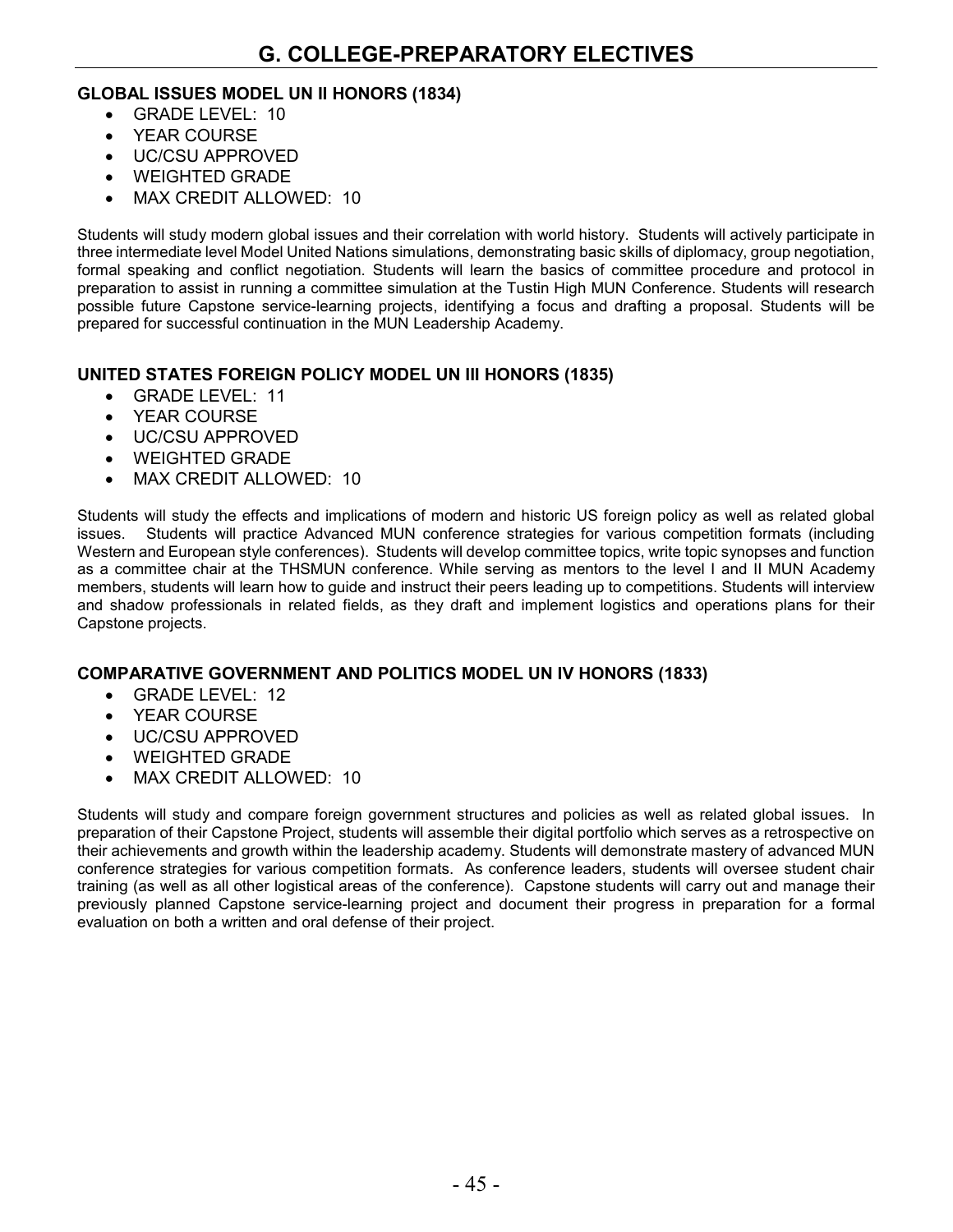#### **GLOBAL ISSUES MODEL UN II HONORS (1834)**

- GRADE LEVEL: 10
- YEAR COURSE
- UC/CSU APPROVED
- WEIGHTED GRADE
- MAX CREDIT ALLOWED: 10

Students will study modern global issues and their correlation with world history. Students will actively participate in three intermediate level Model United Nations simulations, demonstrating basic skills of diplomacy, group negotiation, formal speaking and conflict negotiation. Students will learn the basics of committee procedure and protocol in preparation to assist in running a committee simulation at the Tustin High MUN Conference. Students will research possible future Capstone service-learning projects, identifying a focus and drafting a proposal. Students will be prepared for successful continuation in the MUN Leadership Academy.

#### **UNITED STATES FOREIGN POLICY MODEL UN III HONORS (1835)**

- GRADE LEVEL: 11
- YEAR COURSE
- UC/CSU APPROVED
- WEIGHTED GRADE
- MAX CREDIT ALLOWED: 10

Students will study the effects and implications of modern and historic US foreign policy as well as related global issues. Students will practice Advanced MUN conference strategies for various competition formats (including Western and European style conferences). Students will develop committee topics, write topic synopses and function as a committee chair at the THSMUN conference. While serving as mentors to the level I and II MUN Academy members, students will learn how to guide and instruct their peers leading up to competitions. Students will interview and shadow professionals in related fields, as they draft and implement logistics and operations plans for their Capstone projects.

#### **COMPARATIVE GOVERNMENT AND POLITICS MODEL UN IV HONORS (1833)**

- GRADE LEVEL: 12
- YEAR COURSE
- UC/CSU APPROVED
- WEIGHTED GRADE
- MAX CREDIT ALLOWED: 10

Students will study and compare foreign government structures and policies as well as related global issues. In preparation of their Capstone Project, students will assemble their digital portfolio which serves as a retrospective on their achievements and growth within the leadership academy. Students will demonstrate mastery of advanced MUN conference strategies for various competition formats. As conference leaders, students will oversee student chair training (as well as all other logistical areas of the conference). Capstone students will carry out and manage their previously planned Capstone service-learning project and document their progress in preparation for a formal evaluation on both a written and oral defense of their project.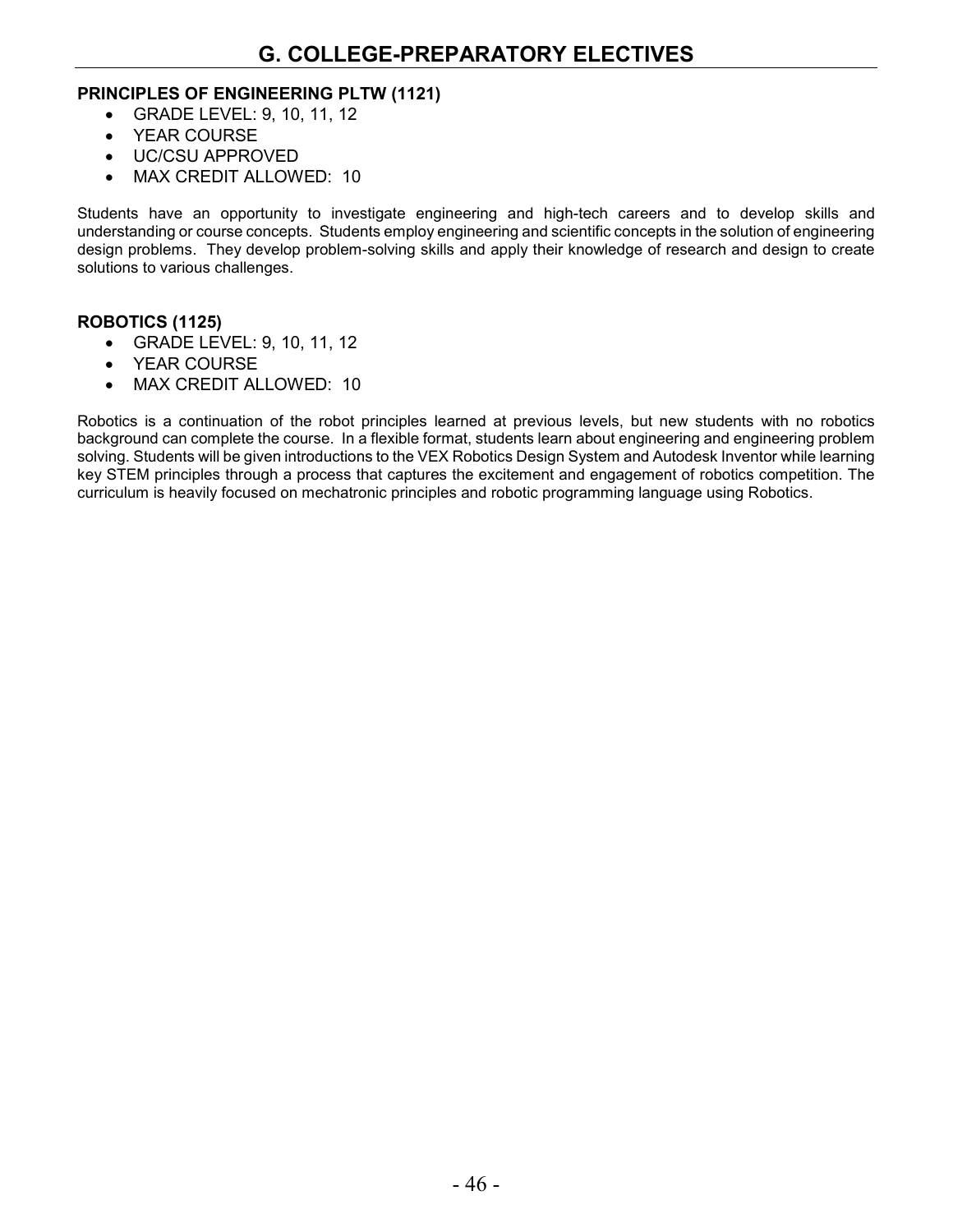#### **PRINCIPLES OF ENGINEERING PLTW (1121)**

- GRADE LEVEL: 9, 10, 11, 12
- YEAR COURSE
- UC/CSU APPROVED
- MAX CREDIT ALLOWED: 10

Students have an opportunity to investigate engineering and high-tech careers and to develop skills and understanding or course concepts. Students employ engineering and scientific concepts in the solution of engineering design problems. They develop problem-solving skills and apply their knowledge of research and design to create solutions to various challenges.

#### **ROBOTICS (1125)**

- GRADE LEVEL: 9, 10, 11, 12
- YEAR COURSE
- MAX CREDIT ALLOWED: 10

Robotics is a continuation of the robot principles learned at previous levels, but new students with no robotics background can complete the course. In a flexible format, students learn about engineering and engineering problem solving. Students will be given introductions to the VEX Robotics Design System and Autodesk Inventor while learning key STEM principles through a process that captures the excitement and engagement of robotics competition. The curriculum is heavily focused on mechatronic principles and robotic programming language using Robotics.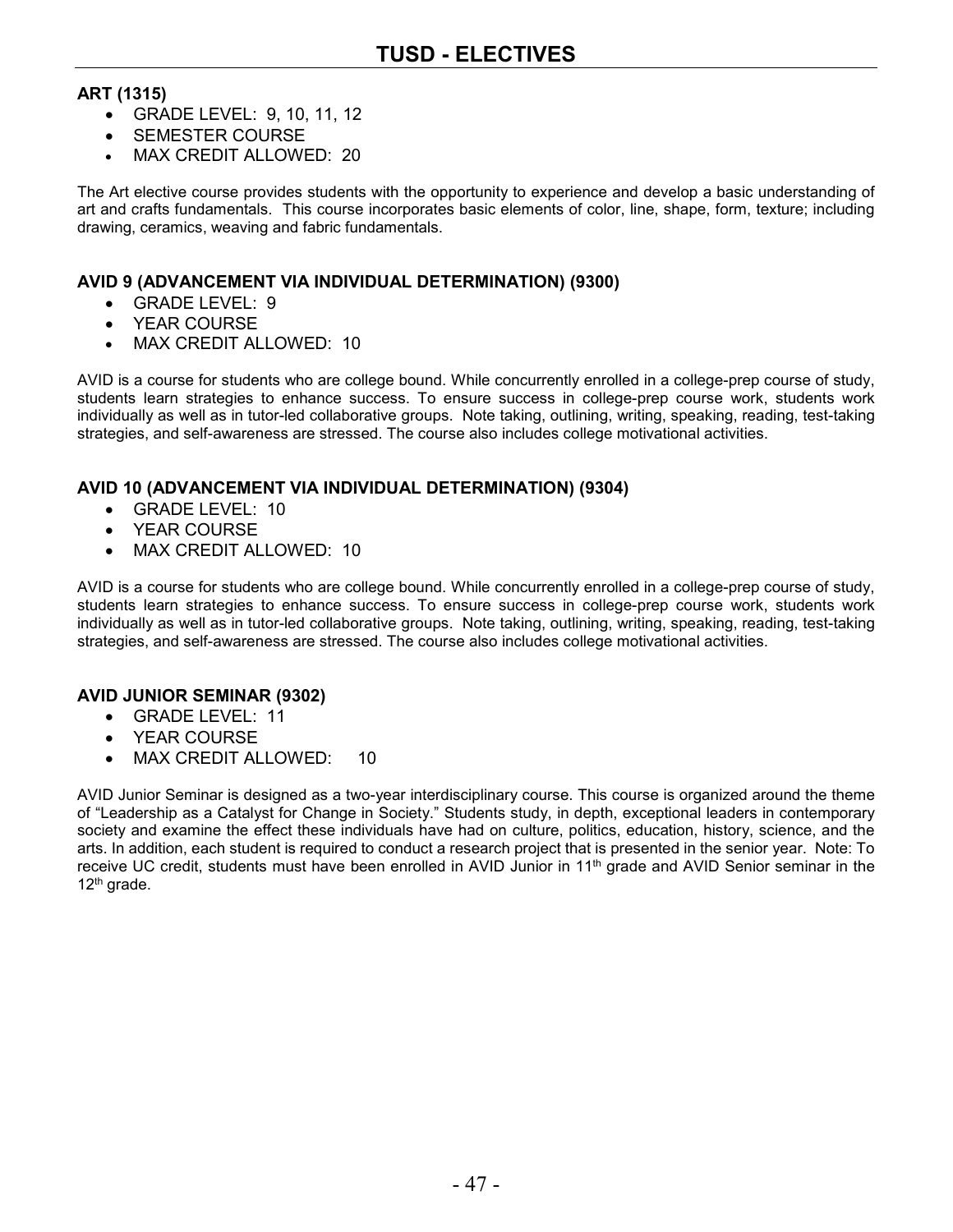### **ART (1315)**

- GRADE LEVEL: 9, 10, 11, 12
- SEMESTER COURSE
- MAX CREDIT ALLOWED: 20

The Art elective course provides students with the opportunity to experience and develop a basic understanding of art and crafts fundamentals. This course incorporates basic elements of color, line, shape, form, texture; including drawing, ceramics, weaving and fabric fundamentals.

#### **AVID 9 (ADVANCEMENT VIA INDIVIDUAL DETERMINATION) (9300)**

- GRADE LEVEL: 9
- YEAR COURSE
- MAX CREDIT ALLOWED: 10

AVID is a course for students who are college bound. While concurrently enrolled in a college-prep course of study, students learn strategies to enhance success. To ensure success in college-prep course work, students work individually as well as in tutor-led collaborative groups. Note taking, outlining, writing, speaking, reading, test-taking strategies, and self-awareness are stressed. The course also includes college motivational activities.

#### **AVID 10 (ADVANCEMENT VIA INDIVIDUAL DETERMINATION) (9304)**

- GRADE LEVEL: 10
- YEAR COURSE
- MAX CREDIT ALLOWED: 10

AVID is a course for students who are college bound. While concurrently enrolled in a college-prep course of study, students learn strategies to enhance success. To ensure success in college-prep course work, students work individually as well as in tutor-led collaborative groups. Note taking, outlining, writing, speaking, reading, test-taking strategies, and self-awareness are stressed. The course also includes college motivational activities.

#### **AVID JUNIOR SEMINAR (9302)**

- GRADE LEVEL: 11
- YEAR COURSE
- MAX CREDIT ALLOWED: 10

AVID Junior Seminar is designed as a two-year interdisciplinary course. This course is organized around the theme of "Leadership as a Catalyst for Change in Society." Students study, in depth, exceptional leaders in contemporary society and examine the effect these individuals have had on culture, politics, education, history, science, and the arts. In addition, each student is required to conduct a research project that is presented in the senior year. Note: To receive UC credit, students must have been enrolled in AVID Junior in 11th grade and AVID Senior seminar in the 12th grade.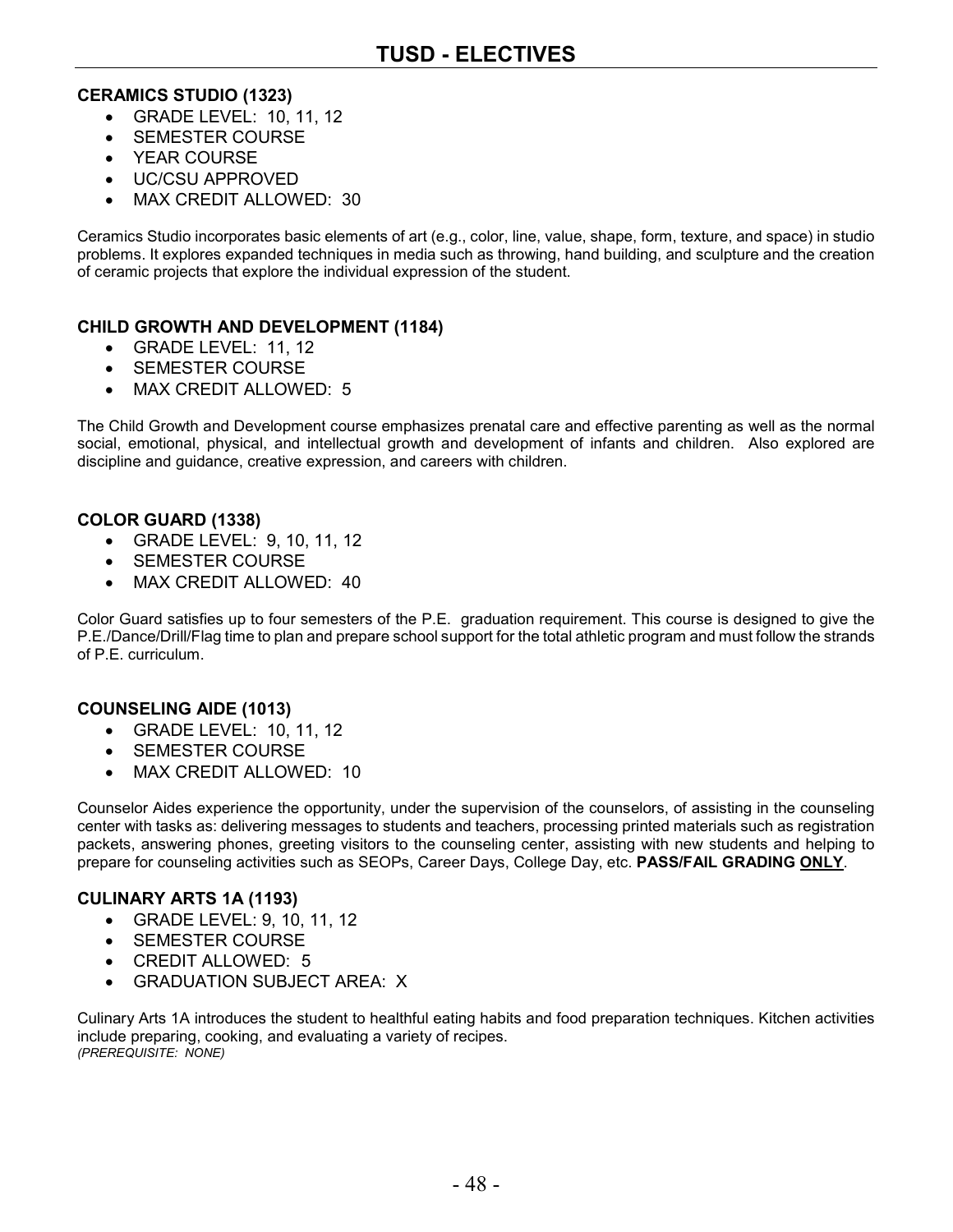#### **CERAMICS STUDIO (1323)**

- GRADE LEVEL: 10, 11, 12
- SEMESTER COURSE
- YEAR COURSE
- UC/CSU APPROVED
- MAX CREDIT ALLOWED: 30

Ceramics Studio incorporates basic elements of art (e.g., color, line, value, shape, form, texture, and space) in studio problems. It explores expanded techniques in media such as throwing, hand building, and sculpture and the creation of ceramic projects that explore the individual expression of the student.

#### **CHILD GROWTH AND DEVELOPMENT (1184)**

- GRADE LEVEL: 11, 12
- SEMESTER COURSE
- MAX CREDIT ALLOWED: 5

The Child Growth and Development course emphasizes prenatal care and effective parenting as well as the normal social, emotional, physical, and intellectual growth and development of infants and children. Also explored are discipline and guidance, creative expression, and careers with children.

#### **COLOR GUARD (1338)**

- GRADE LEVEL: 9, 10, 11, 12
- SEMESTER COURSE
- MAX CREDIT ALLOWED: 40

Color Guard satisfies up to four semesters of the P.E. graduation requirement. This course is designed to give the P.E./Dance/Drill/Flag time to plan and prepare school support for the total athletic program and must follow the strands of P.E. curriculum.

#### **COUNSELING AIDE (1013)**

- GRADE LEVEL: 10, 11, 12
- SEMESTER COURSE
- MAX CREDIT ALLOWED: 10

Counselor Aides experience the opportunity, under the supervision of the counselors, of assisting in the counseling center with tasks as: delivering messages to students and teachers, processing printed materials such as registration packets, answering phones, greeting visitors to the counseling center, assisting with new students and helping to prepare for counseling activities such as SEOPs, Career Days, College Day, etc. **PASS/FAIL GRADING ONLY**.

#### **CULINARY ARTS 1A (1193)**

- GRADE LEVEL: 9, 10, 11, 12
- SEMESTER COURSE
- CREDIT ALLOWED: 5
- GRADUATION SUBJECT AREA: X

Culinary Arts 1A introduces the student to healthful eating habits and food preparation techniques. Kitchen activities include preparing, cooking, and evaluating a variety of recipes. *(PREREQUISITE: NONE)*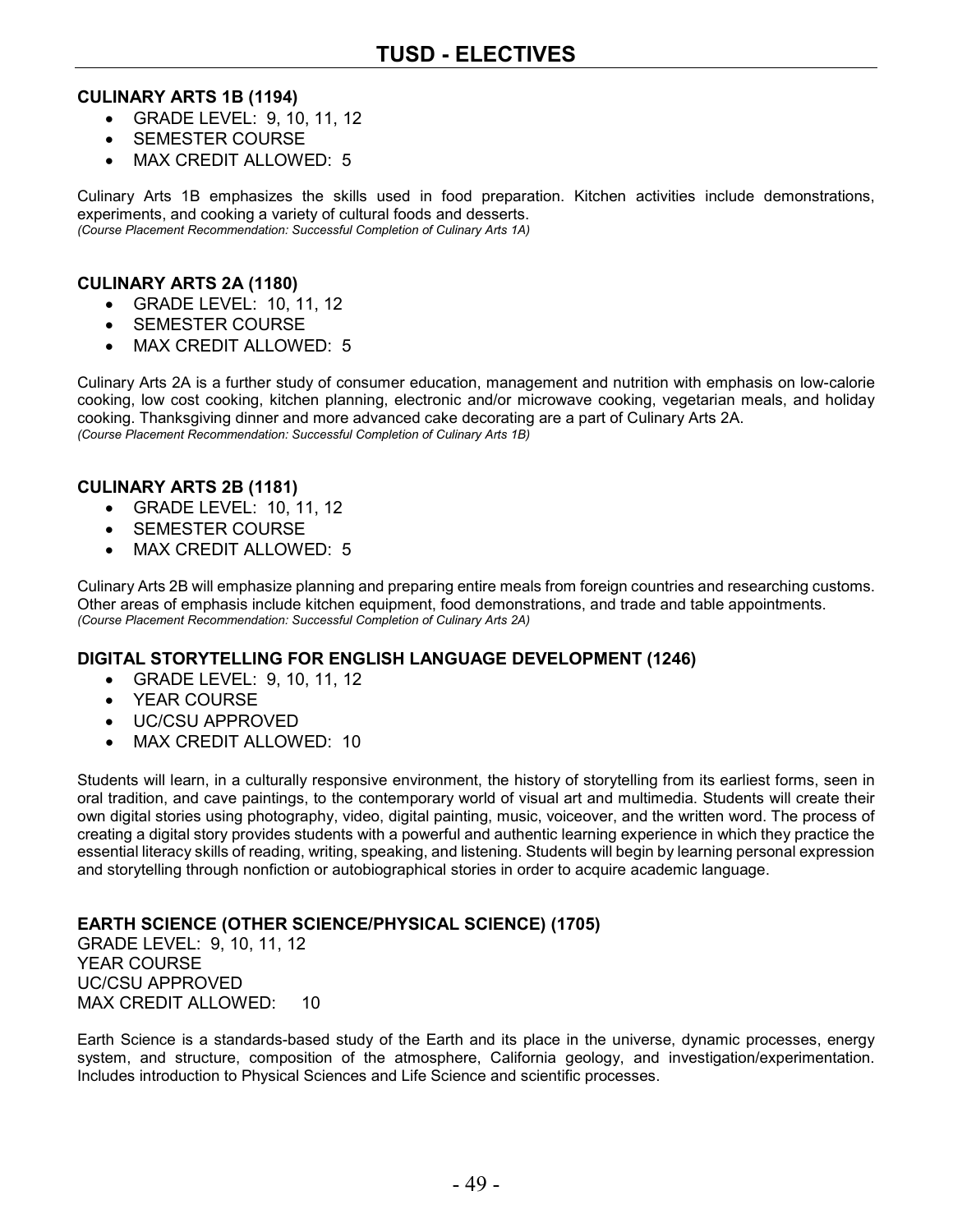#### **CULINARY ARTS 1B (1194)**

- GRADE LEVEL: 9, 10, 11, 12
- SEMESTER COURSE
- MAX CREDIT ALLOWED: 5

Culinary Arts 1B emphasizes the skills used in food preparation. Kitchen activities include demonstrations, experiments, and cooking a variety of cultural foods and desserts. *(Course Placement Recommendation: Successful Completion of Culinary Arts 1A)*

#### **CULINARY ARTS 2A (1180)**

- GRADE LEVEL: 10, 11, 12
- SEMESTER COURSE
- MAX CREDIT ALLOWED: 5

Culinary Arts 2A is a further study of consumer education, management and nutrition with emphasis on low-calorie cooking, low cost cooking, kitchen planning, electronic and/or microwave cooking, vegetarian meals, and holiday cooking. Thanksgiving dinner and more advanced cake decorating are a part of Culinary Arts 2A. *(Course Placement Recommendation: Successful Completion of Culinary Arts 1B)*

#### **CULINARY ARTS 2B (1181)**

- GRADE LEVEL: 10, 11, 12
- SEMESTER COURSE
- MAX CREDIT ALLOWED: 5

Culinary Arts 2B will emphasize planning and preparing entire meals from foreign countries and researching customs. Other areas of emphasis include kitchen equipment, food demonstrations, and trade and table appointments. *(Course Placement Recommendation: Successful Completion of Culinary Arts 2A)*

#### **DIGITAL STORYTELLING FOR ENGLISH LANGUAGE DEVELOPMENT (1246)**

- GRADE LEVEL: 9, 10, 11, 12
- YEAR COURSE
- UC/CSU APPROVED
- MAX CREDIT ALLOWED: 10

Students will learn, in a culturally responsive environment, the history of storytelling from its earliest forms, seen in oral tradition, and cave paintings, to the contemporary world of visual art and multimedia. Students will create their own digital stories using photography, video, digital painting, music, voiceover, and the written word. The process of creating a digital story provides students with a powerful and authentic learning experience in which they practice the essential literacy skills of reading, writing, speaking, and listening. Students will begin by learning personal expression and storytelling through nonfiction or autobiographical stories in order to acquire academic language.

#### **EARTH SCIENCE (OTHER SCIENCE/PHYSICAL SCIENCE) (1705)**

GRADE LEVEL: 9, 10, 11, 12 YEAR COURSE UC/CSU APPROVED MAX CREDIT ALLOWED: 10

Earth Science is a standards-based study of the Earth and its place in the universe, dynamic processes, energy system, and structure, composition of the atmosphere, California geology, and investigation/experimentation. Includes introduction to Physical Sciences and Life Science and scientific processes.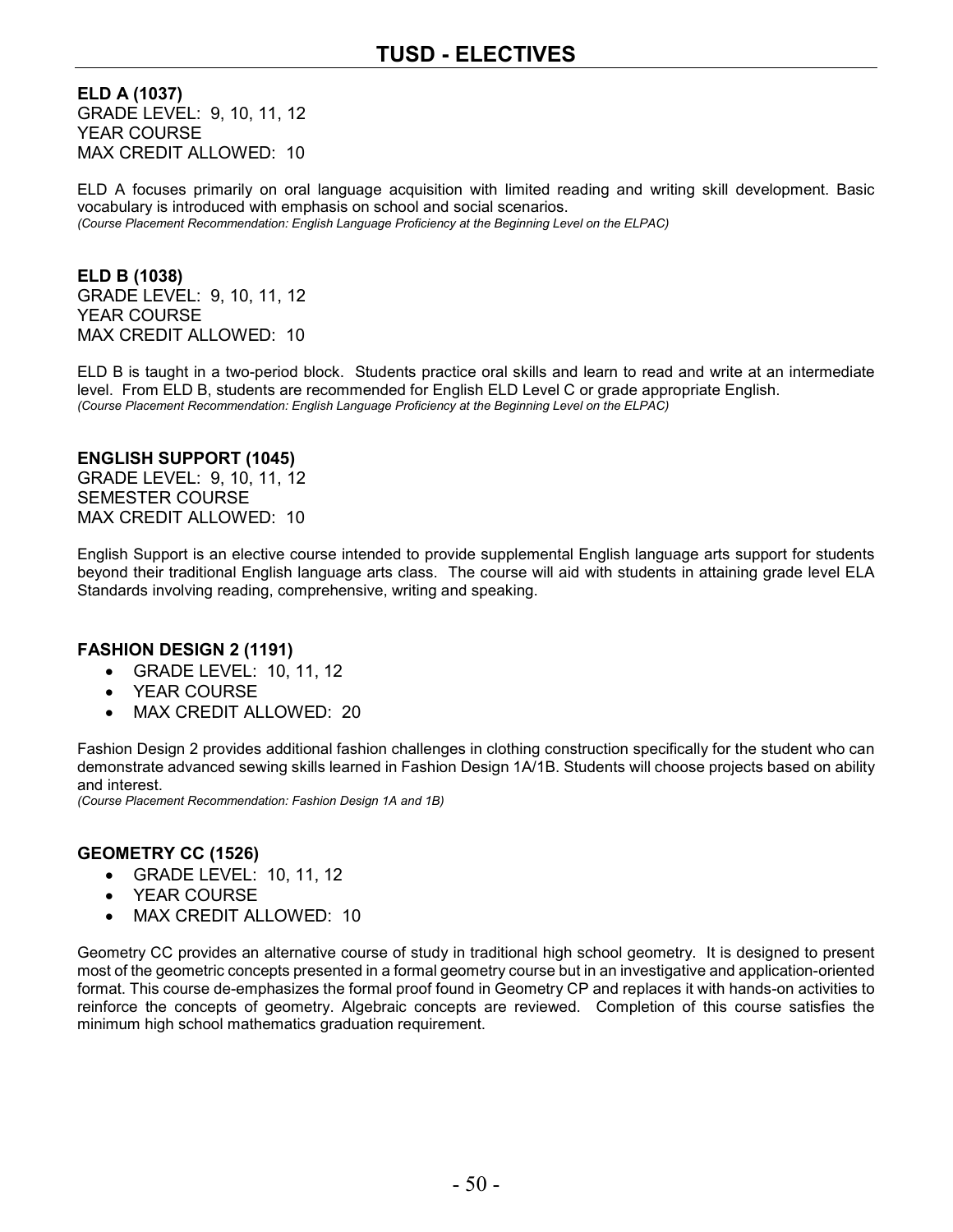**ELD A (1037)** GRADE LEVEL: 9, 10, 11, 12 YEAR COURSE MAX CREDIT ALLOWED: 10

ELD A focuses primarily on oral language acquisition with limited reading and writing skill development. Basic vocabulary is introduced with emphasis on school and social scenarios. *(Course Placement Recommendation: English Language Proficiency at the Beginning Level on the ELPAC)*

**ELD B (1038)** GRADE LEVEL: 9, 10, 11, 12 YEAR COURSE MAX CREDIT ALLOWED: 10

ELD B is taught in a two-period block. Students practice oral skills and learn to read and write at an intermediate level. From ELD B, students are recommended for English ELD Level C or grade appropriate English. *(Course Placement Recommendation: English Language Proficiency at the Beginning Level on the ELPAC)*

#### **ENGLISH SUPPORT (1045)**

GRADE LEVEL: 9, 10, 11, 12 SEMESTER COURSE MAX CREDIT ALLOWED: 10

English Support is an elective course intended to provide supplemental English language arts support for students beyond their traditional English language arts class. The course will aid with students in attaining grade level ELA Standards involving reading, comprehensive, writing and speaking.

#### **FASHION DESIGN 2 (1191)**

- GRADE LEVEL: 10, 11, 12
- YEAR COURSE
- MAX CREDIT ALLOWED: 20

Fashion Design 2 provides additional fashion challenges in clothing construction specifically for the student who can demonstrate advanced sewing skills learned in Fashion Design 1A/1B. Students will choose projects based on ability and interest.

*(Course Placement Recommendation: Fashion Design 1A and 1B)*

#### **GEOMETRY CC (1526)**

- GRADE LEVEL: 10, 11, 12
- YEAR COURSE
- MAX CREDIT ALLOWED: 10

Geometry CC provides an alternative course of study in traditional high school geometry. It is designed to present most of the geometric concepts presented in a formal geometry course but in an investigative and application-oriented format. This course de-emphasizes the formal proof found in Geometry CP and replaces it with hands-on activities to reinforce the concepts of geometry. Algebraic concepts are reviewed. Completion of this course satisfies the minimum high school mathematics graduation requirement.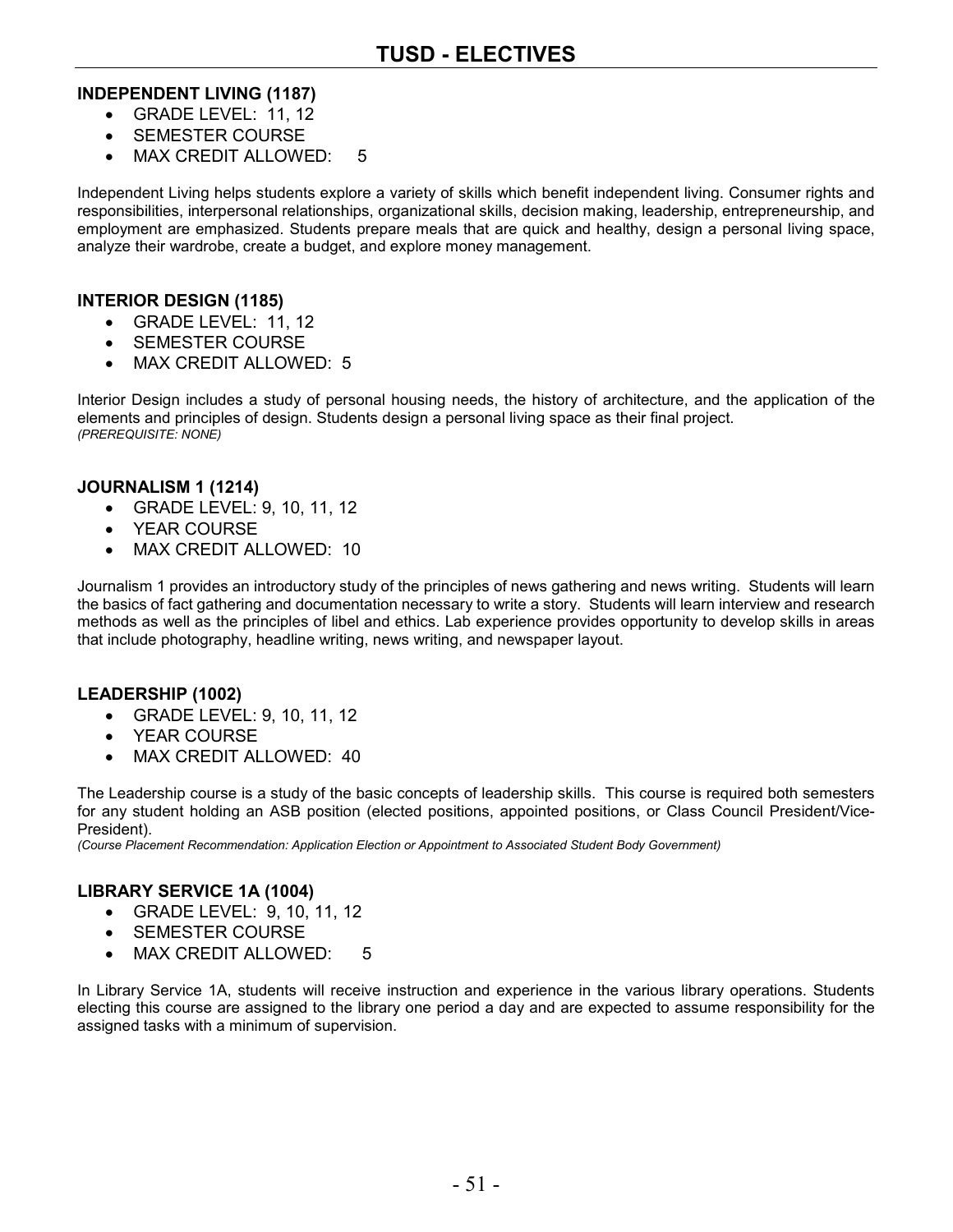#### **INDEPENDENT LIVING (1187)**

- GRADE LEVEL: 11, 12
- SEMESTER COURSE
- MAX CREDIT ALLOWED: 5

Independent Living helps students explore a variety of skills which benefit independent living. Consumer rights and responsibilities, interpersonal relationships, organizational skills, decision making, leadership, entrepreneurship, and employment are emphasized. Students prepare meals that are quick and healthy, design a personal living space, analyze their wardrobe, create a budget, and explore money management.

#### **INTERIOR DESIGN (1185)**

- GRADE LEVEL: 11, 12
- SEMESTER COURSE
- MAX CREDIT ALLOWED: 5

Interior Design includes a study of personal housing needs, the history of architecture, and the application of the elements and principles of design. Students design a personal living space as their final project. *(PREREQUISITE: NONE)*

#### **JOURNALISM 1 (1214)**

- GRADE LEVEL: 9, 10, 11, 12
- YEAR COURSE
- MAX CREDIT ALLOWED: 10

Journalism 1 provides an introductory study of the principles of news gathering and news writing. Students will learn the basics of fact gathering and documentation necessary to write a story. Students will learn interview and research methods as well as the principles of libel and ethics. Lab experience provides opportunity to develop skills in areas that include photography, headline writing, news writing, and newspaper layout.

#### **LEADERSHIP (1002)**

- GRADE LEVEL: 9, 10, 11, 12
- YEAR COURSE
- MAX CREDIT ALLOWED: 40

The Leadership course is a study of the basic concepts of leadership skills. This course is required both semesters for any student holding an ASB position (elected positions, appointed positions, or Class Council President/Vice-President).

*(Course Placement Recommendation: Application Election or Appointment to Associated Student Body Government)*

#### **LIBRARY SERVICE 1A (1004)**

- GRADE LEVEL: 9, 10, 11, 12
- SEMESTER COURSE
- MAX CREDIT ALLOWED: 5

In Library Service 1A, students will receive instruction and experience in the various library operations. Students electing this course are assigned to the library one period a day and are expected to assume responsibility for the assigned tasks with a minimum of supervision.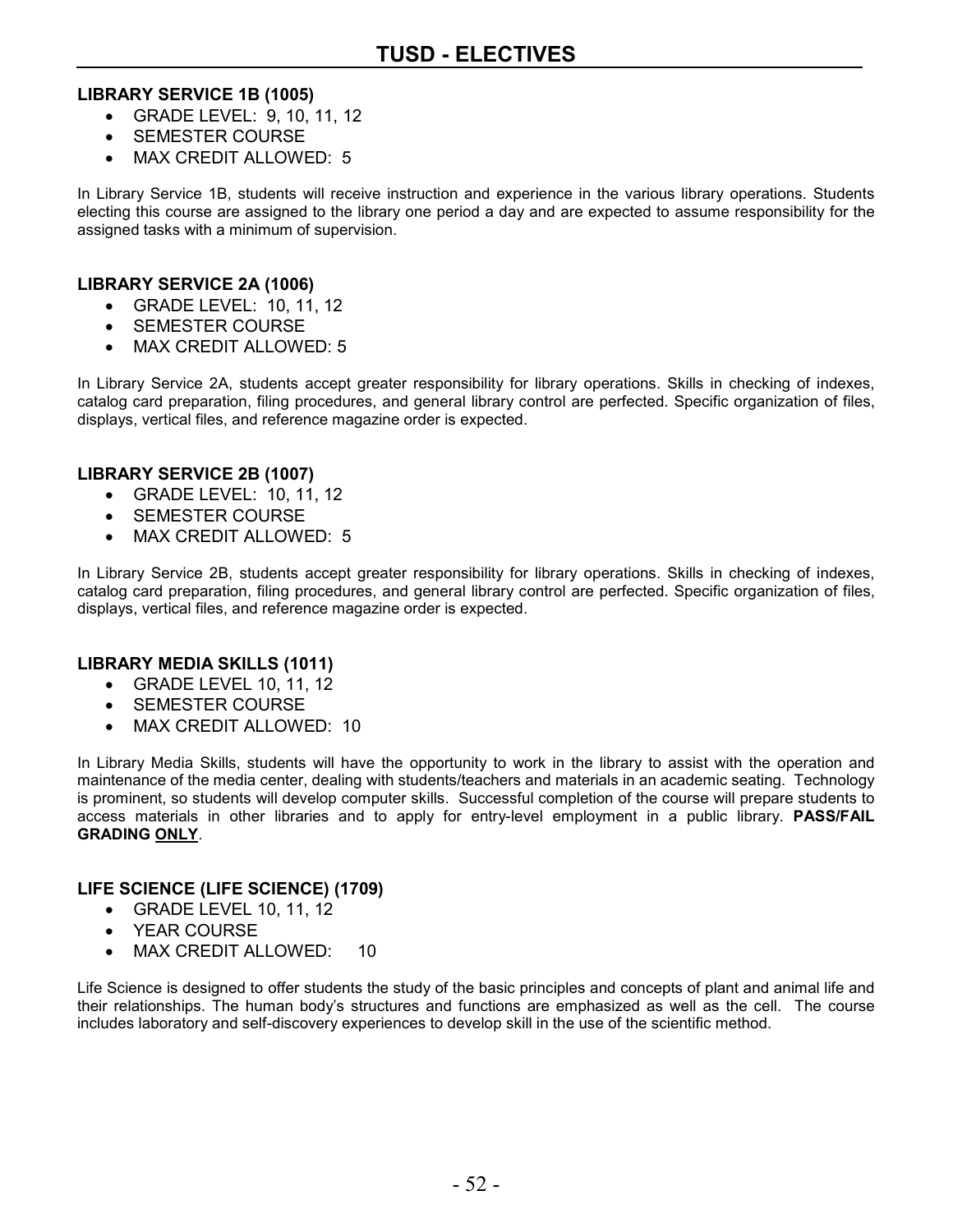#### **LIBRARY SERVICE 1B (1005)**

- GRADE LEVEL: 9, 10, 11, 12
- SEMESTER COURSE
- MAX CREDIT ALLOWED: 5

In Library Service 1B, students will receive instruction and experience in the various library operations. Students electing this course are assigned to the library one period a day and are expected to assume responsibility for the assigned tasks with a minimum of supervision.

#### **LIBRARY SERVICE 2A (1006)**

- GRADE LEVEL: 10, 11, 12
- SEMESTER COURSE
- MAX CREDIT ALLOWED: 5

In Library Service 2A, students accept greater responsibility for library operations. Skills in checking of indexes, catalog card preparation, filing procedures, and general library control are perfected. Specific organization of files, displays, vertical files, and reference magazine order is expected.

#### **LIBRARY SERVICE 2B (1007)**

- GRADE LEVEL: 10, 11, 12
- SEMESTER COURSE
- MAX CREDIT ALLOWED: 5

In Library Service 2B, students accept greater responsibility for library operations. Skills in checking of indexes, catalog card preparation, filing procedures, and general library control are perfected. Specific organization of files, displays, vertical files, and reference magazine order is expected.

#### **LIBRARY MEDIA SKILLS (1011)**

- GRADE LEVEL 10, 11, 12
- SEMESTER COURSE
- MAX CREDIT ALLOWED: 10

In Library Media Skills, students will have the opportunity to work in the library to assist with the operation and maintenance of the media center, dealing with students/teachers and materials in an academic seating. Technology is prominent, so students will develop computer skills. Successful completion of the course will prepare students to access materials in other libraries and to apply for entry-level employment in a public library. **PASS/FAIL GRADING ONLY**.

#### **LIFE SCIENCE (LIFE SCIENCE) (1709)**

- GRADE LEVEL 10, 11, 12
- YEAR COURSE
- MAX CREDIT ALLOWED: 10

Life Science is designed to offer students the study of the basic principles and concepts of plant and animal life and their relationships. The human body's structures and functions are emphasized as well as the cell. The course includes laboratory and self-discovery experiences to develop skill in the use of the scientific method.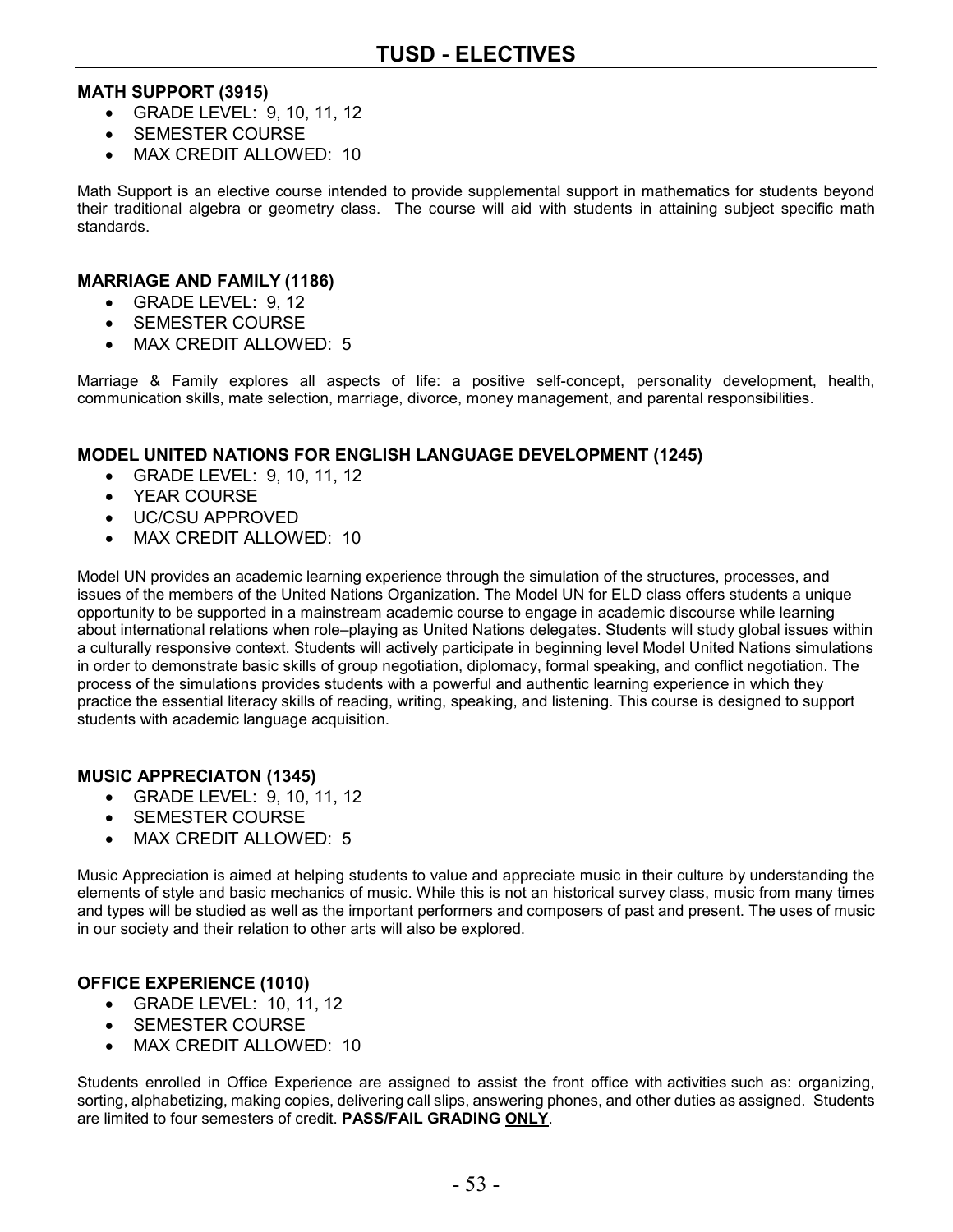#### **MATH SUPPORT (3915)**

- GRADE LEVEL: 9, 10, 11, 12
- SEMESTER COURSE
- MAX CREDIT ALLOWED: 10

Math Support is an elective course intended to provide supplemental support in mathematics for students beyond their traditional algebra or geometry class. The course will aid with students in attaining subject specific math standards.

#### **MARRIAGE AND FAMILY (1186)**

- GRADE LEVEL: 9, 12
- SEMESTER COURSE
- MAX CREDIT ALLOWED: 5

Marriage & Family explores all aspects of life: a positive self-concept, personality development, health, communication skills, mate selection, marriage, divorce, money management, and parental responsibilities.

#### **MODEL UNITED NATIONS FOR ENGLISH LANGUAGE DEVELOPMENT (1245)**

- GRADE LEVEL: 9, 10, 11, 12
- YEAR COURSE
- UC/CSU APPROVED
- MAX CREDIT ALLOWED: 10

Model UN provides an academic learning experience through the simulation of the structures, processes, and issues of the members of the United Nations Organization. The Model UN for ELD class offers students a unique opportunity to be supported in a mainstream academic course to engage in academic discourse while learning about international relations when role–playing as United Nations delegates. Students will study global issues within a culturally responsive context. Students will actively participate in beginning level Model United Nations simulations in order to demonstrate basic skills of group negotiation, diplomacy, formal speaking, and conflict negotiation. The process of the simulations provides students with a powerful and authentic learning experience in which they practice the essential literacy skills of reading, writing, speaking, and listening. This course is designed to support students with academic language acquisition.

#### **MUSIC APPRECIATON (1345)**

- GRADE LEVEL: 9, 10, 11, 12
- SEMESTER COURSE
- MAX CREDIT ALLOWED: 5

Music Appreciation is aimed at helping students to value and appreciate music in their culture by understanding the elements of style and basic mechanics of music. While this is not an historical survey class, music from many times and types will be studied as well as the important performers and composers of past and present. The uses of music in our society and their relation to other arts will also be explored.

#### **OFFICE EXPERIENCE (1010)**

- GRADE LEVEL: 10, 11, 12
- SEMESTER COURSE
- MAX CREDIT ALLOWED: 10

Students enrolled in Office Experience are assigned to assist the front office with activities such as: organizing, sorting, alphabetizing, making copies, delivering call slips, answering phones, and other duties as assigned. Students are limited to four semesters of credit. **PASS/FAIL GRADING ONLY**.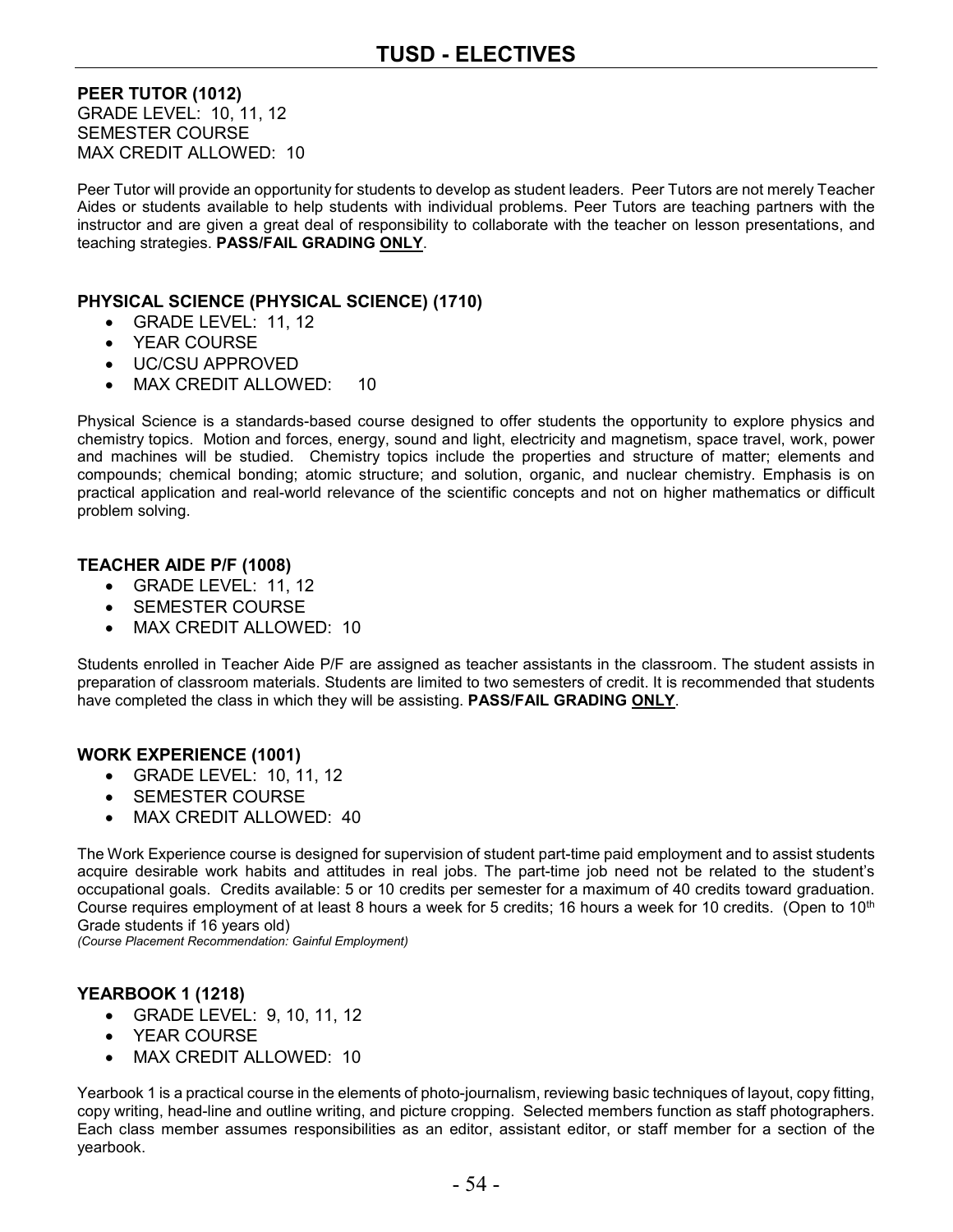**PEER TUTOR (1012)** GRADE LEVEL: 10, 11, 12 SEMESTER COURSE MAX CREDIT ALLOWED: 10

Peer Tutor will provide an opportunity for students to develop as student leaders. Peer Tutors are not merely Teacher Aides or students available to help students with individual problems. Peer Tutors are teaching partners with the instructor and are given a great deal of responsibility to collaborate with the teacher on lesson presentations, and teaching strategies. **PASS/FAIL GRADING ONLY**.

#### **PHYSICAL SCIENCE (PHYSICAL SCIENCE) (1710)**

- GRADE LEVEL: 11, 12
- YEAR COURSE
- UC/CSU APPROVED
- MAX CREDIT ALLOWED: 10

Physical Science is a standards-based course designed to offer students the opportunity to explore physics and chemistry topics. Motion and forces, energy, sound and light, electricity and magnetism, space travel, work, power and machines will be studied. Chemistry topics include the properties and structure of matter; elements and compounds; chemical bonding; atomic structure; and solution, organic, and nuclear chemistry. Emphasis is on practical application and real-world relevance of the scientific concepts and not on higher mathematics or difficult problem solving.

#### **TEACHER AIDE P/F (1008)**

- GRADE LEVEL: 11, 12
- SEMESTER COURSE
- MAX CREDIT ALLOWED: 10

Students enrolled in Teacher Aide P/F are assigned as teacher assistants in the classroom. The student assists in preparation of classroom materials. Students are limited to two semesters of credit. It is recommended that students have completed the class in which they will be assisting. **PASS/FAIL GRADING ONLY**.

#### **WORK EXPERIENCE (1001)**

- GRADE LEVEL: 10, 11, 12
- SEMESTER COURSE
- MAX CREDIT ALLOWED: 40

The Work Experience course is designed for supervision of student part-time paid employment and to assist students acquire desirable work habits and attitudes in real jobs. The part-time job need not be related to the student's occupational goals. Credits available: 5 or 10 credits per semester for a maximum of 40 credits toward graduation. Course requires employment of at least 8 hours a week for 5 credits; 16 hours a week for 10 credits. (Open to 10<sup>th</sup> Grade students if 16 years old)

*(Course Placement Recommendation: Gainful Employment)*

#### **YEARBOOK 1 (1218)**

- GRADE LEVEL: 9, 10, 11, 12
- YEAR COURSE
- MAX CREDIT ALLOWED: 10

Yearbook 1 is a practical course in the elements of photo-journalism, reviewing basic techniques of layout, copy fitting, copy writing, head-line and outline writing, and picture cropping. Selected members function as staff photographers. Each class member assumes responsibilities as an editor, assistant editor, or staff member for a section of the yearbook.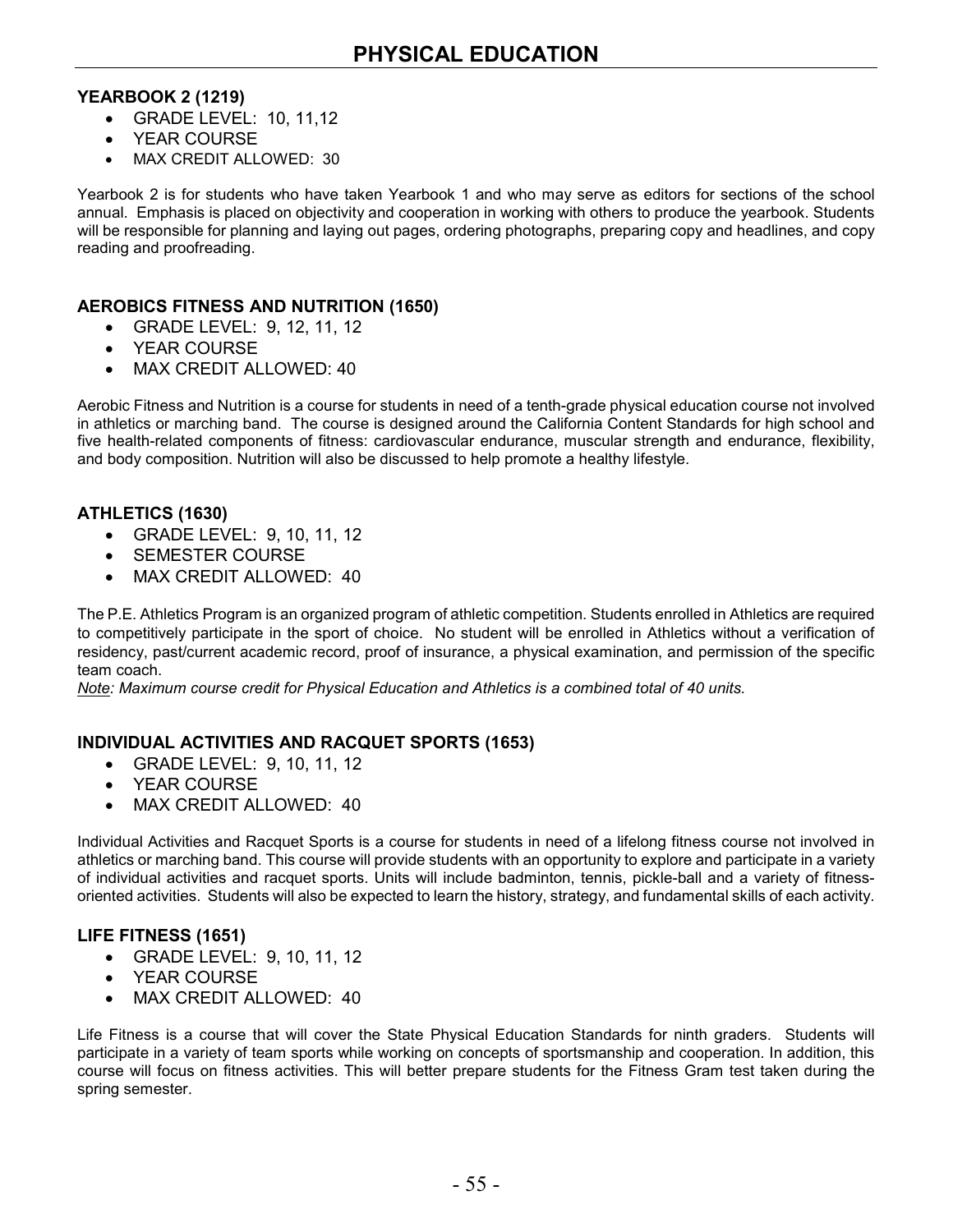#### **YEARBOOK 2 (1219)**

- GRADE LEVEL: 10, 11,12
- YEAR COURSE
- MAX CREDIT ALLOWED: 30

Yearbook 2 is for students who have taken Yearbook 1 and who may serve as editors for sections of the school annual. Emphasis is placed on objectivity and cooperation in working with others to produce the yearbook. Students will be responsible for planning and laying out pages, ordering photographs, preparing copy and headlines, and copy reading and proofreading.

#### **AEROBICS FITNESS AND NUTRITION (1650)**

- GRADE LEVEL: 9, 12, 11, 12
- YEAR COURSE
- MAX CREDIT ALLOWED: 40

Aerobic Fitness and Nutrition is a course for students in need of a tenth-grade physical education course not involved in athletics or marching band. The course is designed around the California Content Standards for high school and five health-related components of fitness: cardiovascular endurance, muscular strength and endurance, flexibility, and body composition. Nutrition will also be discussed to help promote a healthy lifestyle.

#### **ATHLETICS (1630)**

- GRADE LEVEL: 9, 10, 11, 12
- SEMESTER COURSE
- MAX CREDIT ALLOWED: 40

The P.E. Athletics Program is an organized program of athletic competition. Students enrolled in Athletics are required to competitively participate in the sport of choice. No student will be enrolled in Athletics without a verification of residency, past/current academic record, proof of insurance, a physical examination, and permission of the specific team coach.

*Note: Maximum course credit for Physical Education and Athletics is a combined total of 40 units.*

#### **INDIVIDUAL ACTIVITIES AND RACQUET SPORTS (1653)**

- GRADE LEVEL: 9, 10, 11, 12
- YEAR COURSE
- MAX CREDIT ALLOWED: 40

Individual Activities and Racquet Sports is a course for students in need of a lifelong fitness course not involved in athletics or marching band. This course will provide students with an opportunity to explore and participate in a variety of individual activities and racquet sports. Units will include badminton, tennis, pickle-ball and a variety of fitnessoriented activities. Students will also be expected to learn the history, strategy, and fundamental skills of each activity.

#### **LIFE FITNESS (1651)**

- GRADE LEVEL: 9, 10, 11, 12
- YEAR COURSE
- MAX CREDIT ALLOWED: 40

Life Fitness is a course that will cover the State Physical Education Standards for ninth graders. Students will participate in a variety of team sports while working on concepts of sportsmanship and cooperation. In addition, this course will focus on fitness activities. This will better prepare students for the Fitness Gram test taken during the spring semester.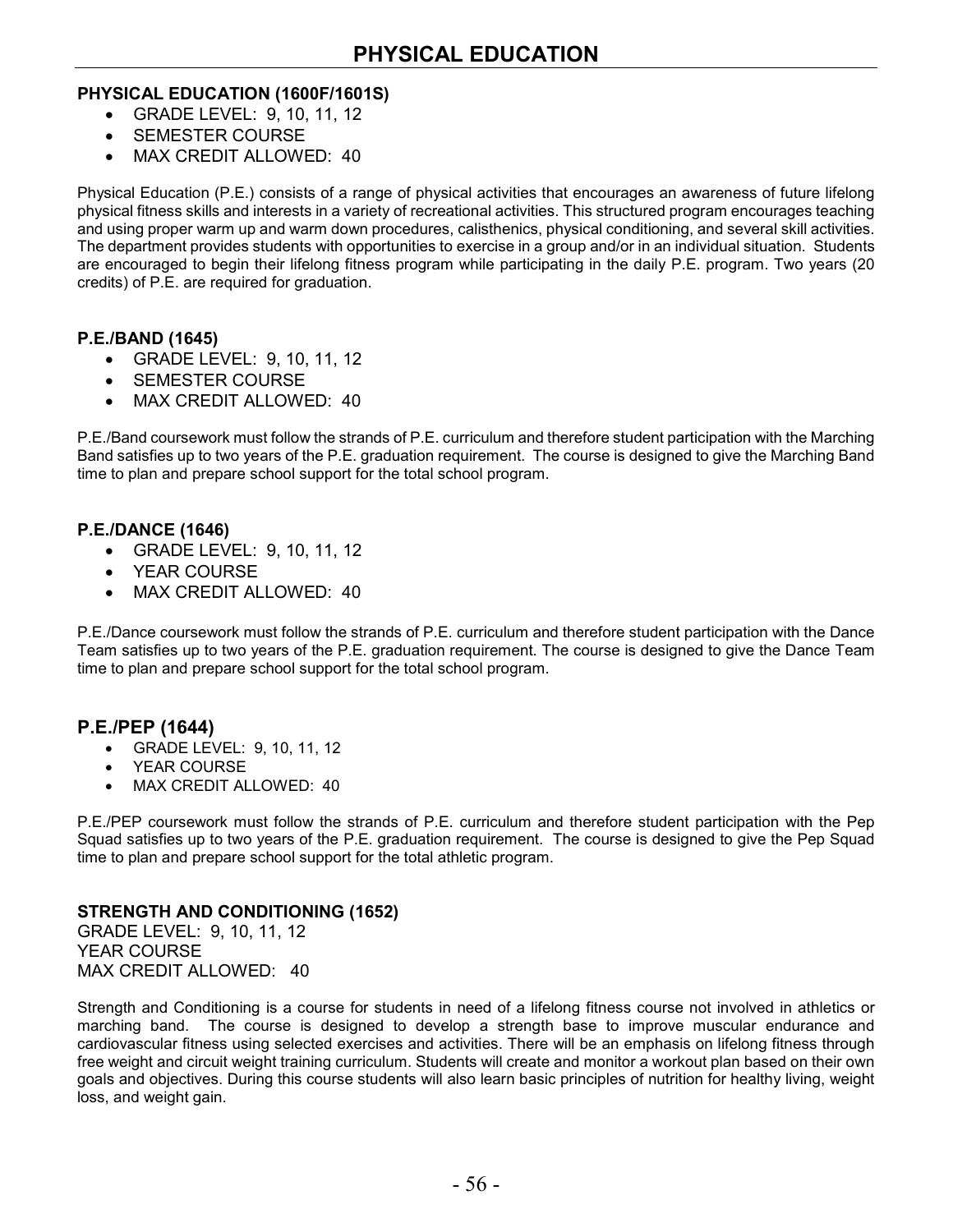#### **PHYSICAL EDUCATION (1600F/1601S)**

- GRADE LEVEL: 9, 10, 11, 12
- SEMESTER COURSE
- MAX CREDIT ALLOWED: 40

Physical Education (P.E.) consists of a range of physical activities that encourages an awareness of future lifelong physical fitness skills and interests in a variety of recreational activities. This structured program encourages teaching and using proper warm up and warm down procedures, calisthenics, physical conditioning, and several skill activities. The department provides students with opportunities to exercise in a group and/or in an individual situation. Students are encouraged to begin their lifelong fitness program while participating in the daily P.E. program. Two years (20 credits) of P.E. are required for graduation.

#### **P.E./BAND (1645)**

- GRADE LEVEL: 9, 10, 11, 12
- SEMESTER COURSE
- MAX CREDIT ALLOWED: 40

P.E./Band coursework must follow the strands of P.E. curriculum and therefore student participation with the Marching Band satisfies up to two years of the P.E. graduation requirement. The course is designed to give the Marching Band time to plan and prepare school support for the total school program.

#### **P.E./DANCE (1646)**

- GRADE LEVEL: 9, 10, 11, 12
- YEAR COURSE
- MAX CREDIT ALLOWED: 40

P.E./Dance coursework must follow the strands of P.E. curriculum and therefore student participation with the Dance Team satisfies up to two years of the P.E. graduation requirement. The course is designed to give the Dance Team time to plan and prepare school support for the total school program.

#### **P.E./PEP (1644)**

- GRADE LEVEL: 9, 10, 11, 12
- YEAR COURSE
- MAX CREDIT ALLOWED: 40

P.E./PEP coursework must follow the strands of P.E. curriculum and therefore student participation with the Pep Squad satisfies up to two years of the P.E. graduation requirement. The course is designed to give the Pep Squad time to plan and prepare school support for the total athletic program.

#### **STRENGTH AND CONDITIONING (1652)**

GRADE LEVEL: 9, 10, 11, 12 YEAR COURSE MAX CREDIT ALLOWED: 40

Strength and Conditioning is a course for students in need of a lifelong fitness course not involved in athletics or marching band. The course is designed to develop a strength base to improve muscular endurance and cardiovascular fitness using selected exercises and activities. There will be an emphasis on lifelong fitness through free weight and circuit weight training curriculum. Students will create and monitor a workout plan based on their own goals and objectives. During this course students will also learn basic principles of nutrition for healthy living, weight loss, and weight gain.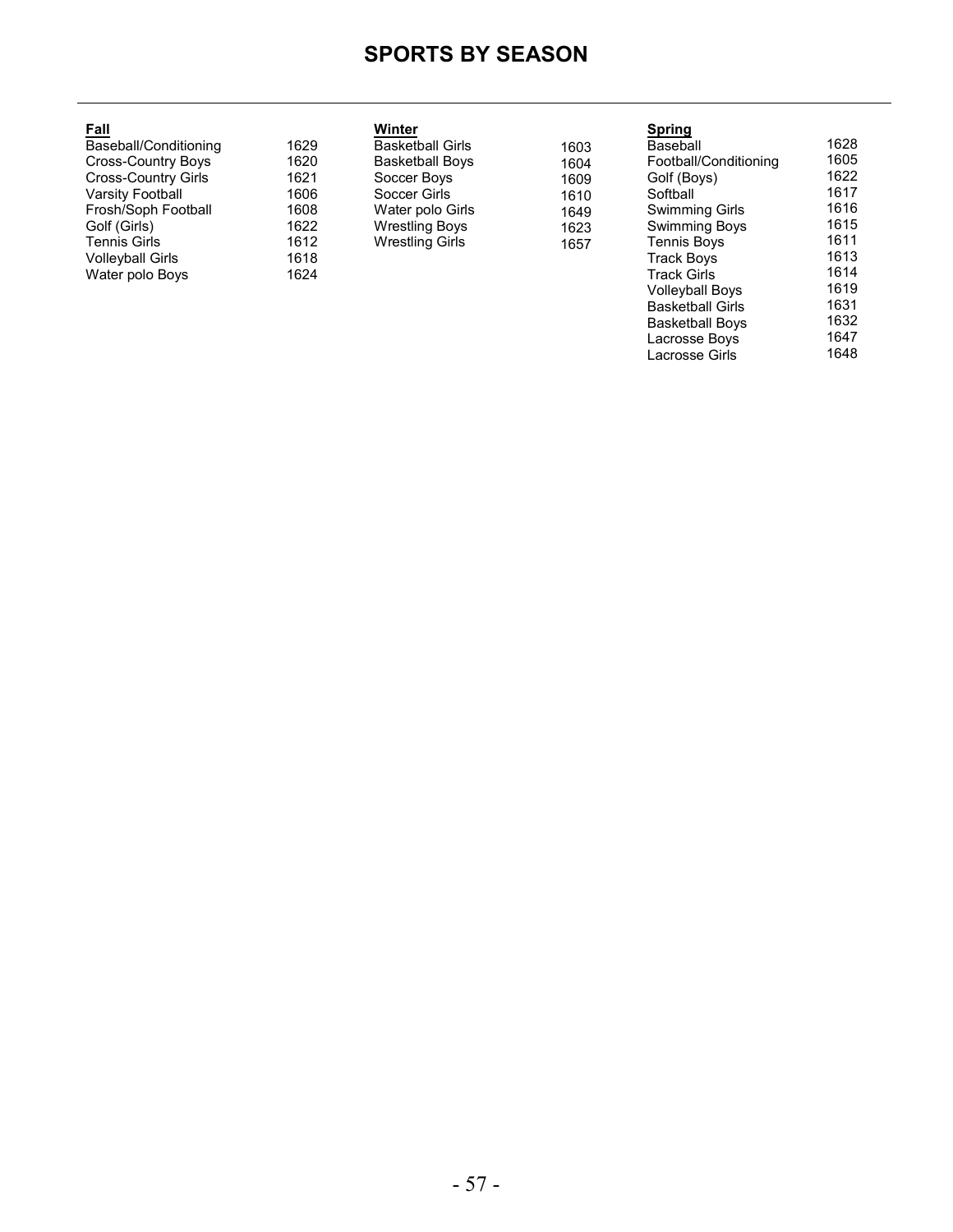# **SPORTS BY SEASON**

| <b>Fall</b>                |      | Winter                  |      | <b>Spring</b>         |      |
|----------------------------|------|-------------------------|------|-----------------------|------|
| Baseball/Conditioning      | 1629 | <b>Basketball Girls</b> | 1603 | Baseball              | 1628 |
| <b>Cross-Country Boys</b>  | 1620 | <b>Basketball Boys</b>  | 1604 | Football/Conditioning | 1605 |
| <b>Cross-Country Girls</b> | 1621 | Soccer Boys             | 1609 | Golf (Boys)           | 1622 |
| <b>Varsity Football</b>    | 1606 | Soccer Girls            | 1610 | Softball              | 1617 |
| Frosh/Soph Football        | 1608 | Water polo Girls        | 1649 | <b>Swimming Girls</b> | 1616 |
| Golf (Girls)               | 1622 | <b>Wrestling Boys</b>   | 1623 | Swimming Boys         | 1615 |
| Tennis Girls               | 1612 | <b>Wrestling Girls</b>  | 1657 | <b>Tennis Boys</b>    | 1611 |
| <b>Volleyball Girls</b>    | 1618 |                         |      | <b>Track Boys</b>     | 1613 |
| Water polo Boys            | 1624 |                         |      | Track Girls           | 1614 |
|                            |      |                         |      | Vollevball Bovs       | 1619 |

Basketball Girls Basketball Boys Lacrosse Boys Lacrosse Girls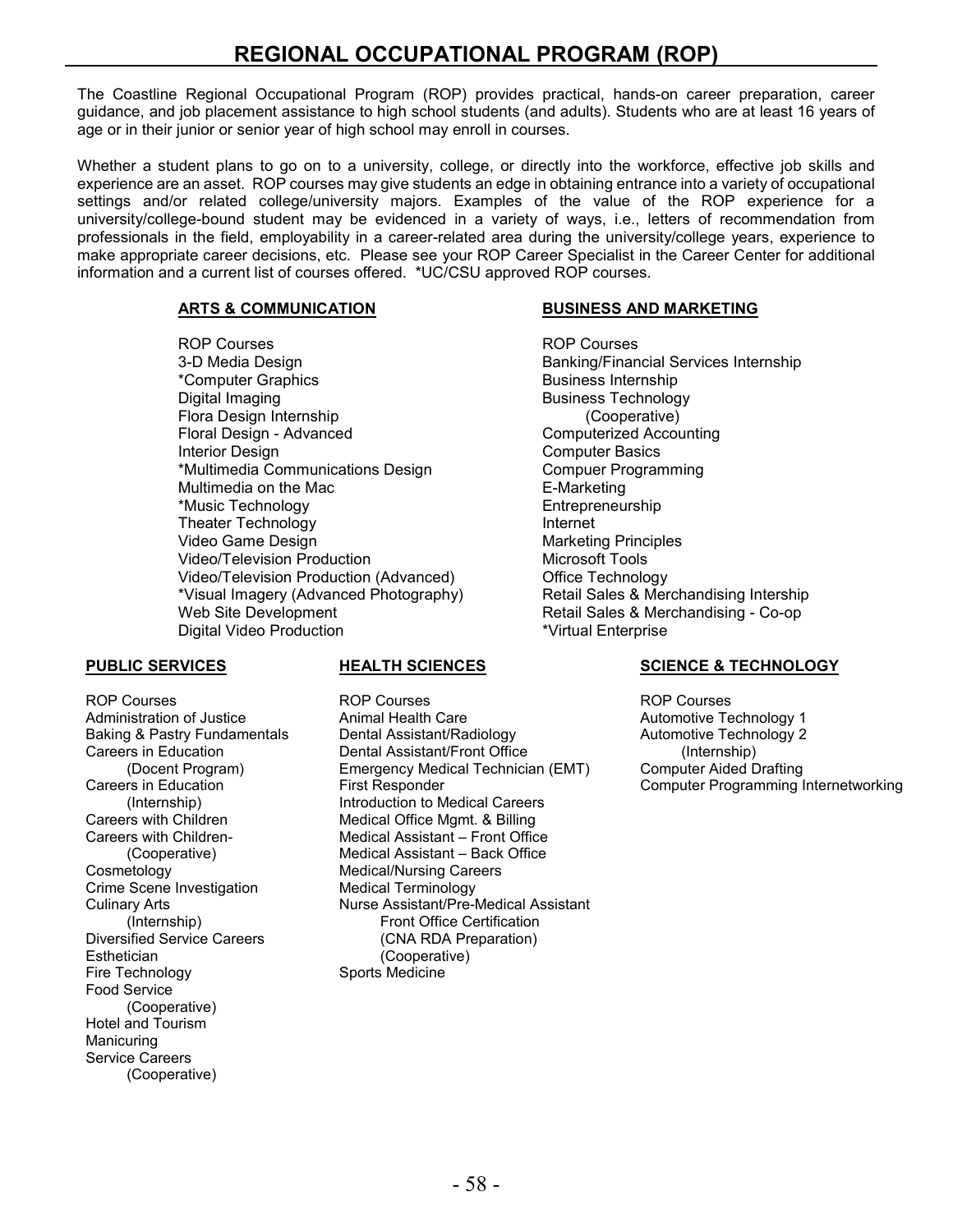The Coastline Regional Occupational Program (ROP) provides practical, hands-on career preparation, career guidance, and job placement assistance to high school students (and adults). Students who are at least 16 years of age or in their junior or senior year of high school may enroll in courses.

Whether a student plans to go on to a university, college, or directly into the workforce, effective job skills and experience are an asset. ROP courses may give students an edge in obtaining entrance into a variety of occupational settings and/or related college/university majors. Examples of the value of the ROP experience for a university/college-bound student may be evidenced in a variety of ways, i.e., letters of recommendation from professionals in the field, employability in a career-related area during the university/college years, experience to make appropriate career decisions, etc. Please see your ROP Career Specialist in the Career Center for additional information and a current list of courses offered. \*UC/CSU approved ROP courses.

ROP Courses ROP Courses \*Computer Graphics **Business Internship** Digital Imaging Business Technology Flora Design Internship<br>Floral Design - Advanced Interior Design Computer Basics \*Multimedia Communications Design Multimedia on the Mac **E-Marketing** \*Music Technology Entrepreneurship Theater Technology<br>
Video Game Design<br>
Video Game Design Video Game Design Video/Television Production<br>
Video/Television Production (Advanced) Office Technology Video/Television Production (Advanced) \*Visual Imagery (Advanced Photography) Retail Sales & Merchandising Intership Web Site Development Retail Sales & Merchandising - Co-op Digital Video Production

Crime Scene Investigation Medical Terminology Esthetician (Cooperative) Fire Technology Sports Medicine Food Service (Cooperative) Hotel and Tourism Manicuring Service Careers (Cooperative)

ROP Courses ROP Courses ROP Courses Animal Health Care **Automotive Technology 1**<br>1991 - Dental Assistant/Radiology 1994 - Automotive Technology 2 Baking & Pastry Fundamentals Dental Assistant/Radiology Automotive Technology 2 Careers in Education Dental Assistant/Front Office (Internship) (Docent Program) Emergency Medical Technician (EMT)<br>Careers in Education First Responder (Internship) (Internship) Introduction to Medical Careers<br>Careers with Children Medical Office Mgmt. & Billing Careers with Children **Medical Office Mgmt. & Billing**<br>Careers with Children- Medical Assistant – Front Offic Medical Assistant – Front Office (Cooperative) Medical Assistant – Back Office **Medical/Nursing Careers** Culinary Arts **Nurse Assistant/Pre-Medical Assistant**<br>(Internship) Front Office Certification Front Office Certification Diversified Service Careers (CNA RDA Preparation)

#### **ARTS & COMMUNICATION BUSINESS AND MARKETING**

Banking/Financial Services Internship Computerized Accounting

#### **PUBLIC SERVICES HEALTH SCIENCES SCIENCE & TECHNOLOGY**

Computer Programming Internetworking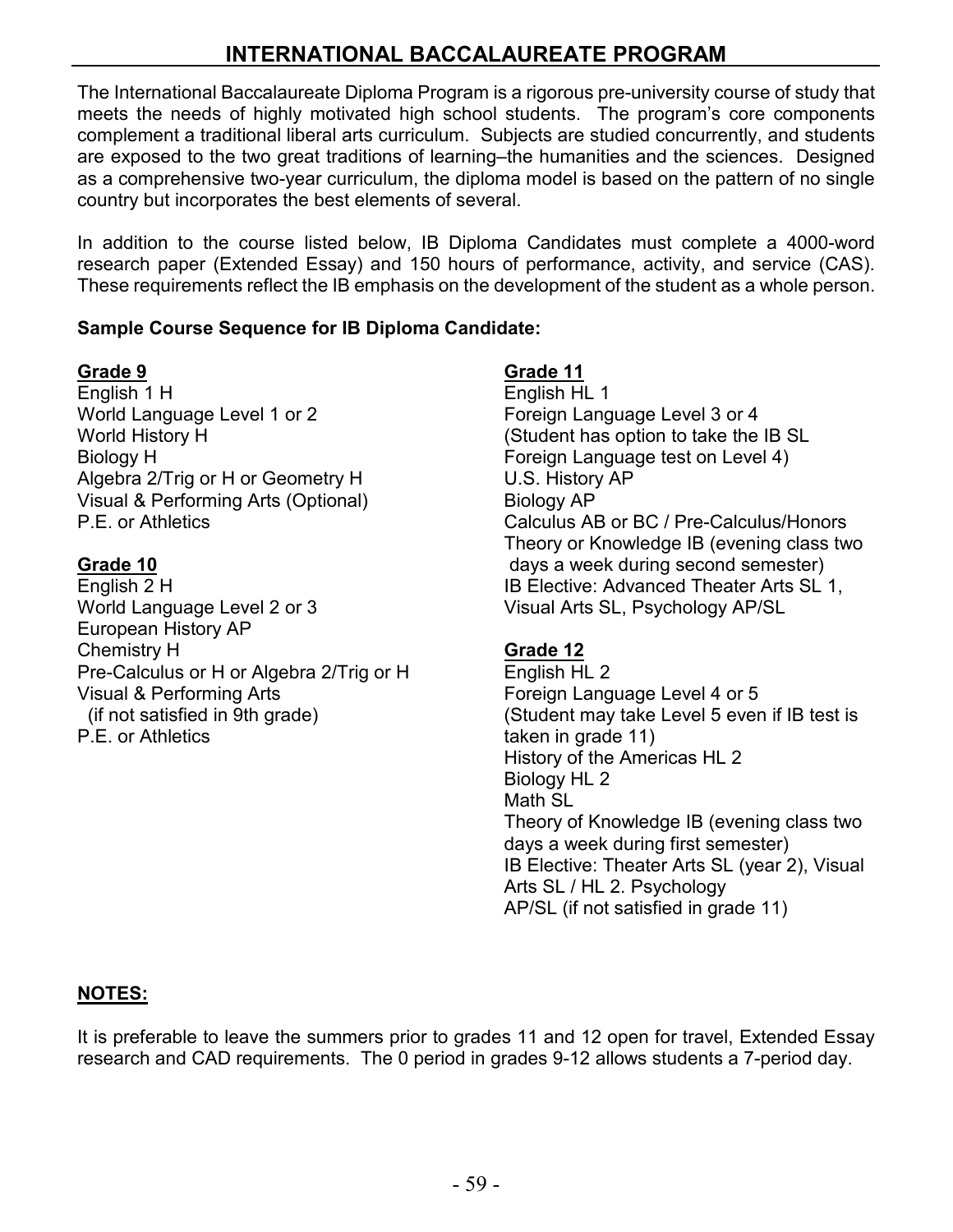# **INTERNATIONAL BACCALAUREATE PROGRAM**

The International Baccalaureate Diploma Program is a rigorous pre-university course of study that meets the needs of highly motivated high school students. The program's core components complement a traditional liberal arts curriculum. Subjects are studied concurrently, and students are exposed to the two great traditions of learning–the humanities and the sciences. Designed as a comprehensive two-year curriculum, the diploma model is based on the pattern of no single country but incorporates the best elements of several.

In addition to the course listed below, IB Diploma Candidates must complete a 4000-word research paper (Extended Essay) and 150 hours of performance, activity, and service (CAS). These requirements reflect the IB emphasis on the development of the student as a whole person.

### **Sample Course Sequence for IB Diploma Candidate:**

### **Grade 9**

English 1 H World Language Level 1 or 2 World History H Biology H Algebra 2/Trig or H or Geometry H Visual & Performing Arts (Optional) P.E. or Athletics

### **Grade 10**

English 2 H World Language Level 2 or 3 European History AP Chemistry H Pre-Calculus or H or Algebra 2/Trig or H Visual & Performing Arts (if not satisfied in 9th grade) P.E. or Athletics

### **Grade 11**

English HL 1 Foreign Language Level 3 or 4 (Student has option to take the IB SL Foreign Language test on Level 4) U.S. History AP Biology AP Calculus AB or BC / Pre-Calculus/Honors Theory or Knowledge IB (evening class two days a week during second semester) IB Elective: Advanced Theater Arts SL 1, Visual Arts SL, Psychology AP/SL

### **Grade 12**

English HL 2 Foreign Language Level 4 or 5 (Student may take Level 5 even if IB test is taken in grade 11) History of the Americas HL 2 Biology HL 2 Math SL Theory of Knowledge IB (evening class two days a week during first semester) IB Elective: Theater Arts SL (year 2), Visual Arts SL / HL 2. Psychology AP/SL (if not satisfied in grade 11)

### **NOTES:**

It is preferable to leave the summers prior to grades 11 and 12 open for travel, Extended Essay research and CAD requirements. The 0 period in grades 9-12 allows students a 7-period day.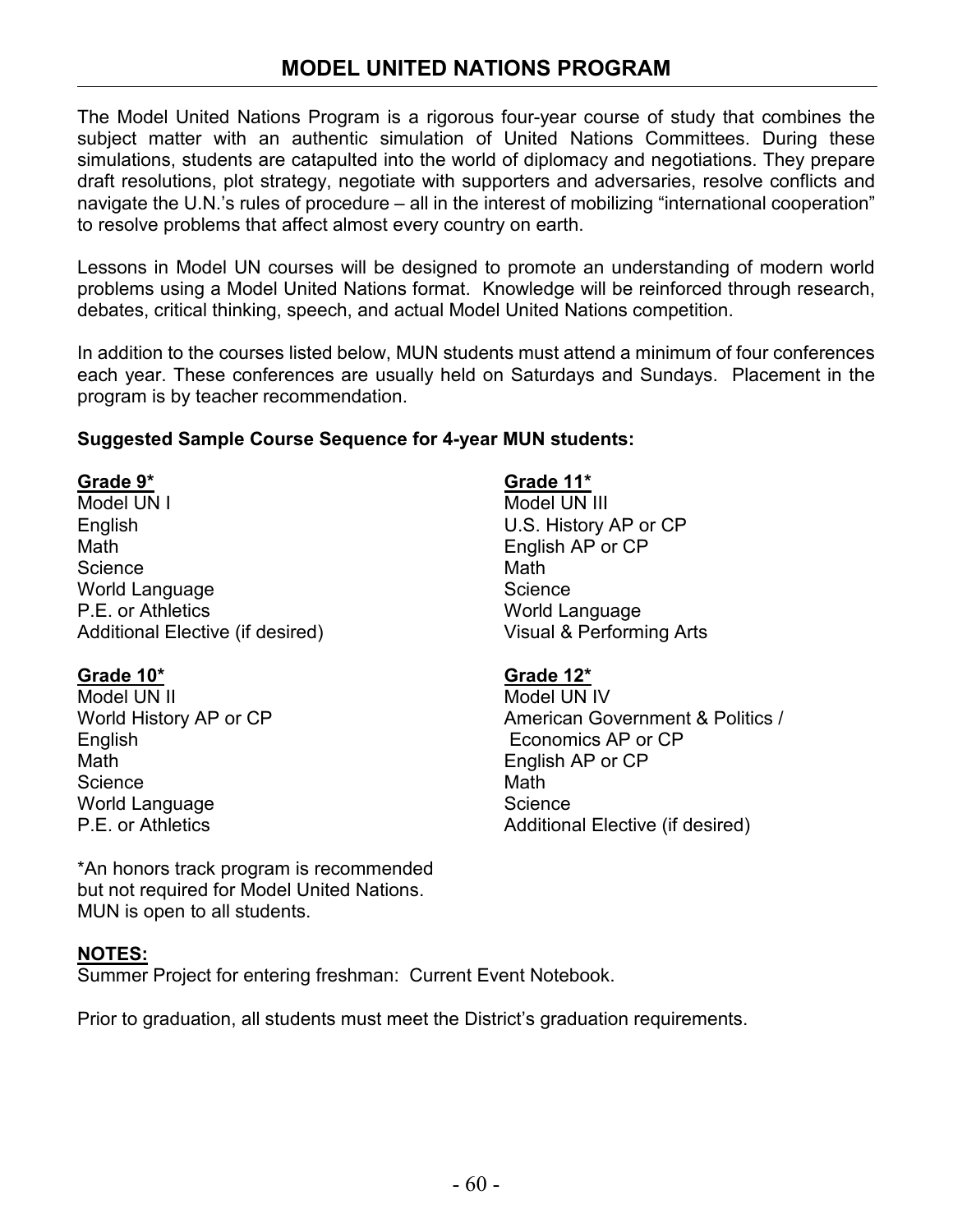The Model United Nations Program is a rigorous four-year course of study that combines the subject matter with an authentic simulation of United Nations Committees. During these simulations, students are catapulted into the world of diplomacy and negotiations. They prepare draft resolutions, plot strategy, negotiate with supporters and adversaries, resolve conflicts and navigate the U.N.'s rules of procedure – all in the interest of mobilizing "international cooperation" to resolve problems that affect almost every country on earth.

Lessons in Model UN courses will be designed to promote an understanding of modern world problems using a Model United Nations format. Knowledge will be reinforced through research, debates, critical thinking, speech, and actual Model United Nations competition.

In addition to the courses listed below, MUN students must attend a minimum of four conferences each year. These conferences are usually held on Saturdays and Sundays. Placement in the program is by teacher recommendation.

# **Suggested Sample Course Sequence for 4-year MUN students:**

### **Grade 9\***

Model UN I English Math **Science** World Language P.E. or Athletics Additional Elective (if desired)

# **Grade 10\***

Model UN II World History AP or CP English Math **Science** World Language P.E. or Athletics

**Grade 11\***

Model UN III U.S. History AP or CP English AP or CP Math **Science** World Language Visual & Performing Arts

# **Grade 12\***

Model UN IV American Government & Politics / Economics AP or CP English AP or CP **Math Science** Additional Elective (if desired)

\*An honors track program is recommended but not required for Model United Nations. MUN is open to all students.

# **NOTES:**

Summer Project for entering freshman: Current Event Notebook.

Prior to graduation, all students must meet the District's graduation requirements.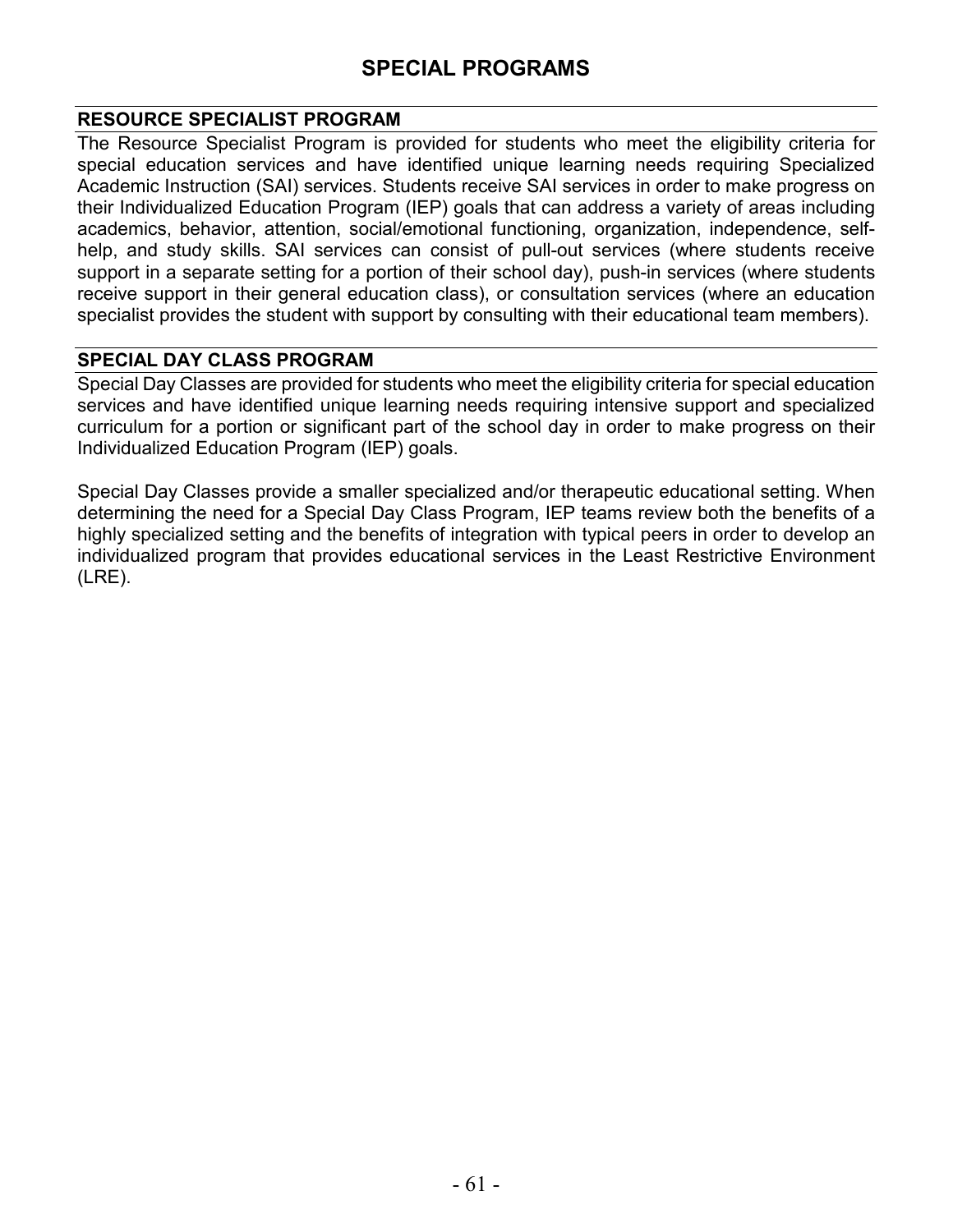# **SPECIAL PROGRAMS**

#### **RESOURCE SPECIALIST PROGRAM**

The Resource Specialist Program is provided for students who meet the eligibility criteria for special education services and have identified unique learning needs requiring Specialized Academic Instruction (SAI) services. Students receive SAI services in order to make progress on their Individualized Education Program (IEP) goals that can address a variety of areas including academics, behavior, attention, social/emotional functioning, organization, independence, selfhelp, and study skills. SAI services can consist of pull-out services (where students receive support in a separate setting for a portion of their school day), push-in services (where students receive support in their general education class), or consultation services (where an education specialist provides the student with support by consulting with their educational team members).

### **SPECIAL DAY CLASS PROGRAM**

Special Day Classes are provided for students who meet the eligibility criteria for special education services and have identified unique learning needs requiring intensive support and specialized curriculum for a portion or significant part of the school day in order to make progress on their Individualized Education Program (IEP) goals.

Special Day Classes provide a smaller specialized and/or therapeutic educational setting. When determining the need for a Special Day Class Program, IEP teams review both the benefits of a highly specialized setting and the benefits of integration with typical peers in order to develop an individualized program that provides educational services in the Least Restrictive Environment (LRE).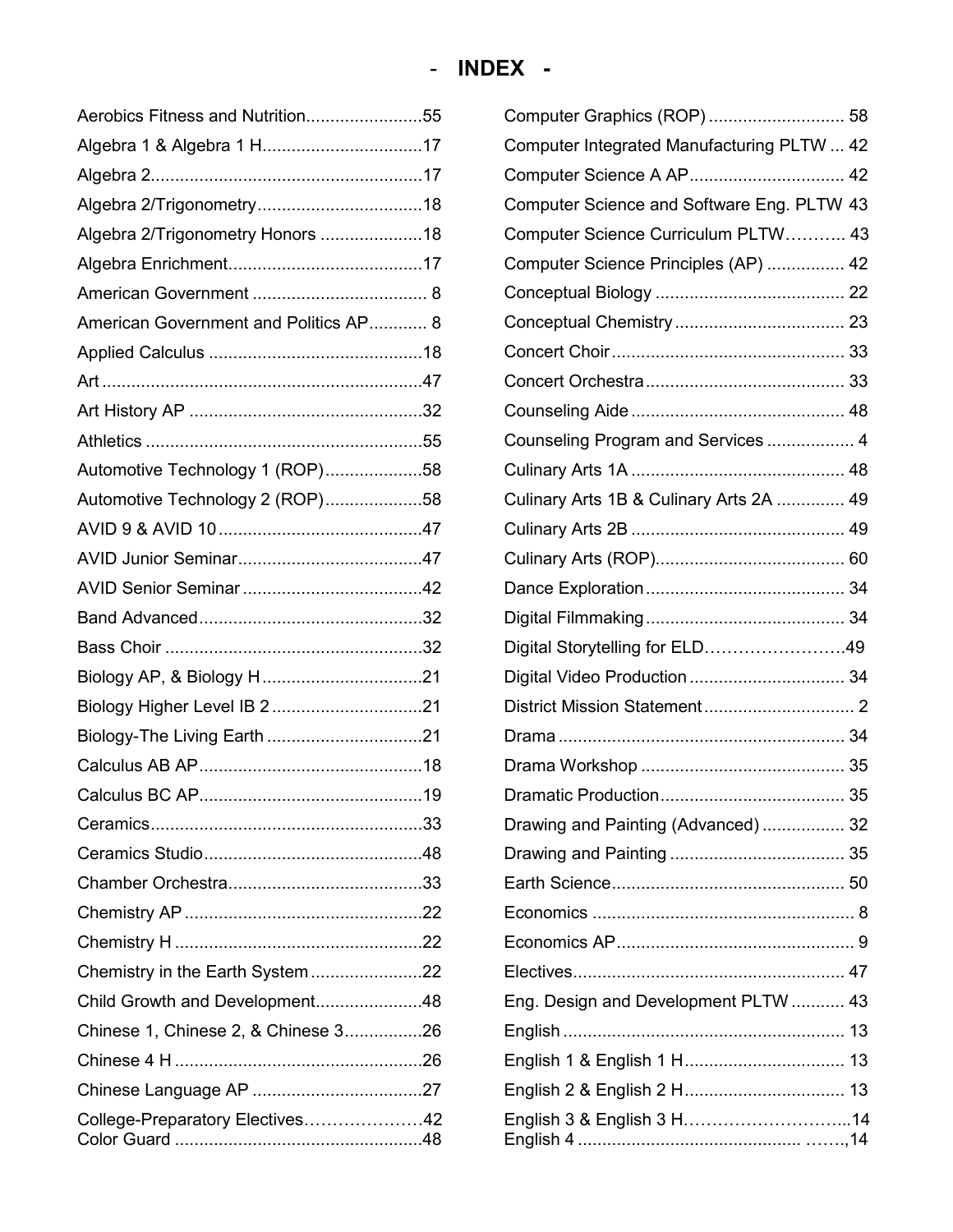| Aerobics Fitness and Nutrition55      | Cor        |
|---------------------------------------|------------|
|                                       | Cor        |
|                                       | Cor        |
|                                       | Cor        |
| Algebra 2/Trigonometry Honors 18      | Cor        |
|                                       | Cor        |
|                                       | Cor        |
| American Government and Politics AP 8 | Cor        |
|                                       | Cor        |
|                                       | Cor        |
|                                       | Col        |
|                                       | Col        |
| Automotive Technology 1 (ROP)58       | Cul        |
| Automotive Technology 2 (ROP)58       | Cul        |
|                                       | Cul        |
|                                       | Cul        |
|                                       | Dar        |
|                                       | Dig        |
|                                       | Dig        |
|                                       | Dig        |
|                                       | Dis        |
|                                       | Dra        |
|                                       | Dra        |
|                                       | Dra        |
|                                       | Dra        |
|                                       | Dra        |
|                                       | Ear        |
|                                       | Ecc        |
|                                       | Ecc        |
| Chemistry in the Earth System22       | Ele        |
| Child Growth and Development48        | Enç        |
| Chinese 1, Chinese 2, & Chinese 326   | Enç        |
|                                       | Eng        |
|                                       | Enç        |
| College-Preparatory Electives42       | Eng<br>Enç |

| Computer Graphics (ROP)  58                |  |
|--------------------------------------------|--|
| Computer Integrated Manufacturing PLTW  42 |  |
| Computer Science A AP 42                   |  |
| Computer Science and Software Eng. PLTW 43 |  |
| Computer Science Curriculum PLTW 43        |  |
| Computer Science Principles (AP)  42       |  |
|                                            |  |
|                                            |  |
|                                            |  |
|                                            |  |
|                                            |  |
| Counseling Program and Services  4         |  |
|                                            |  |
| Culinary Arts 1B & Culinary Arts 2A  49    |  |
|                                            |  |
|                                            |  |
|                                            |  |
|                                            |  |
| Digital Storytelling for ELD49             |  |
| Digital Video Production  34               |  |
|                                            |  |
|                                            |  |
|                                            |  |
|                                            |  |
| Drawing and Painting (Advanced)  32        |  |
|                                            |  |
|                                            |  |
|                                            |  |
|                                            |  |
|                                            |  |
| Eng. Design and Development PLTW  43       |  |
|                                            |  |
|                                            |  |
| English 2 & English 2 H 13                 |  |
| English 3 & English 3 H14                  |  |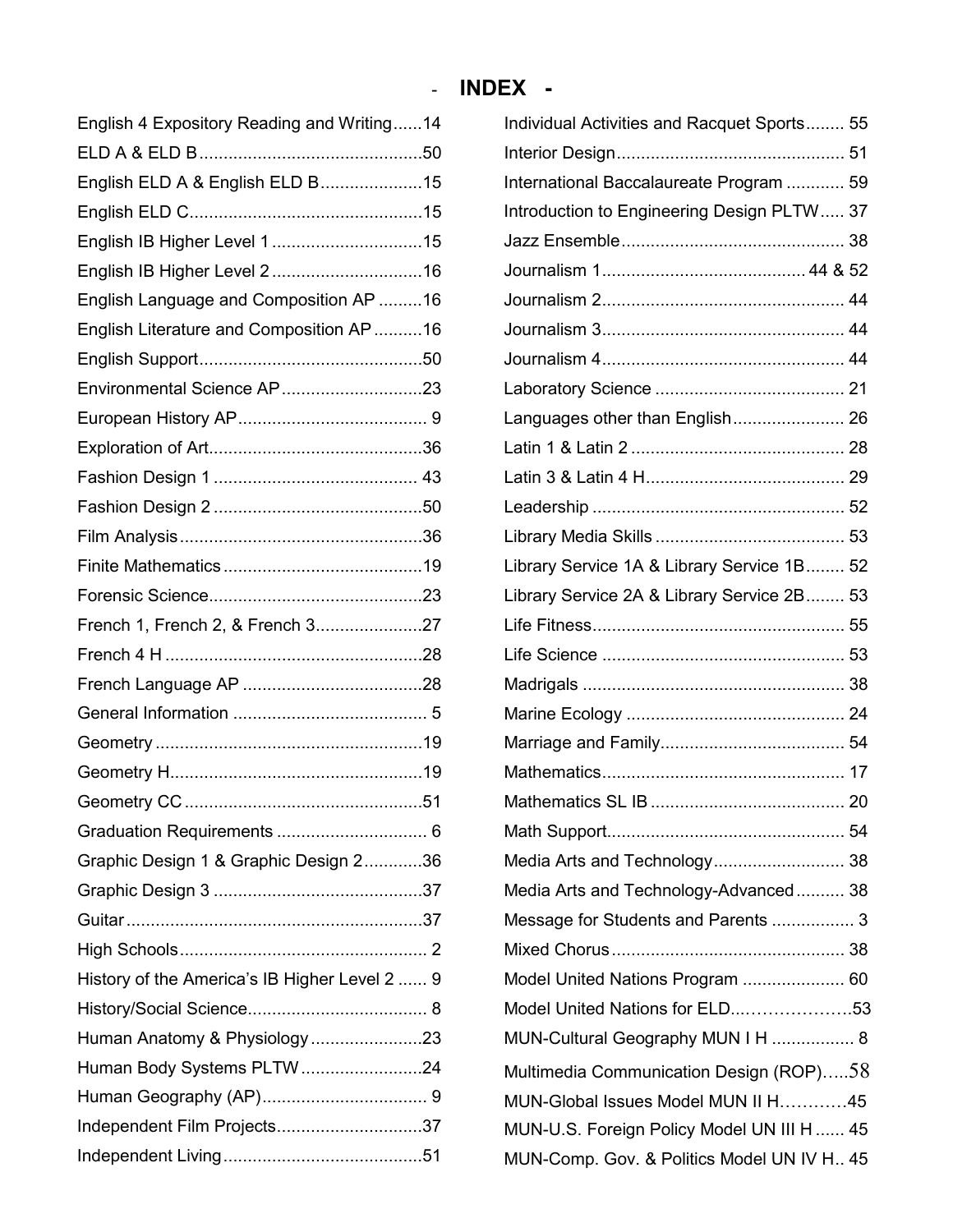# - **INDEX -**

| English 4 Expository Reading and Writing14    |  |
|-----------------------------------------------|--|
|                                               |  |
| English ELD A & English ELD B15               |  |
|                                               |  |
| English IB Higher Level 115                   |  |
| English IB Higher Level 216                   |  |
| English Language and Composition AP 16        |  |
| English Literature and Composition AP 16      |  |
|                                               |  |
| Environmental Science AP23                    |  |
|                                               |  |
|                                               |  |
|                                               |  |
|                                               |  |
|                                               |  |
|                                               |  |
|                                               |  |
| French 1, French 2, & French 327              |  |
|                                               |  |
|                                               |  |
|                                               |  |
|                                               |  |
|                                               |  |
|                                               |  |
|                                               |  |
| Graphic Design 1 & Graphic Design 236         |  |
|                                               |  |
|                                               |  |
|                                               |  |
| History of the America's IB Higher Level 2  9 |  |
|                                               |  |
| Human Anatomy & Physiology23                  |  |
| Human Body Systems PLTW24                     |  |
|                                               |  |
| Independent Film Projects37                   |  |
|                                               |  |

| Individual Activities and Racquet Sports 55  |
|----------------------------------------------|
|                                              |
| International Baccalaureate Program  59      |
| Introduction to Engineering Design PLTW 37   |
|                                              |
|                                              |
|                                              |
|                                              |
|                                              |
|                                              |
| Languages other than English 26              |
|                                              |
|                                              |
|                                              |
|                                              |
| Library Service 1A & Library Service 1B 52   |
| Library Service 2A & Library Service 2B 53   |
|                                              |
|                                              |
|                                              |
|                                              |
|                                              |
|                                              |
|                                              |
|                                              |
| Media Arts and Technology 38                 |
| Media Arts and Technology-Advanced 38        |
| Message for Students and Parents  3          |
|                                              |
| Model United Nations Program  60             |
| Model United Nations for ELD53               |
| MUN-Cultural Geography MUN I H  8            |
| Multimedia Communication Design (ROP)58      |
| MUN-Global Issues Model MUN II H45           |
| MUN-U.S. Foreign Policy Model UN III H  45   |
| MUN-Comp. Gov. & Politics Model UN IV H., 45 |